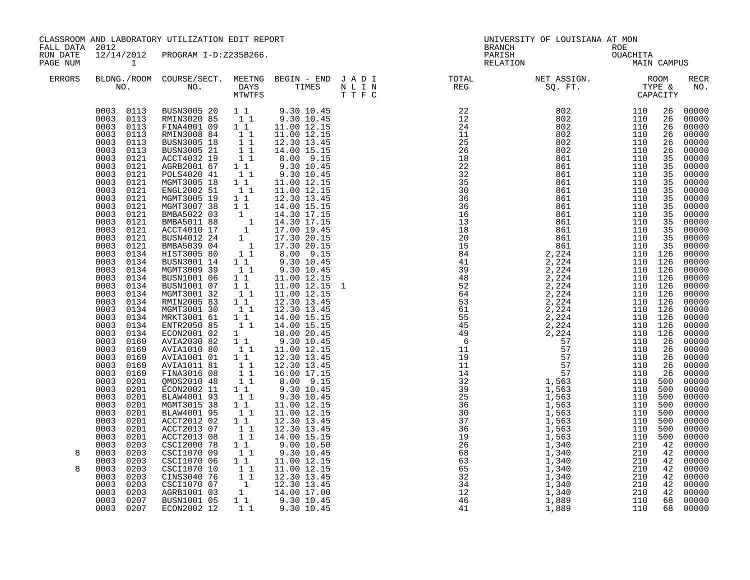| FALL DATA 2012       |                                                                                                                                                                                                                                                                                                                                                                                                                                                                                                                                                                                                                                                                                                                                               | CLASSROOM AND LABORATORY UTILIZATION EDIT REPORT                                                                                                                                                                                                                                                                                                                                                                                                                                                                                                                                                                                                                                                                                                                                                                                                                                                                                                                                                                                                                                                                                |                                                                                                                                                                                                                                                                                                                                                                                                                                                                                                                              |                                                                                                                                                                                                                                                                                                                                                                                                                                                                                                                                                                                                                                                     |  | UNIVERSITY OF LOUISIANA AT MON<br>BRANCH                                                                                                                                                                                                                                                                                                                                                                                                       |             |                    |
|----------------------|-----------------------------------------------------------------------------------------------------------------------------------------------------------------------------------------------------------------------------------------------------------------------------------------------------------------------------------------------------------------------------------------------------------------------------------------------------------------------------------------------------------------------------------------------------------------------------------------------------------------------------------------------------------------------------------------------------------------------------------------------|---------------------------------------------------------------------------------------------------------------------------------------------------------------------------------------------------------------------------------------------------------------------------------------------------------------------------------------------------------------------------------------------------------------------------------------------------------------------------------------------------------------------------------------------------------------------------------------------------------------------------------------------------------------------------------------------------------------------------------------------------------------------------------------------------------------------------------------------------------------------------------------------------------------------------------------------------------------------------------------------------------------------------------------------------------------------------------------------------------------------------------|------------------------------------------------------------------------------------------------------------------------------------------------------------------------------------------------------------------------------------------------------------------------------------------------------------------------------------------------------------------------------------------------------------------------------------------------------------------------------------------------------------------------------|-----------------------------------------------------------------------------------------------------------------------------------------------------------------------------------------------------------------------------------------------------------------------------------------------------------------------------------------------------------------------------------------------------------------------------------------------------------------------------------------------------------------------------------------------------------------------------------------------------------------------------------------------------|--|------------------------------------------------------------------------------------------------------------------------------------------------------------------------------------------------------------------------------------------------------------------------------------------------------------------------------------------------------------------------------------------------------------------------------------------------|-------------|--------------------|
| RUN DATE<br>PAGE NUM | 12/14/2012<br>$\sim$ 1                                                                                                                                                                                                                                                                                                                                                                                                                                                                                                                                                                                                                                                                                                                        | PROGRAM I-D:Z235B266.                                                                                                                                                                                                                                                                                                                                                                                                                                                                                                                                                                                                                                                                                                                                                                                                                                                                                                                                                                                                                                                                                                           |                                                                                                                                                                                                                                                                                                                                                                                                                                                                                                                              |                                                                                                                                                                                                                                                                                                                                                                                                                                                                                                                                                                                                                                                     |  | ROE<br>OUACHITA<br>MAIN<br>PARISH<br>RELATION                                                                                                                                                                                                                                                                                                                                                                                                  | MAIN CAMPUS |                    |
| ERRORS               |                                                                                                                                                                                                                                                                                                                                                                                                                                                                                                                                                                                                                                                                                                                                               |                                                                                                                                                                                                                                                                                                                                                                                                                                                                                                                                                                                                                                                                                                                                                                                                                                                                                                                                                                                                                                                                                                                                 |                                                                                                                                                                                                                                                                                                                                                                                                                                                                                                                              |                                                                                                                                                                                                                                                                                                                                                                                                                                                                                                                                                                                                                                                     |  | $\begin{tabular}{lllllllllllllllllllll} \textsc{BLONG.} \textsc{F100M.} & \textsc{CUIRSE/SECT.} & \textsc{METNG.} & \textsc{BEGIN - END.} & \textsc{J A D I} & \textsc{DTAT} & \textsc{NTGTL} & \textsc{NET ASSIGN.} & \textsc{ROOM} \\ \textsc{NO.} & \textsc{NO.} & \textsc{DAYS} & \textsc{TIMES} & \textsc{N L I N} & \textsc{REG} & \textsc{SG. FT.} & \textsc{CTP2} & \textsc{CAPACITY} \\ & \textsc{MTVTFS} & \textsc{T T F C} & \text$ |             | <b>RECR</b><br>NO. |
| 8<br>8               | 0003 0113<br>0003 0113<br>0003 0121<br>0003<br>0121<br>0003<br>0121<br>0003<br>0121<br>0003<br>0121<br>0003<br>0121<br>0003<br>0121<br>0003<br>0121<br>0003<br>0121<br>0003<br>0121<br>0003<br>0121<br>0003<br>0121<br>0003<br>0134<br>0003<br>0134<br>0003<br>0134<br>0003<br>0134<br>0003 0134<br>0003 0134<br>0003<br>0134<br>0003<br>0134<br>0003<br>0134<br>0003<br>0134<br>0003<br>0134<br>0003<br>0160<br>0003<br>0160<br>0003<br>0160<br>0003<br>0160<br>0003<br>0160<br>0003<br>0201<br>0003<br>0201<br>0003<br>0201<br>0003<br>0201<br>0003<br>0201<br>0003<br>0201<br>0003<br>0201<br>0003<br>0201<br>0003<br>0203<br>0003<br>0203<br>0003<br>0203<br>0003<br>0203<br>0003<br>0203<br>0003<br>0203<br>0003<br>0203<br>0003<br>0207 | $\begin{array}{cccc} 0003 & 0113 & \text{BUS} & 005 & 20 & 1 & 1 & 9.30 & 10.45 \\ 0003 & 0113 & \text{RMIN3} & 020 & 85 & 1 & 1 & 9.30 & 10.45 \\ 0003 & 0113 & \text{FINA} & 4001 & 09 & 1 & 1 & 11.00 & 12.15 \\ 0003 & 0113 & \text{RMIN3} & 08 & 84 & 1 & 1 & 11.00 & 12.15 \\ \end{array}$<br>BUSN3005 18<br>BUSN3005 21<br>ACCT4032 19<br>AGRB2001 67<br>POLS4020 41<br>MGMT3005 18<br>ENGL2002 51<br>MGMT3005 19<br>GMT3007 38<br>1 1 14.30 17.15<br>BMBA5011 88 1 14.30 17.15<br>BCCT4010 17 1 17.00 19.45<br>BUSN4012 24 1 17.30 20.15<br>BMBA5039 04 1 17.30 20.15<br>TTST3005 80 1 1 8.00 9.15<br>PTST3005 80 1 9.30 10.4!<br>BUSN3001 14 1 1<br>MGMT3009 39 1 1<br>BUSN1001 06<br>BUSN1001 07<br>MGMT3001 32<br>RMIN2005 83<br>MGMT3001 30<br>MRKT3001 61<br>ENTR2050 85<br>ECON2001 02<br>AVIA2030 82<br>AVIA1010 80<br>AVIA1001 01<br>AVIA1011 81<br>FINA3016 08<br>QMDS2010 48<br>ECON2002 11<br>BLAW4001 93<br>MGMT3015 38<br>BLAW4001 95<br>ACCT2012 02<br>ACCT2013 07<br>ACCT2013 08<br>CSCI2000 78<br>CSCI1070 09<br>CSCI1070 06<br>CSCI1070 10<br>CINS3040 76<br>CSCI1070 07<br>AGRB1001 03<br>BUSN1001 05 | $\begin{bmatrix} 1 & 1 \\ 1 & 1 \\ 1 & 1 \\ 1 & 1 \end{bmatrix}$<br>11<br>11<br>$\begin{bmatrix} 1 \\ 1 \end{bmatrix}$<br>$1\quad1$<br>11<br>11<br>11<br>$\begin{bmatrix} 1 \\ 1 \\ 1 \end{bmatrix}$<br>11<br>1<br>$1\quad1$<br>$\begin{bmatrix} 1 \\ 1 \\ 1 \end{bmatrix}$<br>$\begin{bmatrix} 1 & 1 \\ 1 & 1 \end{bmatrix}$<br>$1\quad1$<br>$1\quad1$<br>11<br>11<br>$\begin{bmatrix} 1 \\ 1 \end{bmatrix}$<br>$\begin{array}{ccc} & 1 & 1 \\ & 1 & 1 \end{array}$<br>$\begin{smallmatrix}1&&1\\&1\\1&&1\end{smallmatrix}$ | 12.30 13.45<br>14.00 15.15<br>$8.00$ 9.15<br>9.30 10.45<br>9.30 10.45<br>11.00 12.15<br>11.00 12.15<br>12.30 13.45<br>$8.00$ 9.15<br>9.30 10.45<br>9.30 10.45<br>11.00 12.15<br>11.00 12.15 1<br>11.00 12.15<br>12.30 13.45<br>12.30 13.45<br>14.00 15.15<br>14.00 15.15<br>18.00 20.45<br>9.30 10.45<br>11.00 12.15<br>12.30 13.45<br>12.30 13.45<br>16.00 17.15<br>$8.00$ $9.15$<br>$9.30$ $10.45$<br>9.30 10.45<br>11.00 12.15<br>11.00 12.15<br>12.30 13.45<br>12.30 13.45<br>14.00 15.15<br>9.00 10.50<br>9.30 10.45<br>1 1 1.00 12.15<br>1 1 11.00 12.15<br>1 1 12.30 13.45<br>1 12.30 13.45<br>1 14.00 17.00<br>1 9.30 10.45<br>1 9.30 10.45 |  | $\begin{smallmatrix} \textbf{11} & \textbf{12} & \textbf{13} & \textbf{15} & \textbf{16} & \textbf{17} & \textbf{18} & \textbf{18} & \textbf{18} & \textbf{18} & \textbf{18} & \textbf{18} & \textbf{18} & \textbf{18} & \textbf{18} & \textbf{18} & \textbf{18} & \textbf{18} & \textbf{18} & \textbf{18} & \textbf{18} & \textbf{18} & \textbf{18} & \textbf{18} & \textbf{18} & \textbf{18} & \textbf{18$                                   |             |                    |
|                      | 0003 0207                                                                                                                                                                                                                                                                                                                                                                                                                                                                                                                                                                                                                                                                                                                                     | ECON2002 12                                                                                                                                                                                                                                                                                                                                                                                                                                                                                                                                                                                                                                                                                                                                                                                                                                                                                                                                                                                                                                                                                                                     |                                                                                                                                                                                                                                                                                                                                                                                                                                                                                                                              |                                                                                                                                                                                                                                                                                                                                                                                                                                                                                                                                                                                                                                                     |  |                                                                                                                                                                                                                                                                                                                                                                                                                                                |             |                    |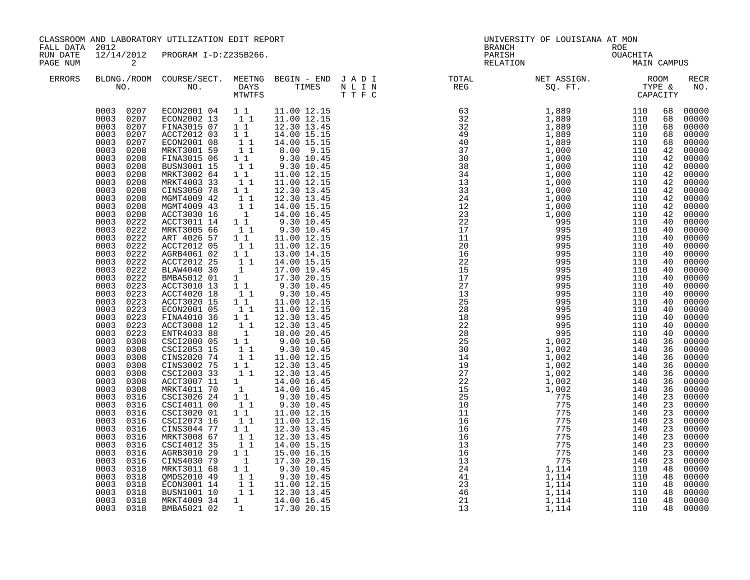| FALL DATA 2012       |                                                                                                                                                                                                                                                                                                                                                                                                                                                                                                                                                                                                                                                                                                                                                                                                        | CLASSROOM AND LABORATORY UTILIZATION EDIT REPORT                                                                                                                                                                                                                                                                                                                                                                                                                                                                                                                                                                                                                                                                                                                                                                                        |                                                                                                                                                                                                                                                                                                                                                                                                                                                                                                                                                                                                                                                                                                                |                                                                                                                                                                                                                                                                                                                                                                                                                                                                                                                                                                                                                                                                                                                                                                                                                                                                                                                    |  | UNIVERSITY OF LOUISIANA AT MON<br>BRANCH                                                                                                                                                                                                                                                                                                                                                                                                  |  |                    |
|----------------------|--------------------------------------------------------------------------------------------------------------------------------------------------------------------------------------------------------------------------------------------------------------------------------------------------------------------------------------------------------------------------------------------------------------------------------------------------------------------------------------------------------------------------------------------------------------------------------------------------------------------------------------------------------------------------------------------------------------------------------------------------------------------------------------------------------|-----------------------------------------------------------------------------------------------------------------------------------------------------------------------------------------------------------------------------------------------------------------------------------------------------------------------------------------------------------------------------------------------------------------------------------------------------------------------------------------------------------------------------------------------------------------------------------------------------------------------------------------------------------------------------------------------------------------------------------------------------------------------------------------------------------------------------------------|----------------------------------------------------------------------------------------------------------------------------------------------------------------------------------------------------------------------------------------------------------------------------------------------------------------------------------------------------------------------------------------------------------------------------------------------------------------------------------------------------------------------------------------------------------------------------------------------------------------------------------------------------------------------------------------------------------------|--------------------------------------------------------------------------------------------------------------------------------------------------------------------------------------------------------------------------------------------------------------------------------------------------------------------------------------------------------------------------------------------------------------------------------------------------------------------------------------------------------------------------------------------------------------------------------------------------------------------------------------------------------------------------------------------------------------------------------------------------------------------------------------------------------------------------------------------------------------------------------------------------------------------|--|-------------------------------------------------------------------------------------------------------------------------------------------------------------------------------------------------------------------------------------------------------------------------------------------------------------------------------------------------------------------------------------------------------------------------------------------|--|--------------------|
| RUN DATE<br>PAGE NUM | $\sim$ 2                                                                                                                                                                                                                                                                                                                                                                                                                                                                                                                                                                                                                                                                                                                                                                                               | 12/14/2012 PROGRAM I-D:Z235B266.                                                                                                                                                                                                                                                                                                                                                                                                                                                                                                                                                                                                                                                                                                                                                                                                        |                                                                                                                                                                                                                                                                                                                                                                                                                                                                                                                                                                                                                                                                                                                |                                                                                                                                                                                                                                                                                                                                                                                                                                                                                                                                                                                                                                                                                                                                                                                                                                                                                                                    |  | BRANCH ROE<br>PARISH OUACHITA<br>RELATION MAIN CAMPUS                                                                                                                                                                                                                                                                                                                                                                                     |  |                    |
| <b>ERRORS</b>        |                                                                                                                                                                                                                                                                                                                                                                                                                                                                                                                                                                                                                                                                                                                                                                                                        |                                                                                                                                                                                                                                                                                                                                                                                                                                                                                                                                                                                                                                                                                                                                                                                                                                         |                                                                                                                                                                                                                                                                                                                                                                                                                                                                                                                                                                                                                                                                                                                |                                                                                                                                                                                                                                                                                                                                                                                                                                                                                                                                                                                                                                                                                                                                                                                                                                                                                                                    |  | $\begin{tabular}{lllllllllllllllllllll} \textsc{BLDNG.} \textsc{ROOM} & \textsc{CUIRSE/SECT.} & \textsc{METNG} & \textsc{BEGIN} & - & \textsc{END} & \textsc{J} & \textsc{A} & \textsc{D} & \textsc{I} & & & \textsc{TCTAL} & & \textsc{NET} & \textsc{ASIGN.} & \textsc{ROOM} \\ \textsc{NO.} & \textsc{NO.} & \textsc{DAYS} & \textsc{TIMES} & \textsc{N} & \textsc{L} & \textsc{I} & \textsc{NEG} & & \textsc{SEG} & & \textsc{ST.} &$ |  | <b>RECR</b><br>NO. |
|                      | 0003 0207<br>0003 0207<br>0003<br>0207<br>0003<br>0207<br>0003<br>0208<br>0003<br>0208<br>0003<br>0208<br>0003<br>0208<br>0003<br>0208<br>0003<br>0208<br>0003<br>0208<br>0003<br>0208<br>0003<br>0208<br>0003<br>0222<br>0003<br>0222<br>0003<br>0222<br>0003<br>0222<br>0003<br>0222<br>0003<br>0222<br>0003<br>0222<br>0003<br>0222<br>0003<br>0223<br>0003<br>0223<br>0003<br>0223<br>0003<br>0223<br>0003<br>0223<br>0003<br>0223<br>0003<br>0223<br>0003<br>0308<br>0003<br>0308<br>0003<br>0308<br>0003<br>0308<br>0003<br>0308<br>0003<br>0308<br>0003<br>0308<br>0003<br>0316<br>0003<br>0316<br>0003<br>0316<br>0003<br>0316<br>0003<br>0316<br>0003<br>0316<br>0003<br>0316<br>0003<br>0316<br>0003<br>0316<br>0003<br>0318<br>0003<br>0318<br>0003<br>0318<br>0003<br>0318<br>0003<br>0318 | 0003 0207 ECON2001 04 11 11.00 12.15<br>ECON2002 13 1 1 11.00 12.15<br>FINA3015 07 1 1 12.30 13.45<br>ACCT2012 03<br>ECON2001 08<br>MRKT3001 59<br>FINA3015 06<br>BUSN3001 15<br>MRKT3002 64<br>MRKT4003 33<br>CINS3050 78<br>MGMT4009 42<br>MGMT4009 43<br>ACCT3030 16<br>ACCT3011 14<br>MRKT3005 66<br>ART 4026 57<br>ACCT2012 05<br>AGRB4061 02<br>ACCT2012 25<br>BLAW4040 30<br>BMBA5012 01<br>ACCT3010 13<br>ACCT4020 18<br>ACCT3020 15<br>ECON2001 05<br>FINA4010 36<br>ACCT3008 12<br>ENTR4033 88<br>CSCI2000 05<br>CSCI2053 15<br>CINS2020 74<br>CINS3002 75<br>CSCI2003 33<br>ACCT3007 11<br>MRKT4011 70<br>CSCI3026 24 1 1<br>CSCI4011 00<br>CSCI3020 01<br>CSCI2073 16<br>CINS3044 77<br>MRKT3008 67<br>CSCI4012 35<br>AGRB3010 29<br>CINS4030 79<br>MRKT3011 68<br>QMDS2010 49<br>ECON3001 14<br>BUSN1001 10<br>MRKT4009 34 | 11<br>$\begin{array}{cc} & 1 & 1 \\ & 1 & 1 \end{array}$<br>$1\quad1$<br>11<br>$1\quad1$<br>11<br>$1\quad1$<br>$\begin{bmatrix} 1 \\ 1 \end{bmatrix}$<br>$1\,1$<br>$\begin{bmatrix} 1 \end{bmatrix}$<br>11<br>$1\quad1$<br>11<br>$\begin{bmatrix} 1 \\ 1 \end{bmatrix}$<br>11<br>$\mathbf{1}$<br>1<br>$\begin{bmatrix} 1 & 1 \\ 1 & 1 \\ 1 & 1 \end{bmatrix}$<br>$\begin{bmatrix} 1 \\ 1 \end{bmatrix}$<br>11<br>$\overline{1}$<br>11<br>$\begin{bmatrix} 1 \\ 1 \\ 1 \end{bmatrix}$<br>$1\quad1$<br>11<br>11<br>$\begin{smallmatrix} 1 & 1 \\ 1 & 1 \end{smallmatrix}$<br>$\begin{smallmatrix}1\end{smallmatrix}$ $\begin{smallmatrix}1\end{smallmatrix}$ $\begin{smallmatrix}1\end{smallmatrix}$<br>11<br>11 | 14.00 15.15<br>14.00 15.15<br>8.00 9.15<br>9.30 10.45<br>9.30 10.45<br>11.00 12.15<br>11.00 12.15<br>12.30 13.45<br>12.30 13.45<br>14.00 15.15<br>14.00 16.45<br>9.30 10.45<br>9.30 10.45<br>11.00 12.15<br>11.00 12.15<br>13.00 14.15<br>14.00 15.15<br>17.00 19.45<br>17.30 20.15<br>9.30 10.45<br>9.30 10.45<br>11.00 12.15<br>11.00 12.15<br>12.30 13.45<br>12.30 13.45<br>18.00 20.45<br>9.00 10.50<br>9.30 10.45<br>11.00 12.15<br>12.30 13.45<br>12.30 13.45<br>$\begin{array}{cccc} 1 & 14.00 & 16.45 \\ 1 & 14.00 & 16.45 \end{array}$<br>$9.30$ 10.45<br>9.30 10.45<br>11.00 12.15<br>11.00 12.15<br>12.30 13.45<br>12.30 13.45<br>14.00 15.15<br>15.00 16.15<br>$\begin{array}{rrrr} 1 & 1 & 17.30 & 20.15 \ 1 & 1 & 9.30 & 10.45 \ 1 & 1 & 9.30 & 10.45 \ 1 & 1 & 11.00 & 12.15 \ 1 & 1 & 12.30 & 13.45 \end{array}$<br>$\begin{array}{ccc} 1 & - & -1.1 & 0 & 16.45 \\ 1 & 17.30 & 20.15 \end{array}$ |  |                                                                                                                                                                                                                                                                                                                                                                                                                                           |  | 00000              |
|                      | 0003 0318                                                                                                                                                                                                                                                                                                                                                                                                                                                                                                                                                                                                                                                                                                                                                                                              | BMBA5021 02                                                                                                                                                                                                                                                                                                                                                                                                                                                                                                                                                                                                                                                                                                                                                                                                                             |                                                                                                                                                                                                                                                                                                                                                                                                                                                                                                                                                                                                                                                                                                                |                                                                                                                                                                                                                                                                                                                                                                                                                                                                                                                                                                                                                                                                                                                                                                                                                                                                                                                    |  |                                                                                                                                                                                                                                                                                                                                                                                                                                           |  |                    |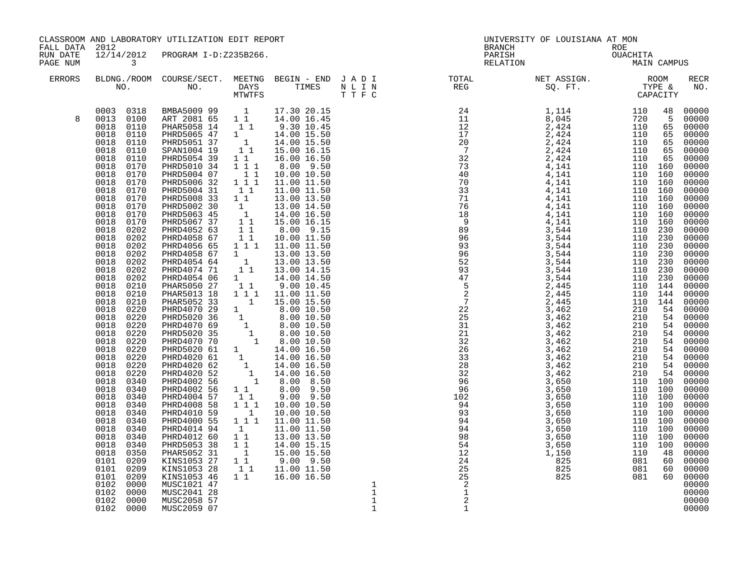| FALL DATA 2012       |                                                                                                                                                                                                                                                                                                                                                                                                                                                                                                                                                                                                                                                                                                                          | CLASSROOM AND LABORATORY UTILIZATION EDIT REPORT                                                                                                                                                                                                                                                                                                                                                                                                                                                                                                                                                                                                                                                                                                                                                                                                                                                                                                                                                                                                                                                                                                                                 |                                                                                                                                                                                                                                   |                                                                                                                                                                                                                                                                                                                                                                                                                                                                                                                                                                              |                                                                  |                                | UNIVERSITY OF LOUISIANA AT MON                                                                                                                                                                                                                                                                                                                                                                                                            |  |                |
|----------------------|--------------------------------------------------------------------------------------------------------------------------------------------------------------------------------------------------------------------------------------------------------------------------------------------------------------------------------------------------------------------------------------------------------------------------------------------------------------------------------------------------------------------------------------------------------------------------------------------------------------------------------------------------------------------------------------------------------------------------|----------------------------------------------------------------------------------------------------------------------------------------------------------------------------------------------------------------------------------------------------------------------------------------------------------------------------------------------------------------------------------------------------------------------------------------------------------------------------------------------------------------------------------------------------------------------------------------------------------------------------------------------------------------------------------------------------------------------------------------------------------------------------------------------------------------------------------------------------------------------------------------------------------------------------------------------------------------------------------------------------------------------------------------------------------------------------------------------------------------------------------------------------------------------------------|-----------------------------------------------------------------------------------------------------------------------------------------------------------------------------------------------------------------------------------|------------------------------------------------------------------------------------------------------------------------------------------------------------------------------------------------------------------------------------------------------------------------------------------------------------------------------------------------------------------------------------------------------------------------------------------------------------------------------------------------------------------------------------------------------------------------------|------------------------------------------------------------------|--------------------------------|-------------------------------------------------------------------------------------------------------------------------------------------------------------------------------------------------------------------------------------------------------------------------------------------------------------------------------------------------------------------------------------------------------------------------------------------|--|----------------|
| RUN DATE<br>PAGE NUM | $\overline{\mathbf{3}}$                                                                                                                                                                                                                                                                                                                                                                                                                                                                                                                                                                                                                                                                                                  | 12/14/2012 PROGRAM I-D:Z235B266.                                                                                                                                                                                                                                                                                                                                                                                                                                                                                                                                                                                                                                                                                                                                                                                                                                                                                                                                                                                                                                                                                                                                                 |                                                                                                                                                                                                                                   |                                                                                                                                                                                                                                                                                                                                                                                                                                                                                                                                                                              |                                                                  |                                | BRANCH ROE<br>PARISH OUACHITA<br>RELATION MAIN CAMPUS                                                                                                                                                                                                                                                                                                                                                                                     |  |                |
| ERRORS               |                                                                                                                                                                                                                                                                                                                                                                                                                                                                                                                                                                                                                                                                                                                          |                                                                                                                                                                                                                                                                                                                                                                                                                                                                                                                                                                                                                                                                                                                                                                                                                                                                                                                                                                                                                                                                                                                                                                                  |                                                                                                                                                                                                                                   |                                                                                                                                                                                                                                                                                                                                                                                                                                                                                                                                                                              |                                                                  |                                | $\begin{tabular}{lllllllllllllllllllll} \textsc{BLDNG.} \textsc{ROOM} & \textsc{CUIRSE/SECT.} & \textsc{METNG} & \textsc{BEGIN} & - & \textsc{END} & \textsc{J} & \textsc{A} & \textsc{D} & \textsc{I} & & & \textsc{TCTAL} & & \textsc{NET} & \textsc{ASIGN.} & \textsc{ROOM} \\ \textsc{NO.} & \textsc{NO.} & \textsc{DAYS} & \textsc{TIMES} & \textsc{N} & \textsc{L} & \textsc{I} & \textsc{NEG} & & \textsc{SEG} & & \textsc{ST.} &$ |  | RECR<br>NO.    |
| 8                    | 0018 0110<br>0018<br>0170<br>0018 0170<br>0018<br>0170<br>0018<br>0170<br>0018<br>0170<br>0018<br>0170<br>0018<br>0170<br>0018<br>0170<br>0018<br>0202<br>0018<br>0202<br>0018<br>0202<br>0018<br>0202<br>0018<br>0202<br>0018<br>0202<br>0018 0202<br>0018 0210<br>0018<br>0210<br>0018<br>0210<br>0018<br>0220<br>0220<br>0018<br>0018<br>0220<br>0220<br>0018<br>0018<br>0220<br>0018<br>0220<br>0018<br>0220<br>0018<br>0220<br>0018<br>0220<br>0018<br>0340<br>0018<br>0340<br>0018<br>0340<br>0018<br>0340<br>0018<br>0340<br>0018<br>0340<br>0018<br>0340<br>0018<br>0340<br>0018<br>0340<br>0018<br>0350<br>0101 0209<br>$0101$ $0209$<br>0101<br>0209<br>0102<br>0000<br>0102<br>0000<br>0102 0000<br>0102 0000 | 0003 0318 BMBA5009 99 1 17.30 20.15<br>0013 0100 ART 2081 65 1 1 14.00 16.45<br>0018 0110 PHAR5058 14 1 1 9.30 10.45<br>0018 0110 PHRD5065 47 1 14.00 15.50<br>0018 0110 PHRD5051 37 1 14.00 15.50<br>0018 0110 PHRD5051 37 1 14.00 15.5<br>PHRD5054 39<br>PHRD5010 34<br>PHRD5004 07<br>PHRD5006 32<br>PHRD5004 31 1<br>PHRD5008 33 1 1<br>PHRD5002 30<br>PHRD5063 45<br>PHRD5067 37<br>PHRD4052 63<br>PHRD4058 67 1 1 10.00 11.50<br>PHRD4056 65 1 1 1 11.00 11.50<br>PHRD4058 67<br>PHRD4054 64<br>PHRD4074 71<br>PHRD4054 06 1<br>PHAR5050 27 1 1<br>PHAR5013 18  1  1  11.00  11.50<br>$\begin{tabular}{l c c c c} \multicolumn{1}{c}{PHAR5013} & 18 & 1 & 1 & 11.00 & 11.50 \\ \multicolumn{1}{c}{PHAR5052} & 33 & 1 & 15.00 & 15.50 \\ \multicolumn{1}{c}{PHRDB070} & 29 & 1 & 8.00 & 10.50 \\ \multicolumn{1}{c}{PHRDB020} & 36 & 1 & 8.00 & 10.50 \\ \multicolumn{1}{c}{PHRDB020} & 35 & 1 & 8.00 & 10.50 \\ \multicolumn{1}{c}{PHRDB020$<br>PHRD4010 59<br>PHRD4010 59<br>PHRD4014 94<br>PHRD4012 60<br>PHRD5053 38<br>PHAR5052 31<br>KINS1053 27 1 1<br>KINS1053 27 1 1<br>KINS1053 28 1 1<br>KINS1053 46<br>MUSC1021 47<br>MUSC1021 47<br>MUSC2058 57<br>MUSC2059 07 | $\begin{smallmatrix}1&&1\\&1&1\\1&1&1\end{smallmatrix}$<br>$\begin{array}{rrrr} & \overline{1} & \overline{1} \\ & 1 & 1 & 1 \end{array}$<br>$\overline{1}$<br>$1\overline{1}$<br>$\begin{smallmatrix}1\1\end{smallmatrix}$<br>11 | 16.00 16.50<br>8.00 9.50<br>10.00 10.50<br>11.00 11.50<br>11.00 11.50<br>13.00 13.50<br>$\begin{array}{rrrr} 1 & 13.00 & 14.50 \ 1 & 14.00 & 16.50 \ 1 & 1 & 15.00 & 16.15 \ 1 & 8.00 & 9.15 \end{array}$<br>$\begin{array}{rrrr} 1 & 1 & 13.00 & 13.50 \\ 1 & 13.00 & 13.50 \\ 1 & 13.00 & 13.50 \\ 1 & 13.00 & 14.15 \end{array}$<br>14.00 14.50<br>9.00 10.45<br>10.00 10.50<br>11.00 11.50<br>11.00 11.50<br>13.00 13.50<br>14.00 15.15<br>$\begin{array}{cccc} 1 & 1 & 14.00 & 15.50 \ 1 & 1 & 9.00 & 9.50 \ 1 & 1 & 11.00 & 11.50 \ 1 & 1 & 16.00 & 16.50 \end{array}$ | $\begin{smallmatrix}1\\1\\1\\1\end{smallmatrix}$<br>$\mathbf{1}$ | $\overline{c}$<br>$\mathbf{1}$ |                                                                                                                                                                                                                                                                                                                                                                                                                                           |  | 00000<br>00000 |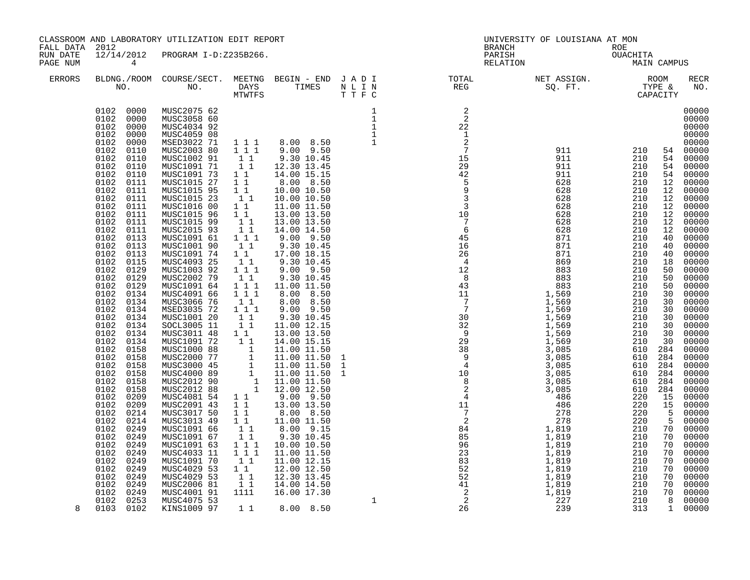| FALL DATA 2012       |                                                                                                                                                                                                                                                                                                                                                                                                                                                                                                                                                                                                                                                                                                                                                                                                                            | CLASSROOM AND LABORATORY UTILIZATION EDIT REPORT                                                                                                                                                                                                                                                                                                                                                                                                                                                                                                                                                                                                                                                                                                                                                                                                                                                                              |  |                                            |                                                                                                                                                            | UNIVERSITY OF LOUISIANA AT MON                               |                                                                                                                                                                                                                                                                                                                                                                                                                                    |                                                                                                                                                                                                                                                                                      |                                                                                                                                                                                                                                                                                                                                                                                                                                                                               |
|----------------------|----------------------------------------------------------------------------------------------------------------------------------------------------------------------------------------------------------------------------------------------------------------------------------------------------------------------------------------------------------------------------------------------------------------------------------------------------------------------------------------------------------------------------------------------------------------------------------------------------------------------------------------------------------------------------------------------------------------------------------------------------------------------------------------------------------------------------|-------------------------------------------------------------------------------------------------------------------------------------------------------------------------------------------------------------------------------------------------------------------------------------------------------------------------------------------------------------------------------------------------------------------------------------------------------------------------------------------------------------------------------------------------------------------------------------------------------------------------------------------------------------------------------------------------------------------------------------------------------------------------------------------------------------------------------------------------------------------------------------------------------------------------------|--|--------------------------------------------|------------------------------------------------------------------------------------------------------------------------------------------------------------|--------------------------------------------------------------|------------------------------------------------------------------------------------------------------------------------------------------------------------------------------------------------------------------------------------------------------------------------------------------------------------------------------------------------------------------------------------------------------------------------------------|--------------------------------------------------------------------------------------------------------------------------------------------------------------------------------------------------------------------------------------------------------------------------------------|-------------------------------------------------------------------------------------------------------------------------------------------------------------------------------------------------------------------------------------------------------------------------------------------------------------------------------------------------------------------------------------------------------------------------------------------------------------------------------|
| RUN DATE<br>PAGE NUM | 12/14/2012<br>$\overline{4}$                                                                                                                                                                                                                                                                                                                                                                                                                                                                                                                                                                                                                                                                                                                                                                                               | PROGRAM I-D:Z235B266.                                                                                                                                                                                                                                                                                                                                                                                                                                                                                                                                                                                                                                                                                                                                                                                                                                                                                                         |  |                                            |                                                                                                                                                            | PRANCH<br>PARISH<br>PARISH COUACHITA<br>RELATION MAIN CAMPUS |                                                                                                                                                                                                                                                                                                                                                                                                                                    |                                                                                                                                                                                                                                                                                      |                                                                                                                                                                                                                                                                                                                                                                                                                                                                               |
| <b>ERRORS</b>        |                                                                                                                                                                                                                                                                                                                                                                                                                                                                                                                                                                                                                                                                                                                                                                                                                            | NO. DAYS TIMES NLIN<br>MTWTFS TTFC                                                                                                                                                                                                                                                                                                                                                                                                                                                                                                                                                                                                                                                                                                                                                                                                                                                                                            |  |                                            | BLDNG./ROOM COURSE/SECT. MEETNG BEGIN – END JADI TOTAL NET ASSIGN. NET ASSIGN. ROOM ROOM COURSE WE BEGIN – END JADI TURE TOTAL NEG SQ. FT. TYPE & CAPACITY |                                                              |                                                                                                                                                                                                                                                                                                                                                                                                                                    |                                                                                                                                                                                                                                                                                      | RECR<br>NO.                                                                                                                                                                                                                                                                                                                                                                                                                                                                   |
| 8                    | 0102 0000<br>0102 0000<br>0102 0000<br>0102<br>0000<br>0102<br>0000<br>0110<br>0102<br>0102<br>0110<br>0102<br>0110<br>0102<br>0110<br>0102<br>0111<br>0102<br>0111<br>0102<br>0111<br>0102<br>0111<br>0102<br>0111<br>0102<br>0111<br>0102<br>0111<br>0102<br>0113<br>0102<br>0113<br>0102<br>0113<br>0102<br>0115<br>0102<br>0129<br>0102<br>0129<br>0129<br>0102<br>0102<br>0134<br>0102<br>0134<br>0102<br>0134<br>0102<br>0134<br>0102<br>0134<br>0102<br>0134<br>0102<br>0134<br>0102<br>0158<br>0102<br>0158<br>0102<br>0158<br>0102<br>0158<br>0102<br>0158<br>0102<br>0158<br>0102<br>0209<br>0102<br>0209<br>0102<br>0214<br>0102<br>0214<br>0102<br>0249<br>0102 0249<br>0102<br>0249<br>0102<br>0249<br>0249<br>0102<br>0102<br>0249<br>0102<br>0249<br>0102<br>0249<br>0102<br>0249<br>0102 0253<br>0103 0102 | MUSC2075 62<br>MUSC3058 60<br>MUSC4034 92<br>MUSC4059 08<br>MSED3022 71<br>MUSC2003 80<br>MUSC1002 91<br>MUSC1091 71<br>MUSC1091 73<br>MUSC1015 27<br>MUSC1015 95<br>MUSC1015 23<br>MUSC1016 00<br>MUSC1015 96<br>MUSC1015 99<br>MUSC2015 93<br>MUSC1091 61<br>MUSC1001 90<br>MUSC1091 74<br>MUSC4093 25<br>MUSC1003 92<br>MUSC2002 79<br>MUSC1091 64<br>MUSC4091 66<br>MUSC3066 76<br>MSED3035 72<br>MUSC1001 20<br>SOCL3005 11<br>MUSC3011 48<br>MUSC1091 72<br>MUSC1000 88<br>MUSC2000 77<br>MUSC2000 77<br>1 11.00 11.50<br>MUSC2000 45<br>1 11.00 11.50<br>MUSC2012 88<br>1 11.00 11.50<br>MUSC2012 88<br>1 11.00 11.50<br>MUSC2012 88<br>1 12.00 12.50<br>MUSC2012 88<br>1 12.00 12.50<br>MUSC4081 54<br>MUSC2091 43<br>MUSC3017 50<br>MUSC3013 49<br>MUSC1091 66<br>MUSC1091 67<br>MUSC1091 63<br>MUSC4033 11<br>MUSC1091 70<br>MUSC4029 53<br>MUSC4029 53<br>MUSC2006 81<br>MUSC4001 91<br>MUSC4075 53<br>KINS1009 97 |  | $\begin{array}{c} 1 \\ 1 \\ 1 \end{array}$ | $\frac{2}{2}$                                                                                                                                              |                                                              | $\begin{array}{ccc} 911 & 210 \\ 911 & 210 \\ 210 & 212 \end{array}$<br>210<br>210<br>210<br>210<br>210<br>210<br>210<br>210<br>210<br>210<br>210<br>210<br>210<br>210<br>210<br>210<br>210<br>210<br>210<br>210<br>210<br>210<br>210<br>610<br>610<br>610 284<br>610<br>610<br>610<br>220<br>220<br>220<br>220<br>210<br>210<br>210<br>210<br>210<br>$\begin{array}{r} 210 \\ 210 \\ 210 \\ 210 \\ 210 \\ 210 \\ 313 \end{array}$ | 54<br>54<br>12<br>12<br>12<br>12<br>12<br>12<br>12<br>40<br>40<br>40<br>18<br>50<br>50<br>50<br>30<br>30<br>30<br>30<br>30<br>30<br>30<br>284<br>284<br>284<br>284<br>284<br>15<br>15<br>5<br>$5^{\circ}$<br>70<br>70<br>70<br>70<br>70<br>70<br>70<br>70<br>70<br>8<br>$\mathbf{1}$ | 00000<br>00000<br>00000<br>00000<br>00000<br>54 00000<br>54 00000<br>00000<br>00000<br>00000<br>00000<br>00000<br>00000<br>00000<br>00000<br>00000<br>00000<br>00000<br>00000<br>00000<br>00000<br>00000<br>00000<br>00000<br>00000<br>00000<br>00000<br>00000<br>00000<br>00000<br>00000<br>00000<br>00000<br>00000<br>00000<br>00000<br>00000<br>00000<br>00000<br>00000<br>00000<br>00000<br>00000<br>00000<br>00000<br>00000<br>00000<br>00000<br>00000<br>00000<br>00000 |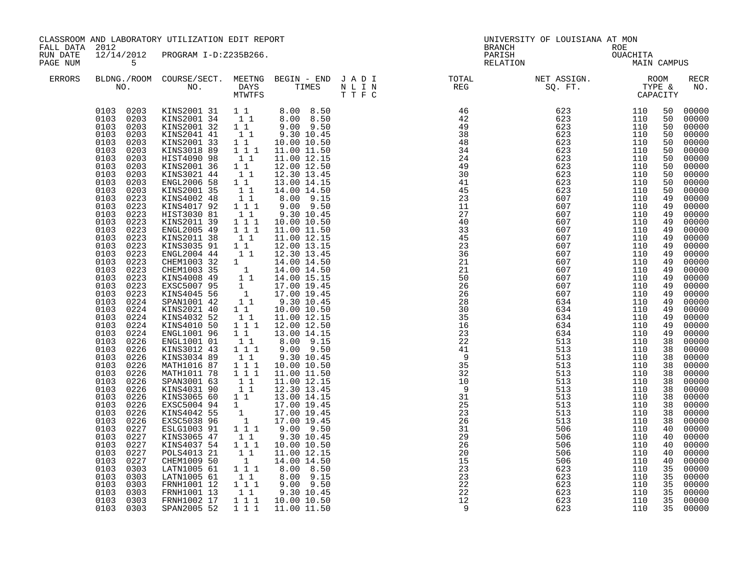| FALL DATA 2012       |                                                                                                                                                                                                                                                                                                                                                                                                                                                                                                                                                                                                   | CLASSROOM AND LABORATORY UTILIZATION EDIT REPORT                                                                                                                                                                                                                                                                                                                                                                                                                                                                                                                                                                                                                                                                                                                                                                                                                          |                                                                                                                                                                                                                                                                                                                                                                                                                                                                                                                                                                                                            |                                                                                                                                                                                                                                                                                                                                                                                                                                                                                                                                     |                                                                                                                                                                                                                                                                                                                                                                                                                                      | UNIVERSITY OF LOUISIANA AT MON<br>BRANCH |                         | ROE |                                                                                                                                                                                                                                                          |                                                                                                                                                                                                                                                                                                                                                                                              |
|----------------------|---------------------------------------------------------------------------------------------------------------------------------------------------------------------------------------------------------------------------------------------------------------------------------------------------------------------------------------------------------------------------------------------------------------------------------------------------------------------------------------------------------------------------------------------------------------------------------------------------|---------------------------------------------------------------------------------------------------------------------------------------------------------------------------------------------------------------------------------------------------------------------------------------------------------------------------------------------------------------------------------------------------------------------------------------------------------------------------------------------------------------------------------------------------------------------------------------------------------------------------------------------------------------------------------------------------------------------------------------------------------------------------------------------------------------------------------------------------------------------------|------------------------------------------------------------------------------------------------------------------------------------------------------------------------------------------------------------------------------------------------------------------------------------------------------------------------------------------------------------------------------------------------------------------------------------------------------------------------------------------------------------------------------------------------------------------------------------------------------------|-------------------------------------------------------------------------------------------------------------------------------------------------------------------------------------------------------------------------------------------------------------------------------------------------------------------------------------------------------------------------------------------------------------------------------------------------------------------------------------------------------------------------------------|--------------------------------------------------------------------------------------------------------------------------------------------------------------------------------------------------------------------------------------------------------------------------------------------------------------------------------------------------------------------------------------------------------------------------------------|------------------------------------------|-------------------------|-----|----------------------------------------------------------------------------------------------------------------------------------------------------------------------------------------------------------------------------------------------------------|----------------------------------------------------------------------------------------------------------------------------------------------------------------------------------------------------------------------------------------------------------------------------------------------------------------------------------------------------------------------------------------------|
| RUN DATE<br>PAGE NUM | 5 <sub>5</sub>                                                                                                                                                                                                                                                                                                                                                                                                                                                                                                                                                                                    | 12/14/2012 PROGRAM I-D:Z235B266.                                                                                                                                                                                                                                                                                                                                                                                                                                                                                                                                                                                                                                                                                                                                                                                                                                          |                                                                                                                                                                                                                                                                                                                                                                                                                                                                                                                                                                                                            |                                                                                                                                                                                                                                                                                                                                                                                                                                                                                                                                     |                                                                                                                                                                                                                                                                                                                                                                                                                                      | PARISH<br>RELATION                       | ROE<br>OUACHITA<br>MAIN |     | MAIN CAMPUS                                                                                                                                                                                                                                              |                                                                                                                                                                                                                                                                                                                                                                                              |
| <b>ERRORS</b>        |                                                                                                                                                                                                                                                                                                                                                                                                                                                                                                                                                                                                   |                                                                                                                                                                                                                                                                                                                                                                                                                                                                                                                                                                                                                                                                                                                                                                                                                                                                           |                                                                                                                                                                                                                                                                                                                                                                                                                                                                                                                                                                                                            |                                                                                                                                                                                                                                                                                                                                                                                                                                                                                                                                     |                                                                                                                                                                                                                                                                                                                                                                                                                                      |                                          |                         |     |                                                                                                                                                                                                                                                          | RECR<br>NO.                                                                                                                                                                                                                                                                                                                                                                                  |
|                      | 0103 0203<br>0103 0203<br>0103 0203<br>0103<br>0203<br>0103<br>0203<br>0103<br>0203<br>0103<br>0203<br>0103<br>0223<br>0103<br>0223<br>0103 0223<br>0103<br>0223<br>0103<br>0223<br>0103<br>0223<br>0103<br>0223<br>0103<br>0223<br>0103<br>0223<br>0103<br>0223<br>0103 0223<br>0103 0223<br>0103 0223<br>0103<br>0224<br>0103 0224<br>0103 0224<br>0103<br>0224<br>0103<br>0224<br>0103<br>0226<br>0103<br>0226<br>0103<br>0226<br>0103<br>0226<br>0103<br>0226<br>0103<br>0226<br>0103<br>0226<br>0103<br>0226<br>0103<br>0226<br>0103<br>0226<br>0103<br>0226<br>0103<br>0227<br>0103<br>0227 | $\begin{array}{cccccccc} 0103 & 0203 & \text{KINS2001} & 31 & 1 & 1 & 8.00 & 8.50 \\ 0103 & 0203 & \text{KINS2001} & 34 & 1 & 1 & 8.00 & 8.50 \\ 0103 & 0203 & \text{KINS2001} & 32 & 1 & 9.00 & 9.50 \\ 0103 & 0203 & \text{KINS2041} & 41 & 1 & 1 & 9.30 & 10.45 \end{array}$<br>KINS2001 33<br>KINS3018 89<br>HIST4090 98<br>KINS2001 36<br>KINS3021 44<br>ENGL2006 58<br>KINS2001 35<br>KINS4002 48<br>KINS4017 92<br>HIST3030 81<br>KINS2011 39<br>ENGL2005 49<br>KINS2011 38<br>KINS3035 91<br>ENGL2004 44<br>CHEM1003 32<br>CHEM1003 35<br>KINS4008 49<br>EXSC5007 95<br>KINS4045 56<br>SPAN1001 42<br>KINS2021 40<br>KINS4032 52<br>KINS4010 50<br>ENGL1001 96<br>ENGL1001 01<br>KINS3012 43<br>KINS3034 89<br>MATH1016 87<br>MATH1011 78<br>SPAN3001 63<br>KINS4031 90<br>KINS3065 60<br>EXSC5004 94<br>KINS4042 55<br>EXSC5038 96<br>ESLG1003 91<br>KINS3065 47 | $\begin{smallmatrix}1&1\\1&1&1\end{smallmatrix}$<br>$1\quad1$<br>11<br>$1\quad1$<br>11<br>$\begin{smallmatrix}1&1\\1&1\end{smallmatrix}$<br>1 1 1<br>$1\quad1$<br>1 1 1<br>$\overline{1}$ $\overline{1}$ $\overline{1}$<br>$1\quad1$<br>$1\quad1$<br>11<br>1<br>$\begin{bmatrix} 1 \\ 1 \end{bmatrix}$<br>$\begin{bmatrix} 1 \\ 1 \\ 1 \end{bmatrix}$<br>$1\quad1$<br>$1\quad1$<br>11<br>$\begin{smallmatrix}1&1\\1&1&1\end{smallmatrix}$<br>$1\quad1$<br>$\begin{array}{rrrr} & 1 & 1 \\ 1 & 1 & 1 \end{array}$<br>11<br>$1\quad1$<br>11<br>$\begin{bmatrix} 1 \\ 1 \\ 1 \\ 1 \end{bmatrix}$<br>$1\quad1$ | 10.00 10.50<br>11.00 11.50<br>11.00 12.15<br>12.00 12.50<br>12.30 13.45<br>13.00 14.15<br>14.00 14.50<br>8.00 9.15<br>9.00 9.50<br>9.30 10.45<br>10.00 10.50<br>11.00 11.50<br>11.00 12.15<br>12.00 13.15<br>12.30 13.45<br>14.00 14.50<br>14.00 14.50<br>14.00 15.15<br>17.00 19.45<br>17.00 19.45<br>9.30 10.45<br>10.00 10.50<br>11.00 12.15<br>13.00 14.15<br>9.30 10.45<br>10.00 10.50<br>11.00 11.50<br>11.00 12.15<br>12.30 13.45<br>13.00 14.15<br>17.00 19.45<br>17.00 19.45<br>17.00 19.45<br>$9.00$ $9.50$<br>9.30 10.45 | $\begin{smallmatrix} \text{N} & \text{L} & \text{R} & \text{R} & \text{R} & \text{R} \\ \text{N} & \text{R} & \text{R} & \text{R} & \text{R} \\ \text{N} & \text{R} & \text{R} & \text{R} & \text{R} \\ \text{N} & \text{R} & \text{R} & \text{R} & \text{R} \\ \text{N} & \text{R} & \text{R} & \text{R} & \text{R} \\ \text{N} & \text{R} & \text{R} & \text{R} & \text{R} \\ \text{N} & \text{R} & \text{R} & \text{R} & \text{R$ |                                          |                         |     | 50<br>50<br>50<br>50<br>50<br>50<br>50<br>50<br>50<br>50<br>50<br>49<br>49<br>49<br>49<br>49<br>49<br>49<br>49<br>49<br>49<br>49<br>49<br>49<br>49<br>49<br>49<br>49<br>49<br>38<br>38<br>38<br>38<br>38<br>38<br>38<br>38<br>38<br>38<br>38<br>40<br>40 | 00000<br>00000<br>00000<br>00000<br>00000<br>00000<br>00000<br>00000<br>00000<br>00000<br>00000<br>00000<br>00000<br>00000<br>00000<br>00000<br>00000<br>00000<br>00000<br>00000<br>$00000$<br>00000<br>00000<br>00000<br>$00000$<br>$00000$<br>00000<br>00000<br>00000<br>00000<br>00000<br>00000<br>00000<br>00000<br>00000<br>00000<br>00000<br>00000<br>00000<br>00000<br>00000<br>00000 |
|                      | 0103<br>0227<br>0103<br>0227<br>0103<br>0227<br>0103<br>0303<br>0103<br>0303<br>0103<br>0303                                                                                                                                                                                                                                                                                                                                                                                                                                                                                                      | KINS4037 54<br>POLS4013 21<br>CHEM1009 50<br>LATN1005 61<br>LATN1005 61<br>FRNH1001 12                                                                                                                                                                                                                                                                                                                                                                                                                                                                                                                                                                                                                                                                                                                                                                                    | $1 1 1$<br>11<br>1<br>111<br>11<br>$1 1 1$                                                                                                                                                                                                                                                                                                                                                                                                                                                                                                                                                                 | 10.00 10.50<br>11.00 12.15<br>14.00 14.50<br>8.00 8.50<br>8.00 9.15<br>$9.00$ $9.50$                                                                                                                                                                                                                                                                                                                                                                                                                                                |                                                                                                                                                                                                                                                                                                                                                                                                                                      |                                          |                         |     | 40<br>40<br>40<br>35<br>35<br>35                                                                                                                                                                                                                         | 00000<br>00000<br>00000<br>$00000$<br>$00000$<br>00000                                                                                                                                                                                                                                                                                                                                       |
|                      | 0103 0303<br>0103 0303<br>0103 0303                                                                                                                                                                                                                                                                                                                                                                                                                                                                                                                                                               | FRNH1001 13<br>FRNH1002 17<br>SPAN2005 52                                                                                                                                                                                                                                                                                                                                                                                                                                                                                                                                                                                                                                                                                                                                                                                                                                 | $1\quad1$<br>$1 1 1$<br>1 1 1                                                                                                                                                                                                                                                                                                                                                                                                                                                                                                                                                                              | 9.30 10.45<br>10.00 10.50<br>11.00 11.50                                                                                                                                                                                                                                                                                                                                                                                                                                                                                            |                                                                                                                                                                                                                                                                                                                                                                                                                                      |                                          |                         |     | 35<br>35                                                                                                                                                                                                                                                 | 00000<br>00000<br>35 00000                                                                                                                                                                                                                                                                                                                                                                   |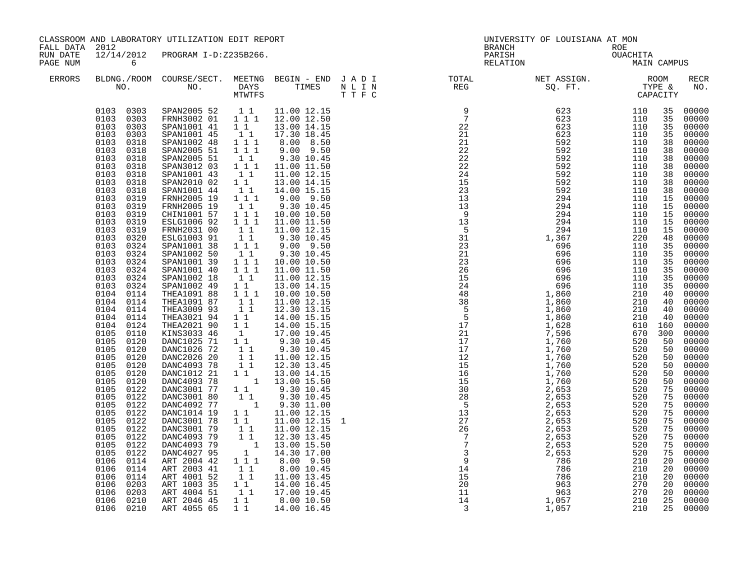| FALL DATA 2012       |                                                                                                                                                                                                                                                                                                                                                                                                                                                                                                                                                                                                                                                                                                               | CLASSROOM AND LABORATORY UTILIZATION EDIT REPORT                                                                                                                                                                                                                                                                                                                                                                                                                                                                                                                                                                                                                                                                                                                                                                                                                                                                                                                                                                                          |                                                                                                                                                                                                                                                                                                                                                                                                                                                                                                                                |                                                                                                                                                                                                                                                                                                                                                                                                                                                                                                                                                                                                                                                                                                                                                                                                                                                                            |  | UNIVERSITY OF LOUISIANA AT MON                                                                                                                                                                                                                                                                                                                                                                                                                 |  |                    |
|----------------------|---------------------------------------------------------------------------------------------------------------------------------------------------------------------------------------------------------------------------------------------------------------------------------------------------------------------------------------------------------------------------------------------------------------------------------------------------------------------------------------------------------------------------------------------------------------------------------------------------------------------------------------------------------------------------------------------------------------|-------------------------------------------------------------------------------------------------------------------------------------------------------------------------------------------------------------------------------------------------------------------------------------------------------------------------------------------------------------------------------------------------------------------------------------------------------------------------------------------------------------------------------------------------------------------------------------------------------------------------------------------------------------------------------------------------------------------------------------------------------------------------------------------------------------------------------------------------------------------------------------------------------------------------------------------------------------------------------------------------------------------------------------------|--------------------------------------------------------------------------------------------------------------------------------------------------------------------------------------------------------------------------------------------------------------------------------------------------------------------------------------------------------------------------------------------------------------------------------------------------------------------------------------------------------------------------------|----------------------------------------------------------------------------------------------------------------------------------------------------------------------------------------------------------------------------------------------------------------------------------------------------------------------------------------------------------------------------------------------------------------------------------------------------------------------------------------------------------------------------------------------------------------------------------------------------------------------------------------------------------------------------------------------------------------------------------------------------------------------------------------------------------------------------------------------------------------------------|--|------------------------------------------------------------------------------------------------------------------------------------------------------------------------------------------------------------------------------------------------------------------------------------------------------------------------------------------------------------------------------------------------------------------------------------------------|--|--------------------|
| RUN DATE<br>PAGE NUM | $\overline{6}$                                                                                                                                                                                                                                                                                                                                                                                                                                                                                                                                                                                                                                                                                                | 12/14/2012 PROGRAM I-D:Z235B266.                                                                                                                                                                                                                                                                                                                                                                                                                                                                                                                                                                                                                                                                                                                                                                                                                                                                                                                                                                                                          |                                                                                                                                                                                                                                                                                                                                                                                                                                                                                                                                |                                                                                                                                                                                                                                                                                                                                                                                                                                                                                                                                                                                                                                                                                                                                                                                                                                                                            |  | BRANCH ROE<br>PARISH OUACHITA<br>RELATION MAIN CAMPUS                                                                                                                                                                                                                                                                                                                                                                                          |  |                    |
| <b>ERRORS</b>        |                                                                                                                                                                                                                                                                                                                                                                                                                                                                                                                                                                                                                                                                                                               |                                                                                                                                                                                                                                                                                                                                                                                                                                                                                                                                                                                                                                                                                                                                                                                                                                                                                                                                                                                                                                           |                                                                                                                                                                                                                                                                                                                                                                                                                                                                                                                                |                                                                                                                                                                                                                                                                                                                                                                                                                                                                                                                                                                                                                                                                                                                                                                                                                                                                            |  | $\begin{tabular}{lllllllllllllllllllll} \textsc{BLONG.} \textsc{F100M.} & \textsc{COURSE/SECT.} & \textsc{METNG.} & \textsc{BEGIN - END} & \textsc{J A D I} & \textsc{DTAT} & \textsc{NTGTL} & \textsc{NET ASSIGN.} & \textsc{ROOM} \\ \textsc{NO.} & \textsc{NO.} & \textsc{DAYS} & \textsc{TIMES} & \textsc{N L I N} & \textsc{REG} & \textsc{SEG.} & \textsc{ST.} & \textsc{CTPE & \& \\ \textsc{MO.} & \textsc{NO.} & \textsc{MTWTFS} & \$ |  | <b>RECR</b><br>NO. |
|                      | 0103 0303<br>0103 0303<br>0103 0318<br>0103 0318<br>0103 0318<br>0103<br>0318<br>0103 0318<br>0103 0318<br>0103<br>0318<br>0103<br>0319<br>0103<br>0319<br>0103 0319<br>0103 0319<br>0103 0319<br>0103 0320<br>0103 0324<br>0103 0324<br>0103 0324<br>0103 0324<br>0103 0324<br>0103 0324<br>0104 0114<br>0104 0114<br>0104 0114<br>0104 0114<br>0104 0124<br>0105<br>0110<br>0105<br>0120<br>$0105$ $0120$<br>0105<br>0120<br>0105<br>0120<br>0105<br>0120<br>0105 0120<br>0105 0122<br>0105 0122<br>0105 0122<br>0105 0122<br>0105 0122<br>0105 0122<br>0105<br>0122<br>0105 0122<br>0105<br>0122<br>0106<br>0114<br>0106<br>0114<br>0106<br>0114<br>0106<br>0203<br>0106<br>0203<br>0106 0210<br>0106 0210 | $\begin{array}{cccccccc} 0103 & 0303 & \text{SPAN2005 $52$} & 1 & 1 & 11.00 & 12.15 \\ 0103 & 0303 & \text{FRNH3002} & 01 & 1 & 1 & 12.00 & 12.50 \end{array}$<br>SPAN1001 41  11  13.00 14.15<br>SPAN1001 45  11  17.30 18.45<br>SPAN1002 48<br>SPAN2005 51<br>SPAN2005 51<br>SPAN3012 03<br>SPAN1001 43<br>SPAN2010 02<br>SPAN1001 44<br>FRNH2005 19<br>FRNH2005 19<br>CHIN1001 57<br>ESLG1006 92<br>FRNH2031 00<br>ESLG1003 91<br>SPAN1001 38 1 1 1<br>SPAN1002 50<br>SPAN1001 39<br>SPAN1001 40<br>SPAN1002 18<br>SPAN1002 49<br>THEA1091 88<br>THEA1091 87<br>THEA3009 93<br>THEA3021 94<br>THEA2021 90<br>KINS3033 46<br>DANC1025 71 1 1<br>DANC1026 72 1 1<br>DANC2026 20<br>DANC4093 78<br>DANC1012 21 1 1 13.00 14.15<br>DANC4093 78 1 13.00 15.50<br>DANC3001 77 1 1 9.30 10.45<br>DANC3001 80 1 1 9.30 10.45<br>DANC4092 77<br>DANC1014 19<br>DANC3001 78<br>DANC3001 79<br>DANC4093 79<br>DANC4093 79<br>DANC4027 95<br>ART 2004 42<br>ART 2003 41<br>ART 4001 52<br>ART 1003 35<br>ART 4004 51<br>ART 2046 45<br>ART 4055 65 | 1 1 1<br>$1\bar{1}1$<br>$\begin{smallmatrix}1&1\\1&1&1\end{smallmatrix}$<br>$1\quad1$<br>$1\quad1$<br>$\begin{bmatrix} 1 \\ 1 \\ 1 \end{bmatrix}$<br>11<br>$1 1 1$<br>$1 1 1$<br>$\begin{bmatrix} 1 & 1 \\ 1 & 1 \end{bmatrix}$<br>$1\quad1$<br>$\begin{array}{rrrr} & 1 & 1 & 1 \\ & 1 & 1 & 1 \end{array}$<br>11<br>$\begin{bmatrix} 1 \\ 1 \\ 1 \\ 1 \\ 1 \\ 1 \end{bmatrix}$<br>11<br>11<br>$1\quad1$<br>1<br>$\begin{bmatrix} 1 \\ 1 \\ 1 \\ 1 \end{bmatrix}$<br>$1\quad1$<br>$1\quad1$<br>1 1 1<br>11<br>11<br>$1\quad1$ | 8.00 8.50<br>9.00 9.50<br>9.30 10.45<br>11.00 11.50<br>11.00 12.15<br>13.00 14.15<br>14.00 15.15<br>$9.00$ $9.50$<br>9.30 10.45<br>10.00 10.50<br>11.00 11.50<br>11.00 12.15<br>9.30 10.45<br>9.00 9.50<br>9.30 10.45<br>10.00 10.50<br>11.00 11.50<br>11.00 12.15<br>13.00 14.15<br>10.00 10.50<br>11.00 12.15<br>12.30 13.15<br>14.00 15.15<br>14.00 15.15<br>17.00 19.45<br>9.30 10.45<br>9.30 10.45<br>11.00 12.15<br>12.30 13.45<br>$\begin{bmatrix} 1 & 1 & 9 & 30 & 10 & 45 \\ 1 & 9 & 30 & 11 & 00 \end{bmatrix}$<br>11.00 12.15<br>11.00 12.15<br>$\begin{array}{rrrr} 1 & 1 & 11.00 & 12.15 \\ 1 & 11 & 12.30 & 13.45 \\ 1 & 12.30 & 13.45 \\ 1 & 13.00 & 15.50 \\ 1 & 14.30 & 17.00 \end{array}$<br>8.00 9.50<br>8.00 10.45<br>11.00 13.45<br>14.00 16.45<br>$\begin{array}{cccc} 1 & 1 & 17.00 & 19.45 \\ 1 & 1 & 8.00 & 10.50 \end{array}$<br>1 1 14.00 16.45 |  | $\begin{smallmatrix}\n\text{R}^{\text{H}}\text{R}^{\text{H}}\text{R}^{\text{H}}\text{R}^{\text{H}}\text{R}^{\text{H}}\text{R}^{\text{H}}\text{R}^{\text{H}}\text{R}^{\text{H}}\text{R}^{\text{H}}\text{R}^{\text{H}}\text{R}^{\text{H}}\text{R}^{\text{H}}\text{R}^{\text{H}}\text{R}^{\text{H}}\text{R}^{\text{H}}\text{R}^{\text{H}}\text{R}^{\text{H}}\text{R}^{\text{H}}\text{R}^{\text{H}}\text{R$                                        |  |                    |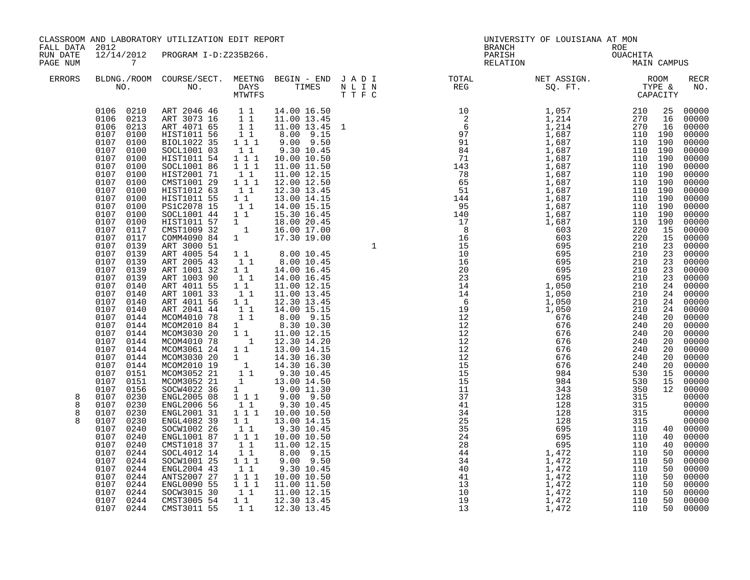| FALL DATA 2012       |                                                                                                                                                                                                                                                                                                                                                                                                                                                                                                                                                                                                                                                                                                                   | CLASSROOM AND LABORATORY UTILIZATION EDIT REPORT                                                                                                                                                                                                                                                                                                                                                                                                                                                                                                                                                                                                                                                                                                                                                                                      |                                                                                                                                                                                                                                                                                                                                                                                                                                                                                                                                                                                                                                                                                 |                                                                                                                                                                                                                                                                                                                                                                                                                                                                                                                                                                                                                                                                                                                                                                                                                                                                    |  | UNIVERSITY OF LOUISIANA AT MON<br><b>BRANCH</b>                                                                                                                                                                                                                                                                                                                                                                                                |             |                                                                                                                                                                                                                                                                                                                                                                                                                                                                                                                                                                                                            |
|----------------------|-------------------------------------------------------------------------------------------------------------------------------------------------------------------------------------------------------------------------------------------------------------------------------------------------------------------------------------------------------------------------------------------------------------------------------------------------------------------------------------------------------------------------------------------------------------------------------------------------------------------------------------------------------------------------------------------------------------------|---------------------------------------------------------------------------------------------------------------------------------------------------------------------------------------------------------------------------------------------------------------------------------------------------------------------------------------------------------------------------------------------------------------------------------------------------------------------------------------------------------------------------------------------------------------------------------------------------------------------------------------------------------------------------------------------------------------------------------------------------------------------------------------------------------------------------------------|---------------------------------------------------------------------------------------------------------------------------------------------------------------------------------------------------------------------------------------------------------------------------------------------------------------------------------------------------------------------------------------------------------------------------------------------------------------------------------------------------------------------------------------------------------------------------------------------------------------------------------------------------------------------------------|--------------------------------------------------------------------------------------------------------------------------------------------------------------------------------------------------------------------------------------------------------------------------------------------------------------------------------------------------------------------------------------------------------------------------------------------------------------------------------------------------------------------------------------------------------------------------------------------------------------------------------------------------------------------------------------------------------------------------------------------------------------------------------------------------------------------------------------------------------------------|--|------------------------------------------------------------------------------------------------------------------------------------------------------------------------------------------------------------------------------------------------------------------------------------------------------------------------------------------------------------------------------------------------------------------------------------------------|-------------|------------------------------------------------------------------------------------------------------------------------------------------------------------------------------------------------------------------------------------------------------------------------------------------------------------------------------------------------------------------------------------------------------------------------------------------------------------------------------------------------------------------------------------------------------------------------------------------------------------|
| RUN DATE<br>PAGE NUM | 12/14/2012<br>$\overline{7}$                                                                                                                                                                                                                                                                                                                                                                                                                                                                                                                                                                                                                                                                                      | PROGRAM I-D:Z235B266.                                                                                                                                                                                                                                                                                                                                                                                                                                                                                                                                                                                                                                                                                                                                                                                                                 |                                                                                                                                                                                                                                                                                                                                                                                                                                                                                                                                                                                                                                                                                 |                                                                                                                                                                                                                                                                                                                                                                                                                                                                                                                                                                                                                                                                                                                                                                                                                                                                    |  | ROE<br>OUACHITA<br>MAIN<br>PARISH<br>RELATION                                                                                                                                                                                                                                                                                                                                                                                                  | MAIN CAMPUS |                                                                                                                                                                                                                                                                                                                                                                                                                                                                                                                                                                                                            |
| <b>ERRORS</b>        |                                                                                                                                                                                                                                                                                                                                                                                                                                                                                                                                                                                                                                                                                                                   |                                                                                                                                                                                                                                                                                                                                                                                                                                                                                                                                                                                                                                                                                                                                                                                                                                       |                                                                                                                                                                                                                                                                                                                                                                                                                                                                                                                                                                                                                                                                                 |                                                                                                                                                                                                                                                                                                                                                                                                                                                                                                                                                                                                                                                                                                                                                                                                                                                                    |  | $\begin{tabular}{lllllllllllllllllllll} \textsc{BLONG.} \textsc{F100M.} & \textsc{CUIRSE/SECT.} & \textsc{METNG.} & \textsc{BEGIN - END.} & \textsc{J A D I} & \textsc{DTAT} & \textsc{NTGTL} & \textsc{NET ASSIGN.} & \textsc{ROOM} \\ \textsc{NO.} & \textsc{NO.} & \textsc{DAYS} & \textsc{TIMES} & \textsc{N L I N} & \textsc{REG} & \textsc{SG. FT.} & \textsc{CTP2} & \textsc{CAPACITY} \\ & \textsc{MTVTFS} & \textsc{T T F C} & \text$ |             | RECR<br>NO.                                                                                                                                                                                                                                                                                                                                                                                                                                                                                                                                                                                                |
| 8<br>8<br>8<br>8     | 0106 0210<br>0106 0213<br>0106 0213<br>0107<br>0100<br>0107 0100<br>0107 0100<br>0107 0100<br>0107 0100<br>0107 0100<br>0107 0100<br>0107 0100<br>0107 0100<br>0107 0100<br>0107 0100<br>0107 0100<br>0107 0117<br>0107<br>0117<br>0107 0139<br>0107 0139<br>0107 0139<br>0107 0139<br>0107 0139<br>0107 0140<br>0107 0140<br>0107<br>0140<br>0107 0140<br>$0107$ $0144$<br>0107 0144<br>0107<br>0144<br>0107<br>0144<br>0107 0144<br>0107 0144<br>0107 0144<br>0107 0151<br>0107 0151<br>0107 0156<br>0107 0230<br>0107 0230<br>0107 0230<br>0107 0230<br>0107 0240<br>0107<br>0240<br>0107<br>0240<br>0107<br>0244<br>0107<br>0244<br>0107<br>0244<br>0107<br>0244<br>0107<br>0244<br>0107<br>0244<br>0107 0244 | ART 2046 46 11<br>ART 3073 16 11<br>ART 4071 65 11<br>HIST1011 56 11<br>BIOL1022 35 1 1 1<br>SOCL1001 03<br>HIST1011 54<br>SOCL1001 86<br>HIST2001 71<br>CMST1001 29<br>HIST1012 63<br>HIST1011 55<br>PS1C2078 15<br>SOCL1001 44<br>HIST1011 57<br>CMST1009 32<br>COMM4090 84<br>ART 3000 51<br>ART 4005 54<br>ART 2005 43<br>ART 1001 32<br>ART 1003 90<br>ART 4011 55<br>ART 1001 33<br>ART 4011 56<br>ART 2041 44<br>MCOM4010 78<br>MCOM2010 84<br>MCOM3030 20<br>MCOM4010 78<br>MCOM3061 24<br>MCOM3030 20 1 14.30 16.30<br>MCOM3030 20 1 14.30 16.30<br>MCOM3052 21 1 9.30 10.45<br>MCOM3052 21<br>SOCW4022 36<br>ENGL2005 08<br>ENGL2006 56<br>ENGL2001 31<br>ENGL4082 39<br>SOCW1002 26<br>ENGL1001 87<br>CMST1018 37<br>SOCL4012 14<br>SOCW1001 25<br>ENGL2004 43<br>ANTS2007 27<br>ENGL0090 55<br>SOCW3015 30<br>CMST3005 54 | $\begin{bmatrix} 1 & 1 \\ 1 & 1 \\ 1 & 1 \end{bmatrix}$<br>$\begin{bmatrix} 1 & 1 \\ 1 & 1 \end{bmatrix}$<br>$\begin{bmatrix} 1 & 1 \\ 1 & 1 \end{bmatrix}$<br>$1\quad1$<br>$1^{\degree}1^{\degree}$<br>$\begin{bmatrix} 1 \\ 1 \end{bmatrix}$<br>$1\quad1$<br>11<br>11<br>$1\quad1$<br>$\begin{bmatrix} 1 \\ 1 \\ 1 \end{bmatrix}$<br>$\begin{smallmatrix}1\1\1\end{smallmatrix}$<br>$\begin{array}{c} 1 \\ 1 \end{array}$<br>$\begin{bmatrix} 1 \\ 1 \end{bmatrix}$<br>$1 1 1$<br>11<br>$\begin{bmatrix} 1 & 1 \\ 1 & 1 \\ 1 & 1 \end{bmatrix}$<br>$\begin{smallmatrix}1&1\\1&1\end{smallmatrix}$<br>$1$ $1$ $1$<br>$1\quad1$<br>$1 1 1$<br>$1 1 1$<br>$1\quad1$<br>$1\quad1$ | 14.00 16.50<br>11.00 13.45<br>11.00 13.45 1<br>8.00 9.15<br>$9.00$ $9.50$<br>9.30 10.45<br>10.00 10.50<br>11.00 11.50<br>11.00 12.15<br>12.00 12.50<br>12.30 13.45<br>13.00 14.15<br>14.00 15.15<br>15.30 16.45<br>$\begin{array}{cccc} 1 & & 18.00 & 20.45 \\ 1 & & 16.00 & 17.00 \\ 1 & & 17.30 & 19.00 \end{array}$<br>$\begin{array}{cccc} 1 & 1 & & 8\, . \, 00 & 10\, . \, 45 \\ 1 & 1 & & 8\, . \, 00 & 10\, . \, 45 \end{array}$<br>14.00 16.45<br>14.00 16.45<br>11.00 12.15<br>11.00 13.45<br>12.30 13.45<br>14.00 15.15<br>$8.00$ $9.15$<br>8.30 10.30<br>11.00 12.15<br>12.30 14.20<br>13.00 14.15<br>13.00 14.50<br>9.00 11.30<br>$9.00$ $9.50$<br>9.30 10.45<br>1 1 1 10.00 10.50<br>13.00 14.15<br>9.30 10.45<br>10.00 10.50<br>11.00 12.15<br>8.00 9.15<br>$9.00$ $9.50$<br>9.30 10.45<br>10.00 10.50<br>11.00 11.50<br>11.00 12.15<br>12.30 13.45 |  |                                                                                                                                                                                                                                                                                                                                                                                                                                                |             | 00000<br>00000<br>00000<br>00000<br>00000<br>$00000$<br>$00000$<br>$00000$<br>$00000$<br>$00000$<br>$00000$<br>00000<br>$00000$<br>00000<br>00000<br>00000<br>$00000$<br>00000<br>00000<br>$00000$<br>00000<br>00000<br>00000<br>$\begin{array}{@{}ll} 24 & 00000 \\ 24 & 00000 \\ 24 & 00000 \\ 24 & 00000 \\ 20 & 00000 \end{array}$<br>00000<br>00000<br>$00000$<br>00000<br>00000<br>$00000$<br>00000<br>00000<br>12 00000<br>$00000$<br>00000<br>00000<br>00000<br>$\begin{array}{cc} 40 & 00000 \\ 40 & 00000 \end{array}$<br>00000<br>00000<br>00000<br>00000<br>$00000$<br>00000<br>00000<br>00000 |
|                      | 0107 0244                                                                                                                                                                                                                                                                                                                                                                                                                                                                                                                                                                                                                                                                                                         | CMST3011 55                                                                                                                                                                                                                                                                                                                                                                                                                                                                                                                                                                                                                                                                                                                                                                                                                           | $1\quad1$                                                                                                                                                                                                                                                                                                                                                                                                                                                                                                                                                                                                                                                                       | 12.30 13.45                                                                                                                                                                                                                                                                                                                                                                                                                                                                                                                                                                                                                                                                                                                                                                                                                                                        |  |                                                                                                                                                                                                                                                                                                                                                                                                                                                |             | 00000                                                                                                                                                                                                                                                                                                                                                                                                                                                                                                                                                                                                      |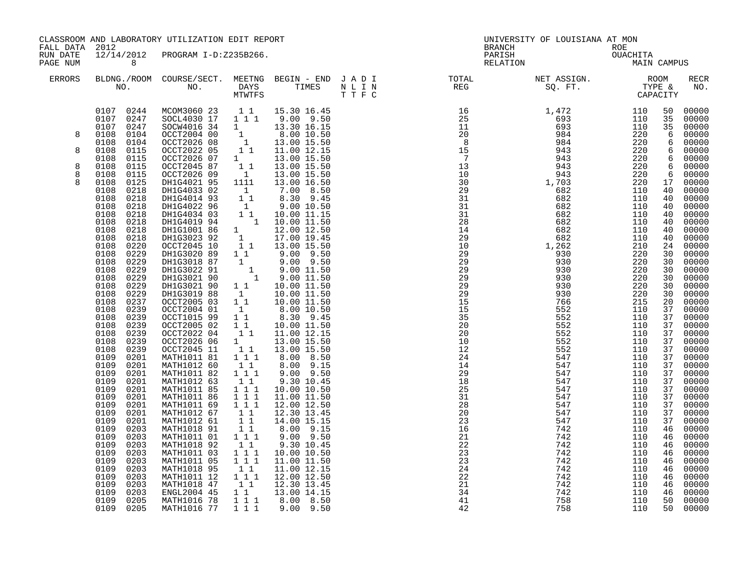| FALL DATA 2012<br>BRANCH<br>ROE<br>OUACHITA<br>MAIN<br>12/14/2012 PROGRAM I-D:Z235B266.<br>PARISH<br>RUN DATE<br>PAGE NUM<br>8 <sup>8</sup><br>RELATION<br>ERRORS                                                                                                                                                                                                                                                                                                                                                                                                                                                                                                                                                                                                                                                                                                                                                                                                                                                                                                                                                                                                                                                                                                                                                                                                                                                                                                                                                                                                                                                                                                                                                                                                                                                                                                                                                                                                                                                                                                                                                                                                                                                                                                                                                                                                                                                                                                                                                                                                                                                                                                                                                                                                                                                                                                                                                                                                                                                                                                                                                                                                                                                                                                                                                                                                  | MAIN CAMPUS |                                                                                                                                                                                                                                                                                                                                                                                                                                                                                                                 |
|--------------------------------------------------------------------------------------------------------------------------------------------------------------------------------------------------------------------------------------------------------------------------------------------------------------------------------------------------------------------------------------------------------------------------------------------------------------------------------------------------------------------------------------------------------------------------------------------------------------------------------------------------------------------------------------------------------------------------------------------------------------------------------------------------------------------------------------------------------------------------------------------------------------------------------------------------------------------------------------------------------------------------------------------------------------------------------------------------------------------------------------------------------------------------------------------------------------------------------------------------------------------------------------------------------------------------------------------------------------------------------------------------------------------------------------------------------------------------------------------------------------------------------------------------------------------------------------------------------------------------------------------------------------------------------------------------------------------------------------------------------------------------------------------------------------------------------------------------------------------------------------------------------------------------------------------------------------------------------------------------------------------------------------------------------------------------------------------------------------------------------------------------------------------------------------------------------------------------------------------------------------------------------------------------------------------------------------------------------------------------------------------------------------------------------------------------------------------------------------------------------------------------------------------------------------------------------------------------------------------------------------------------------------------------------------------------------------------------------------------------------------------------------------------------------------------------------------------------------------------------------------------------------------------------------------------------------------------------------------------------------------------------------------------------------------------------------------------------------------------------------------------------------------------------------------------------------------------------------------------------------------------------------------------------------------------------------------------------------------------|-------------|-----------------------------------------------------------------------------------------------------------------------------------------------------------------------------------------------------------------------------------------------------------------------------------------------------------------------------------------------------------------------------------------------------------------------------------------------------------------------------------------------------------------|
|                                                                                                                                                                                                                                                                                                                                                                                                                                                                                                                                                                                                                                                                                                                                                                                                                                                                                                                                                                                                                                                                                                                                                                                                                                                                                                                                                                                                                                                                                                                                                                                                                                                                                                                                                                                                                                                                                                                                                                                                                                                                                                                                                                                                                                                                                                                                                                                                                                                                                                                                                                                                                                                                                                                                                                                                                                                                                                                                                                                                                                                                                                                                                                                                                                                                                                                                                                    |             |                                                                                                                                                                                                                                                                                                                                                                                                                                                                                                                 |
| $\begin{tabular}{lllllllllllllllllllll} \textsc{BLONG.} \textsc{F100M.} & \textsc{COURSE/SECT.} & \textsc{METNG.} & \textsc{BEGIN - END.} & \textsc{J A D I} & \textsc{DTATM E} & \textsc{NET ASSIGN.} & \textsc{ROOM} \\ \textsc{NO.} & \textsc{NO.} & \textsc{DAYS} & \textsc{TIMES} & \textsc{N L I N} & \textsc{REG} & \textsc{SEG} & \textsc{ST.} & \textsc{STF.} & \textsc{CTPACITY} \\ & \textsc{MTVTFS} & \textsc{T T F C} & \textsc{$                                                                                                                                                                                                                                                                                                                                                                                                                                                                                                                                                                                                                                                                                                                                                                                                                                                                                                                                                                                                                                                                                                                                                                                                                                                                                                                                                                                                                                                                                                                                                                                                                                                                                                                                                                                                                                                                                                                                                                                                                                                                                                                                                                                                                                                                                                                                                                                                                                                                                                                                                                                                                                                                                                                                                                                                                                                                                                                     |             | RECR<br>NO.                                                                                                                                                                                                                                                                                                                                                                                                                                                                                                     |
| $\begin{smallmatrix} 0.11&0.02&0.000&0.000&0.000&0.000&0.000&0.000&0.000&0.000&0.000&0.000&0.000&0.000&0.000&0.000&0.000&0.000&0.000&0.000&0.000&0.000&0.000&0.000&0.000&0.000&0.000&0.000&0.000&0.000&0.000&0.000&0.000&0.000&0.000&0.000$<br>$\begin{array}{cccccccc} 0107 & 0244 & \text{MCOM3060} & 23 & 1 & 1 & 15.30 & 16.45 \\ 0107 & 0247 & \text{SOCL4030} & 17 & 1 & 1 & 1 & 9.00 & 9.50 \end{array}$<br>00000116 34<br>000072026 08 1 3.30 16.15<br>000072026 08 1 13.00 15.50<br>00072022 05 1 1 11.00 12.15<br>0107 0247<br>0108<br>0104<br>8<br>0108<br>0104<br>0108 0115<br>8<br>0CCT2026 07<br>0CCT2026 07<br>1 1<br>0CCT2026 09<br>1 DHIG4021 95<br>1111<br>0108<br>0115<br>13.00 15.50<br>0108<br>0115<br>13.00 15.50<br>8<br>8<br>0108<br>0115<br>13.00 15.50<br>8<br>0108<br>0125<br>13.00 16.50<br>0108<br>DH1G4033 02<br>DH1G4014 93<br>0218<br>$\begin{array}{cccc} 1111 & 13.00 & 16.50 \ 1 & 7.00 & 8.50 \ 1 & 8.30 & 9.45 \ 1 & 9.00 & 10.50 \ 1 & 10.00 & 11.15 \ 1 & 10.00 & 11.50 \ 1 & 12.00 & 12.50 \ 1 & 17.00 & 19.45 \ 1 & 1 & 13.00 & 15.50 \end{array}$<br>0108<br>0218<br>0108<br>0218<br>DH1G4022 96<br>DH1G4034 03<br>0108<br>0218<br>0108<br>0218<br>DH1G4019 94<br>DH1G1001 86<br>0108<br>0218<br>0108<br>0218<br>DH1G3023 92<br>OCCT2045 10<br>0108<br>0220<br>0108<br>0229<br>0.00 9.50<br>DHIG3020 89 1 1 9.00 9.50<br>DHIG3022 91 1 9.00 11.50<br>DHIG3022 91 1 9.00 11.50<br>DHIG3021 90 1 9.00 11.50<br>0108<br>0229<br>0108<br>0229<br>0108 0229<br>0108<br>0229<br>DH1G3021 90<br>$\begin{array}{ccc} 1 & 1 & 10.00 & 11.50 \\ 1 & 10.00 & 11.50 \\ 1 & 1 & 10.00 & 11.50 \end{array}$<br>0108<br>0229<br>DH1G3019 88<br>0108<br>0237<br>OCCT2005 03<br>0239<br>0239<br>OCCT2004 01<br>OCCT1015 99<br>0108<br>$\begin{array}{rrrr} 1 & 3.00 & 10.50 \ 1 & 8.30 & 9.45 \ 1 & 1 & 10.00 & 11.50 \ 1 & 11.00 & 12.15 \end{array}$<br>0108<br>0108<br>0239<br>OCCT2005 02<br>OCCT2022 04<br>0108<br>0239<br>0108<br>0239<br>OCCT2026 06<br>OCCT2045 11<br>$\begin{bmatrix} 1\\ 1\\ 1\\ 1 \end{bmatrix}$<br>13.00 15.50<br>0108<br>0239<br>13.00 15.50<br>MATH1011 81<br>0109<br>0201<br>8.00 8.50<br>0109<br>MATH1012 60<br>$1\quad1$<br>8.00 9.15<br>0201<br>0109<br>0201<br>MATH1011 82<br>111<br>$9.00$ $9.50$<br>MATH1012 63<br>0109<br>0201<br>$1\quad1$<br>9.30 10.45<br>0109<br>$1\ 1\ 1$<br>0201<br>MATH1011 85<br>10.00 10.50<br>0109<br>0201<br>MATH1011 86<br>111<br>11.00 11.50<br>MATH1011 69 1 1 1<br>0109<br>0201<br>12.00 12.50<br>0109<br>0201<br>MATH1012 67<br>$\begin{bmatrix} 1 & 1 \\ 1 & 1 \end{bmatrix}$<br>12.30 13.45<br>0109<br>0201<br>MATH1012 61<br>14.00 15.15<br>0109<br>0203<br>MATH1018 91<br>$\begin{smallmatrix}1&1\\1&1&1\end{smallmatrix}$<br>8.00 9.15<br>9.00 9.50<br>0109<br>MATH1011 01<br>0203<br>0109<br>0203<br>MATH1018 92<br>MATH1011 03<br>$\begin{smallmatrix}1&1\\1&1&1\end{smallmatrix}$<br>9.30 10.45<br>0109<br>0203<br>10.00 10.50<br>$1 1 1$<br>0109<br>0203<br>MATH1011 05<br>MATH1018 95<br>11.00 11.50<br>$\begin{bmatrix} 1 \\ 1 \end{bmatrix}$<br>0109<br>0203<br>11.00 12.15<br>MATH1011 12<br>MATH1018 47<br>ENGL2004 45<br>$1 1 1$<br>0109<br>0203<br>12.00 12.50<br>0109<br>11<br>0203<br>12.30 13.45<br>0109<br>1 1 13.00 14.15<br>0203<br>0109<br>MATH1016 78<br>$1 1 1$<br>8.00 8.50<br>0205<br>0109 0205<br>MATH1016 77<br>1 1 1<br>$9.00$ $9.50$ |             | 50 00000<br>00000<br>35 00000<br>00000<br>6 00000<br>6 00000<br>6 00000<br>00000<br>00000<br>00000<br>00000<br>00000<br>$00000$<br>00000<br>00000<br>00000<br>00000<br>00000<br>00000<br>00000<br>$00000$<br>00000<br>00000<br>$00000$<br>00000<br>00000<br>00000<br>00000<br>00000<br>00000<br>00000<br>00000<br>37 00000<br>00000<br>00000<br>00000<br>00000<br>$00000$<br>$00000$<br>00000<br>$00000$<br>$00000$<br>46 00000<br>46 00000<br>00000<br>00000<br>$00000$<br>00000<br>00000<br>00000<br>50 00000 |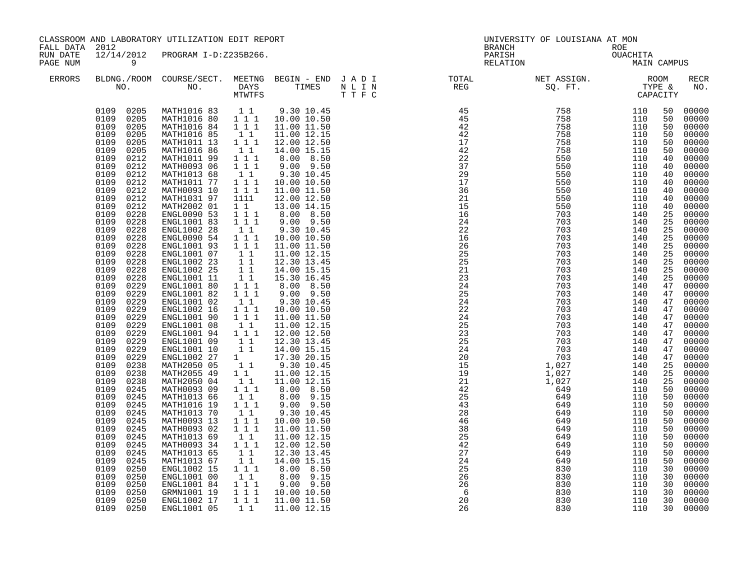| FALL DATA 2012       |                                                                                                                                                                                                                                                                                                                                                                                                                                                                                                                                                                                                                                                                                                                                                                                                                                     | CLASSROOM AND LABORATORY UTILIZATION EDIT REPORT                                                                                                                                                                                                                                                                                                                                                                                                                                                                                                                                                                                                                                                                                                                                                                  |                                                                                                                                                                                                                                                                                                                                                                                                                                                                                                                                                                                                                                                                                                                                                                                                                                                                                                        |                                                                                                                                                                                                                                                                                                                                                                                                                                                                                                                                                                                                                                                                                                                                                          |                 | UNIVERSITY OF LOUISIANA AT MON<br>BRANCH                                                                                  |                                 |                                                                                                                                                                                                                                                                                                                |                                                                                                                                                                                                                                                                                                                                                                                                                                                       |
|----------------------|-------------------------------------------------------------------------------------------------------------------------------------------------------------------------------------------------------------------------------------------------------------------------------------------------------------------------------------------------------------------------------------------------------------------------------------------------------------------------------------------------------------------------------------------------------------------------------------------------------------------------------------------------------------------------------------------------------------------------------------------------------------------------------------------------------------------------------------|-------------------------------------------------------------------------------------------------------------------------------------------------------------------------------------------------------------------------------------------------------------------------------------------------------------------------------------------------------------------------------------------------------------------------------------------------------------------------------------------------------------------------------------------------------------------------------------------------------------------------------------------------------------------------------------------------------------------------------------------------------------------------------------------------------------------|--------------------------------------------------------------------------------------------------------------------------------------------------------------------------------------------------------------------------------------------------------------------------------------------------------------------------------------------------------------------------------------------------------------------------------------------------------------------------------------------------------------------------------------------------------------------------------------------------------------------------------------------------------------------------------------------------------------------------------------------------------------------------------------------------------------------------------------------------------------------------------------------------------|----------------------------------------------------------------------------------------------------------------------------------------------------------------------------------------------------------------------------------------------------------------------------------------------------------------------------------------------------------------------------------------------------------------------------------------------------------------------------------------------------------------------------------------------------------------------------------------------------------------------------------------------------------------------------------------------------------------------------------------------------------|-----------------|---------------------------------------------------------------------------------------------------------------------------|---------------------------------|----------------------------------------------------------------------------------------------------------------------------------------------------------------------------------------------------------------------------------------------------------------------------------------------------------------|-------------------------------------------------------------------------------------------------------------------------------------------------------------------------------------------------------------------------------------------------------------------------------------------------------------------------------------------------------------------------------------------------------------------------------------------------------|
| RUN DATE<br>PAGE NUM | $\overline{9}$                                                                                                                                                                                                                                                                                                                                                                                                                                                                                                                                                                                                                                                                                                                                                                                                                      | 12/14/2012 PROGRAM I-D:Z235B266.                                                                                                                                                                                                                                                                                                                                                                                                                                                                                                                                                                                                                                                                                                                                                                                  |                                                                                                                                                                                                                                                                                                                                                                                                                                                                                                                                                                                                                                                                                                                                                                                                                                                                                                        |                                                                                                                                                                                                                                                                                                                                                                                                                                                                                                                                                                                                                                                                                                                                                          |                 | ROE<br>OUACHITA<br>MAIN CAMPUS<br>PARISH<br>RELATION                                                                      |                                 |                                                                                                                                                                                                                                                                                                                |                                                                                                                                                                                                                                                                                                                                                                                                                                                       |
| ERRORS               |                                                                                                                                                                                                                                                                                                                                                                                                                                                                                                                                                                                                                                                                                                                                                                                                                                     | NO. DAYS TIMES NLIN<br>MTWTFS TTFC                                                                                                                                                                                                                                                                                                                                                                                                                                                                                                                                                                                                                                                                                                                                                                                |                                                                                                                                                                                                                                                                                                                                                                                                                                                                                                                                                                                                                                                                                                                                                                                                                                                                                                        |                                                                                                                                                                                                                                                                                                                                                                                                                                                                                                                                                                                                                                                                                                                                                          |                 | BLDNG./ROOM COURSE/SECT. MEETNG BEGIN – END JADI TOTAL NET ASSIGN. NET ASSIGN. ROOM NO. DAYS TIMES NLIN REG SQ.FT. TYPE & |                                 |                                                                                                                                                                                                                                                                                                                | RECR<br>NO.                                                                                                                                                                                                                                                                                                                                                                                                                                           |
|                      | 0109 0205<br>0109 0205<br>0109<br>0205<br>0109<br>0205<br>0109<br>0205<br>0109<br>0205<br>0109<br>0212<br>0109<br>0212<br>0109<br>0212<br>0109<br>0212<br>0109<br>0212<br>0109<br>0212<br>0109<br>0212<br>0109<br>0228<br>0109<br>0228<br>0109<br>0228<br>0109<br>0228<br>0109<br>0228<br>0109<br>0228<br>0109<br>0228<br>0109<br>0228<br>0109<br>0228<br>0109<br>0229<br>0109<br>0229<br>0109<br>0229<br>0109<br>0229<br>0109<br>0229<br>0109<br>0229<br>0109<br>0229<br>0109<br>0229<br>0109<br>0229<br>0109<br>0229<br>0109<br>0238<br>0109<br>0238<br>0109<br>0238<br>0109<br>0245<br>0109<br>0245<br>0109<br>0245<br>0109<br>0245<br>0109<br>0245<br>0109<br>0245<br>0109<br>0245<br>0109<br>0245<br>0109<br>0245<br>0109<br>0245<br>0109<br>0250<br>0109<br>0250<br>0109<br>0250<br>0109<br>0250<br>0109<br>0250<br>0109 0250 | MATH1016 83 1 1<br>MATH1016 80  1  1  10.00  10.50<br>MATH1016 84<br>MATH1016 85<br>MATH1011 13<br>MATH1016 86<br>MATH1011 99<br>MATH0093 06<br>MATH1013 68<br>MATH1011 77<br>MATH0093 10<br>MATH1031 97<br>MATH2002 01<br>ENGL0090 53<br>ENGL1001 83<br>ENGL1002 28<br>ENGL0090 54<br>ENGL1001 93<br>ENGL1001 07<br>ENGL1002 23<br>ENGL1002 25<br>ENGL1001 11<br>ENGL1001 80<br>ENGL1001 82<br>ENGL1001 02<br>ENGL1002 16<br>ENGL1001 90<br>ENGL1001 08<br>ENGL1001 94<br>ENGL1001 09<br>ENGL1001 10<br>ENGL1002 27<br>MATH2050 05<br>MATH2055 49<br>MATH2050 04<br>MATH0093 09<br>MATH1013 66<br>MATH1016 19<br>MATH1013 70<br>MATH0093 13<br>MATH0093 02<br>MATH1013 69<br>MATH0093 34<br>MATH1013 65<br>MATH1013 67<br>ENGL1002 15<br>ENGL1001 00<br>ENGL1001 84<br>GRMN1001 19<br>ENGL1002 17<br>ENGL1001 05 | 1 1 1<br>11<br>1 1 1<br>$1\quad1$<br>$1 1 1$<br>$1 1 1$<br>$1\quad1$<br>$\begin{array}{rrrr}\n1 & 1 & 1 \\ 1 & 1 & 1\n\end{array}$<br>1111<br>$1\quad1$<br>$1 1 1$<br>$1 1 1$<br>$\begin{bmatrix} 1 & 1 \\ 1 & 1 \end{bmatrix}$<br>$\begin{smallmatrix}1&&1\\&1\\1&&1\end{smallmatrix}$<br>$\begin{array}{ccc} & 1 & 1 \\ & 1 & 1 \end{array}$<br>11<br>$1 1 1$<br>$\overline{1}$ $\overline{1}$ $\overline{1}$<br>$1\quad1$<br>$1 1 1$<br>$\overline{1}$ $\overline{1}$ $\overline{1}$<br>$1\;1$<br>$1 \quad 1 \quad 1$<br>11<br>11<br>$\begin{smallmatrix}1\\1\\1\end{smallmatrix}$<br>11<br>$\begin{smallmatrix}&1\\1&&1\\&1&1&1\end{smallmatrix}$<br>11<br>$1 1 1$<br>$1\quad1$<br>$1\hspace{0.1cm} 1\hspace{0.1cm} 1$<br>111<br>11<br>1 1 1<br>$\begin{bmatrix} 1 \\ 1 \end{bmatrix}$<br>$1\quad1$<br>$1^{\circ}1^{\circ}1$<br>11<br>111<br>$\bar{1}$ $\bar{1}$ $\bar{1}$<br>$1 1 1$<br>$1\quad1$ | 9.30 10.45<br>11.00 11.50<br>11.00 12.15<br>12.00 12.50<br>14.00 15.15<br>8.00 8.50<br>$9.00$ $9.50$<br>9.30 10.45<br>10.00 10.50<br>11.00 11.50<br>12.00 12.50<br>13.00 14.15<br>8.00 8.50<br>9.00 9.50<br>9.30 10.45<br>10.00 10.50<br>11.00 11.50<br>11.00 12.15<br>12.30 13.45<br>14.00 15.15<br>15.30 16.45<br>8.00 8.50<br>9.00 9.50<br>9.30 10.45<br>10.00 10.50<br>11.00 11.50<br>11.00 12.15<br>12.00 12.50<br>12.30 13.45<br>14.00 15.15<br>17.30 20.15<br>9.30 10.45<br>11.00 12.15<br>11.00 12.15<br>8.00 8.50<br>8.00 9.15<br>$9.00$ $9.50$<br>9.30 10.45<br>10.00 10.50<br>11.00 11.50<br>11.00 12.15<br>12.00 12.50<br>12.30 13.45<br>14.00 15.15<br>8.00 8.50<br>8.00 9.15<br>$9.00$ $9.50$<br>10.00 10.50<br>11.00 11.50<br>11.00 12.15 | $\frac{26}{26}$ | 830<br>830<br>830<br>830<br>830                                                                                           | 110<br>110<br>110<br>110<br>110 | 50<br>50<br>50<br>50<br>50<br>50<br>40<br>40<br>40<br>40<br>40<br>40<br>40<br>25<br>25<br>25<br>25<br>25<br>25<br>25<br>25<br>25<br>47<br>47<br>47<br>47<br>47<br>47<br>47<br>47<br>47<br>47<br>25<br>25<br>25<br>50<br>50<br>50<br>50<br>50<br>50<br>50<br>50<br>50<br>50<br>30<br>30<br>30<br>30<br>30<br>30 | 00000<br>00000<br>00000<br>00000<br>00000<br>00000<br>00000<br>00000<br>00000<br>00000<br>00000<br>00000<br>00000<br>00000<br>00000<br>00000<br>00000<br>00000<br>00000<br>00000<br>00000<br>00000<br>00000<br>00000<br>00000<br>00000<br>00000<br>00000<br>00000<br>00000<br>00000<br>00000<br>00000<br>00000<br>00000<br>00000<br>00000<br>00000<br>00000<br>00000<br>00000<br>00000<br>00000<br>00000<br>00000<br>00000<br>00000<br>00000<br>00000 |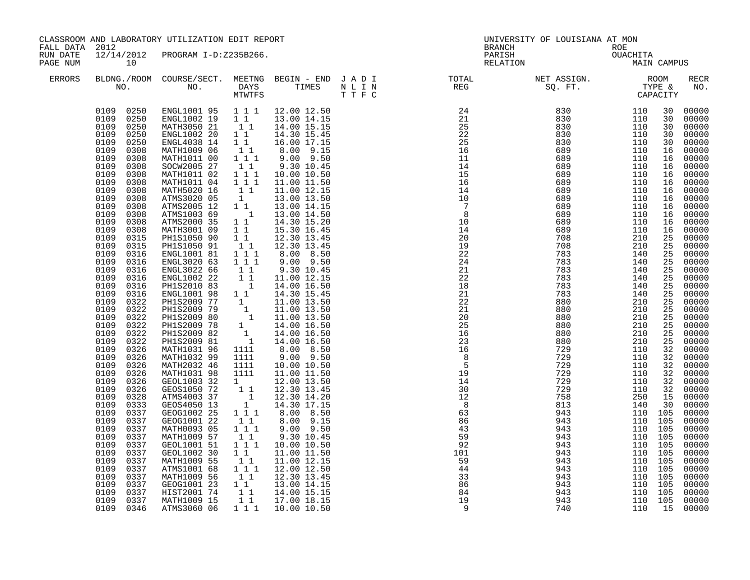| FALL DATA 2012       |                                                                                                                                                                                                                                                                                                                                                                                                                                                                                                                                                                                                                                                                                                                                                                                                                        | CLASSROOM AND LABORATORY UTILIZATION EDIT REPORT                                                                                                                                                                                                                                                                                                                                                                                                                                                                                                                                                                                                                                                                                                                                                             |                                                                                                                                                                                                                                                                                                                                                                                                                                                                                                                                                                          |                                                                                                                                                                                                                                                                                                                                                                                                                                                                                                                                                                                                                                                                                                                                                                                                                                                    |  | UNIVERSITY OF LOUISIANA AT MON<br>BRANCH                                                                                                                                                                                                                                                                                                                                                                                              |                                                                                                                                  |                                                                                                                                                                                                                                               |                                                                                                                                                                                                                                                                                                                                                                                                                                                  |
|----------------------|------------------------------------------------------------------------------------------------------------------------------------------------------------------------------------------------------------------------------------------------------------------------------------------------------------------------------------------------------------------------------------------------------------------------------------------------------------------------------------------------------------------------------------------------------------------------------------------------------------------------------------------------------------------------------------------------------------------------------------------------------------------------------------------------------------------------|--------------------------------------------------------------------------------------------------------------------------------------------------------------------------------------------------------------------------------------------------------------------------------------------------------------------------------------------------------------------------------------------------------------------------------------------------------------------------------------------------------------------------------------------------------------------------------------------------------------------------------------------------------------------------------------------------------------------------------------------------------------------------------------------------------------|--------------------------------------------------------------------------------------------------------------------------------------------------------------------------------------------------------------------------------------------------------------------------------------------------------------------------------------------------------------------------------------------------------------------------------------------------------------------------------------------------------------------------------------------------------------------------|----------------------------------------------------------------------------------------------------------------------------------------------------------------------------------------------------------------------------------------------------------------------------------------------------------------------------------------------------------------------------------------------------------------------------------------------------------------------------------------------------------------------------------------------------------------------------------------------------------------------------------------------------------------------------------------------------------------------------------------------------------------------------------------------------------------------------------------------------|--|---------------------------------------------------------------------------------------------------------------------------------------------------------------------------------------------------------------------------------------------------------------------------------------------------------------------------------------------------------------------------------------------------------------------------------------|----------------------------------------------------------------------------------------------------------------------------------|-----------------------------------------------------------------------------------------------------------------------------------------------------------------------------------------------------------------------------------------------|--------------------------------------------------------------------------------------------------------------------------------------------------------------------------------------------------------------------------------------------------------------------------------------------------------------------------------------------------------------------------------------------------------------------------------------------------|
| RUN DATE<br>PAGE NUM | 10                                                                                                                                                                                                                                                                                                                                                                                                                                                                                                                                                                                                                                                                                                                                                                                                                     | 12/14/2012 PROGRAM I-D:Z235B266.                                                                                                                                                                                                                                                                                                                                                                                                                                                                                                                                                                                                                                                                                                                                                                             |                                                                                                                                                                                                                                                                                                                                                                                                                                                                                                                                                                          |                                                                                                                                                                                                                                                                                                                                                                                                                                                                                                                                                                                                                                                                                                                                                                                                                                                    |  | ROE<br>OUACHITA<br>MAIN CAMPUS<br>PARISH<br>RELATION                                                                                                                                                                                                                                                                                                                                                                                  |                                                                                                                                  |                                                                                                                                                                                                                                               |                                                                                                                                                                                                                                                                                                                                                                                                                                                  |
| <b>ERRORS</b>        |                                                                                                                                                                                                                                                                                                                                                                                                                                                                                                                                                                                                                                                                                                                                                                                                                        |                                                                                                                                                                                                                                                                                                                                                                                                                                                                                                                                                                                                                                                                                                                                                                                                              |                                                                                                                                                                                                                                                                                                                                                                                                                                                                                                                                                                          |                                                                                                                                                                                                                                                                                                                                                                                                                                                                                                                                                                                                                                                                                                                                                                                                                                                    |  | BLDNG./ROOM COURSE/SECT. MEETNG BEGIN – END JADI TOTAL NET ASSIGN. NET ASSIGN. ROOM NO. DAYS TIMES NLIN REG SQ.FT. TYPE &                                                                                                                                                                                                                                                                                                             |                                                                                                                                  |                                                                                                                                                                                                                                               | RECR<br>NO.                                                                                                                                                                                                                                                                                                                                                                                                                                      |
|                      | 0109 0250<br>0109 0250<br>0109<br>0250<br>0109<br>0250<br>0109<br>0250<br>0109<br>0308<br>0109<br>0308<br>0109<br>0308<br>0109<br>0308<br>0109<br>0308<br>0109<br>0308<br>0109<br>0308<br>0109<br>0308<br>0109<br>0308<br>0109<br>0308<br>0109<br>0308<br>0109<br>0315<br>0109<br>0315<br>0109<br>0316<br>0109<br>0316<br>0109<br>0316<br>0109<br>0316<br>0109<br>0316<br>0109<br>0316<br>0109<br>0322<br>0109<br>0322<br>0109<br>0322<br>0109<br>0322<br>0109<br>0322<br>0109<br>0322<br>0109<br>0326<br>0109<br>0326<br>0109<br>0326<br>0109<br>0326<br>0109<br>0326<br>0109<br>0326<br>0109<br>0328<br>0109<br>0333<br>0109<br>0337<br>0109<br>0337<br>0109<br>0337<br>0109<br>0337<br>0109<br>0337<br>0109<br>0337<br>0109<br>0337<br>0109<br>0337<br>0109<br>0337<br>0109<br>0337<br>0109<br>0337<br>0109<br>0337 | ENGL1001 95 1 1 1 12.00 12.50<br>ENGL1002 19 1 1 13.00 14.15<br>MATH3050 21<br>ENGL1002 20<br>ENGL4038 14<br>MATH1009 06<br>MATH1011 00<br>SOCW2005 27<br>MATH1011 02<br>MATH1011 04<br>MATH5020 16<br>ATMS3020 05<br>ATMS2005 12<br>ATMS1003 69<br>ATMS2000 35<br>MATH3001 09<br>PH1S1050 90<br>PH1S1050 91<br>ENGL1001 81<br>ENGL3020 63<br>ENGL3022 66<br>ENGL1002 22<br>PHIS2010 83<br>ENGL1001 98<br>PHIS2009 77<br>PH1S2009 79<br>PH1S2009 80<br>PH1S2009 78<br>PH1S2009 82<br>PH1S2009 81<br>MATH1031 96<br>MATH1032 99<br>MATH2032 46<br>MATH1031 98<br>GEOL1003 32<br>GEOS1050 72<br>ATMS4003 37<br>GEOS4050 13<br>GEOG1002 25<br>GEOG1001 22<br>MATH0093 05<br>MATH1009 57<br>GEOL1001 51<br>GEOL1002 30<br>MATH1009 55<br>ATMS1001 68<br>MATH1009 56<br>GEOG1001 23<br>HIST2001 74<br>MATH1009 15 | 11<br>$1^{\degree}1^{\degree}$<br>11<br>$\begin{bmatrix} 1 \\ 1 \\ 1 \end{bmatrix}$<br>$1\quad1$<br>111<br>$1\ 1\ 1$<br>$1\overline{1}$<br>1<br>$1\quad1$<br>$\overline{1}$<br>$1\quad1$<br>11<br>11<br>$\begin{smallmatrix}1&1\\1&1&1\end{smallmatrix}$<br>111<br>11<br>$\frac{1}{1}$<br>11<br>1111<br>1111<br>1111<br>1111<br>$\begin{bmatrix} 1 & 1 & 1 \\ 1 & 1 & 1 \\ 1 & 1 & 1 \\ 1 & 1 & 1 \end{bmatrix}$<br>$1\quad1$<br>$1 1 1$<br>$1\quad1$<br>1 1 1<br>11<br>$\begin{smallmatrix}1&1\\1&1&1\end{smallmatrix}$<br>11<br>$1\quad1$<br>$1^{\circ}1$<br>$1\quad1$ | 14.00 15.15<br>14.30 15.45<br>16.00 17.15<br>8.00 9.15<br>9.00 9.50<br>9.30 10.45<br>10.00 10.50<br>11.00 11.50<br>11.00 12.15<br>13.00 13.50<br>13.00 14.15<br>13.00 14.50<br>14.30 15.20<br>15.30 16.45<br>12.30 13.45<br>12.30 13.45<br>8.00 8.50<br>$9.00$ $9.50$<br>9.30 10.45<br>11.00 12.15<br>14.00 16.50<br>14.30 15.45<br>$\begin{array}{rrrr} 1 & 14.50 & 13.49 \\ 1 & 11.00 & 13.50 \\ 1 & 11.00 & 13.50 \\ 1 & 11.00 & 13.50 \\ 1 & 14.00 & 16.50 \\ 1 & 14.00 & 16.50 \\ 1 & 14.00 & 16.50 \\ 1 & 14.00 & 16.50 \\ \end{array}$<br>8.00 8.50<br>9.00 9.50<br>10.00 10.50<br>11.00 11.50<br>12.00 13.50<br>12.30 13.45<br>12.30 14.20<br>14.30 17.15<br>8.00 8.50<br>$8.00$ $9.15$<br>9.00 9.50<br>9.30 10.45<br>10.00 10.50<br>11.00 11.50<br>11.00 12.15<br>12.00 12.50<br>12.30 13.45<br>13.00 14.15<br>14.00 15.15<br>17.00 18.15 |  | $\begin{smallmatrix} \text{R} & \text{R} & \text{R} & \text{R} & \text{R} & \text{R} \\ \text{R} & \text{R} & \text{R} & \text{R} & \text{R} \\ \text{R} & \text{R} & \text{R} & \text{R} & \text{R} \\ \text{R} & \text{R} & \text{R} & \text{R} \\ \text{R} & \text{R} & \text{R} & \text{R} \\ \text{R} & \text{R} & \text{R} & \text{R} \\ \text{R} & \text{R} & \text{R} & \text{R} \\ \text{R} & \text{R} & \text{R} & \text{R$ | 110 105<br>110 105<br>110 105<br>110 105<br>110 105<br>110 105<br>110 105<br>110 105<br>110 105<br>110 105<br>110 105<br>110 105 | 30<br>30<br>30<br>30<br>30<br>16<br>16<br>16<br>16<br>16<br>16<br>16<br>16<br>16<br>16<br>16<br>25<br>25<br>25<br>25<br>25<br>25<br>25<br>25<br>25<br>25<br>$\overline{25}$<br>25<br>25<br>25<br>32<br>32<br>32<br>32<br>32<br>32<br>15<br>30 | 00000<br>00000<br>00000<br>00000<br>00000<br>00000<br>00000<br>00000<br>00000<br>00000<br>00000<br>00000<br>00000<br>00000<br>00000<br>00000<br>00000<br>00000<br>00000<br>00000<br>00000<br>00000<br>00000<br>00000<br>00000<br>00000<br>00000<br>00000<br>00000<br>00000<br>00000<br>00000<br>00000<br>00000<br>00000<br>$00000$<br>$00000$<br>00000<br>00000<br>00000<br>00000<br>00000<br>00000<br>00000<br>00000<br>00000<br>00000<br>00000 |
|                      | 0109 0346                                                                                                                                                                                                                                                                                                                                                                                                                                                                                                                                                                                                                                                                                                                                                                                                              | ATMS3060 06                                                                                                                                                                                                                                                                                                                                                                                                                                                                                                                                                                                                                                                                                                                                                                                                  | 111                                                                                                                                                                                                                                                                                                                                                                                                                                                                                                                                                                      | 10.00 10.50                                                                                                                                                                                                                                                                                                                                                                                                                                                                                                                                                                                                                                                                                                                                                                                                                                        |  |                                                                                                                                                                                                                                                                                                                                                                                                                                       |                                                                                                                                  | 15                                                                                                                                                                                                                                            | 00000                                                                                                                                                                                                                                                                                                                                                                                                                                            |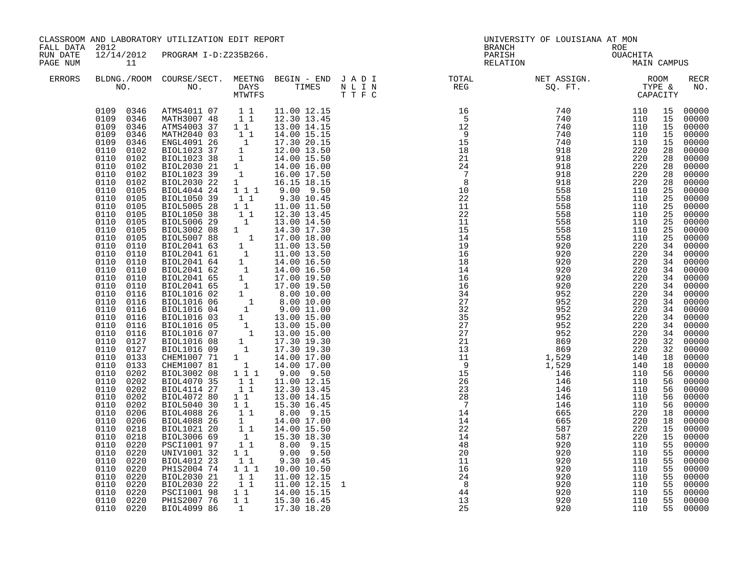| FALL DATA 2012       |                                                                                                                                                                                                                                                                                                                                                                                                                                                                                                                                                                                                                                                                                                                                                    | CLASSROOM AND LABORATORY UTILIZATION EDIT REPORT                                                                                                                                                                                                                                                                                                                                                                                                                                                                                                                                                                                                                                                                                 |                                                                                                                                                                                                                                                                                                              |                                                                                                                                                                                                                                                                                                                                                                                                                                                                                                                                |          | UNIVERSITY OF LOUISIANA AT MON<br>BRANCH             |            |    |                    |
|----------------------|----------------------------------------------------------------------------------------------------------------------------------------------------------------------------------------------------------------------------------------------------------------------------------------------------------------------------------------------------------------------------------------------------------------------------------------------------------------------------------------------------------------------------------------------------------------------------------------------------------------------------------------------------------------------------------------------------------------------------------------------------|----------------------------------------------------------------------------------------------------------------------------------------------------------------------------------------------------------------------------------------------------------------------------------------------------------------------------------------------------------------------------------------------------------------------------------------------------------------------------------------------------------------------------------------------------------------------------------------------------------------------------------------------------------------------------------------------------------------------------------|--------------------------------------------------------------------------------------------------------------------------------------------------------------------------------------------------------------------------------------------------------------------------------------------------------------|--------------------------------------------------------------------------------------------------------------------------------------------------------------------------------------------------------------------------------------------------------------------------------------------------------------------------------------------------------------------------------------------------------------------------------------------------------------------------------------------------------------------------------|----------|------------------------------------------------------|------------|----|--------------------|
| RUN DATE<br>PAGE NUM | 11                                                                                                                                                                                                                                                                                                                                                                                                                                                                                                                                                                                                                                                                                                                                                 | 12/14/2012 PROGRAM I-D:Z235B266.                                                                                                                                                                                                                                                                                                                                                                                                                                                                                                                                                                                                                                                                                                 |                                                                                                                                                                                                                                                                                                              |                                                                                                                                                                                                                                                                                                                                                                                                                                                                                                                                |          | ROE<br>OUACHITA<br>MAIN CAMPUS<br>PARISH<br>RELATION |            |    |                    |
| <b>ERRORS</b>        |                                                                                                                                                                                                                                                                                                                                                                                                                                                                                                                                                                                                                                                                                                                                                    |                                                                                                                                                                                                                                                                                                                                                                                                                                                                                                                                                                                                                                                                                                                                  |                                                                                                                                                                                                                                                                                                              |                                                                                                                                                                                                                                                                                                                                                                                                                                                                                                                                |          |                                                      |            |    | <b>RECR</b><br>NO. |
|                      | 0109 0346<br>0109 0346<br>0109 0346<br>0109<br>0346<br>0109<br>0346<br>0110<br>0102<br>0110<br>0102<br>0110<br>0102<br>0110<br>0102<br>0110<br>0102<br>0110<br>0105<br>0110<br>0105<br>0110<br>0105<br>0110<br>0105<br>0110<br>0105<br>0110 0105<br>0110<br>0105<br>0110 0110<br>0110 0110<br>0110 0110<br>0110<br>0110<br>0110 0110<br>0110 0110<br>0110 0116<br>0110<br>0116<br>0110<br>0116<br>0110<br>0116<br>0110<br>0116<br>0110<br>0116<br>0110<br>0127<br>0110<br>0127<br>0110<br>0133<br>0110<br>0133<br>0110<br>0202<br>0110<br>0202<br>0110<br>0202<br>0110 0202<br>0110<br>0202<br>0110 0206<br>0110 0206<br>0110 0218<br>0110<br>0218<br>0110<br>0220<br>0110<br>0220<br>0110<br>0220<br>0110<br>0220<br>0110<br>0220<br>0110<br>0220 | ATMS4011 07 1 1<br>MATH3007 48 1 1<br>ATMS4003 37 1 1<br>MATH2040 03 1 1<br>ENGL4091 26<br>BIOL1023 37<br>BIOL1023 38<br>BIOL2030 21<br>BIOL1023 39<br>BIOL2030 22<br>BIOL4044 24<br>BIOL1050 39<br>BIOL5005 28<br>BIOL1050 38<br>BIOL5006 29<br>BIOL5006 29 1 13.00 14.50<br>BIOL5006 29 1 14.30 17.30<br>BIOL5007 88 1 17.00 18.00<br>BIOL2041 63 1 11.00 13.50<br>BIOL2041 64 1 11.00 13.50<br>BIOL2041 64 1 14.00 16.50<br>BIOL2041 65 1 17.00 19.50<br>BIOL2041 65 1 17.00 19.50<br>BIOL20<br>BIOL4070 35<br>BIOL4114 27<br>BIOL4072 80<br>BIOL5040 30<br>BIOL4088 26<br>BIOL4088 26<br>BIOL1021 20<br>BIOL3006 69<br>PSCI1001 97<br>UNIV1001 32<br>BIOL4012 23<br>PH1S2004 74<br>BIOL2030 21<br>BIOL2030 22<br>PSCI1001 98 | 11<br>11<br>$\begin{bmatrix} 1 \\ 1 \end{bmatrix}$<br>$\begin{bmatrix} 1 & 1 \\ 1 & 1 \end{bmatrix}$<br>$1\quad1$<br>11<br>11<br>$\begin{bmatrix} 1 \\ 1 \\ 1 \end{bmatrix}$<br>$1\quad1$<br>$1\quad1$<br>$\begin{smallmatrix}1&1\\1&1&1\end{smallmatrix}$<br>$\begin{bmatrix} 1 & 1 \\ 1 & 1 \end{bmatrix}$ | 11.00 12.15<br>12.30 13.45<br>13.00 14.15<br>14.00 15.15<br>$\begin{bmatrix} 1 & 14.00 & 13.15 \ 1 & 17.30 & 20.15 \ 1 & 12.00 & 13.50 \ 1 & 14.00 & 15.50 \ 1 & 14.00 & 16.00 \ 1 & 16.00 & 17.50 \ 1 & 16.15 & 18.15 \end{bmatrix}$<br>1 1 1 9.00 9.50<br>9.30 10.45<br>11.00 11.50<br>12.30 13.45<br>13.00 14.50<br>11.00 12.15<br>12.30 13.45<br>13.00 14.15<br>15.30 16.45<br>8.00 9.15<br>14.00 17.00<br>14.00 15.50<br>15.30 18.30<br>8.00 9.15<br>9.00 9.50<br>9.30 10.45<br>10.00 10.50<br>11.00 12.15<br>11.00 12.15 |          |                                                      |            |    |                    |
|                      | 0110<br>0220<br>0110 0220<br>0110 0220                                                                                                                                                                                                                                                                                                                                                                                                                                                                                                                                                                                                                                                                                                             | PH1S2007 76<br>BIOL4099 86                                                                                                                                                                                                                                                                                                                                                                                                                                                                                                                                                                                                                                                                                                       |                                                                                                                                                                                                                                                                                                              | $\begin{array}{rrrr} 1 & 1 & 14.00 & 15.15 \\ 1 & 1 & 15.30 & 16.45 \end{array}$<br>1 17.30 18.20                                                                                                                                                                                                                                                                                                                                                                                                                              | 13<br>25 | 920<br>920                                           | 110<br>110 | 55 | 00000<br>55 00000  |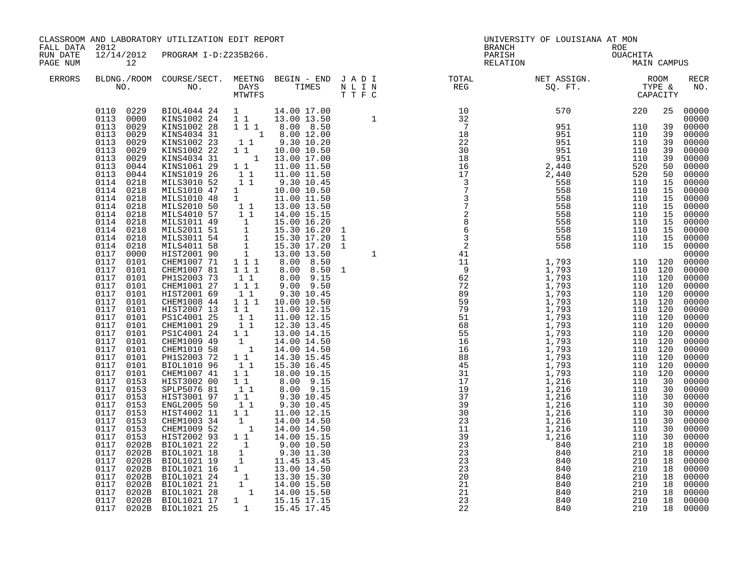| BRANCH ROE<br>PARISH OUACHITA<br>RELATION MAIN CAMPUS<br>12/14/2012 PROGRAM I-D:Z235B266.<br>RUN DATE<br>PAGE NUM<br>12<br>ERRORS<br>$\begin{tabular}{@{}c@{}}\hline & $610 \\ \hline \texttt{END4044} & 24 & 1 & 14.00 & 17.00 & 14 & 1 & 10 & 570 & 24 \\ \texttt{KINS1002} & 24 & 1 & 1 & 13.00 & 13.50 & 1 & 10 & 570 & 220 \\ \texttt{KINS1002} & 28 & 1 & 1 & 8.00 & 12.00 & 7 & 7 & 951 & 110 \\ \texttt{KINS1002} & 23 & 1 & 1 & 9.30 & 10.20 & 2$<br>0110 0229<br>25 00000<br>0113 0000<br>0113 0029<br>39<br>0113 0029<br>39<br>0113 0029<br>39<br>0113<br>0029<br>39<br>0113 0029<br>39<br>0113 0044<br>50<br>0113 0044<br>50<br>0114 0218<br>15<br>0114 0218<br>15<br>0114 0218<br>15<br>0114 0218<br>15<br>0114 0218<br>15<br>0114 0218<br>15<br>0114<br>0218<br>15<br>0114 0218<br>15<br>15 00000<br>0114 0218<br>0117 0000<br>CHEM1007 71 1 1 1<br>0117 0101<br>110 120<br>8.00 8.50<br>$\overline{1}$ $\overline{1}$ $\overline{1}$<br>0117<br>CHEM1007 81<br>8.00 8.50 1<br>110 120<br>0101<br>0117 0101<br>110 120<br>PH1S2003 73<br>$1\quad1$<br>8.00 9.15<br>0117 0101<br>CHEM1001 27<br>$1\ 1\ 1$<br>9.00 9.50<br>110 120<br>110 120<br>0117 0101<br>HIST2001 69<br>$1\quad1$<br>9.30 10.45<br>$1 1 1$<br>0117 0101<br>CHEM1008 44<br>110 120<br>10.00 10.50<br>HIST2007 13<br>110 120<br>0117 0101<br>11<br>11.00 12.15<br>0117 0101<br>PS1C4001 25<br>11<br>110 120<br>11.00 12.15<br>11<br>0117 0101<br>CHEM1001 29<br>110 120<br>12.30 13.45<br>0117 0101<br>PS1C4001 24 1 1<br>13.00 14.15<br>110 120<br>$\begin{bmatrix} 1 \\ 1 \end{bmatrix}$<br>CHEM1009 49<br>110 120<br>0117<br>0101<br>14.00 14.50<br>0117 0101<br>CHEM1010 58<br>14.00 14.50<br>110 120<br>0117 0101<br>$1\quad1$<br>PH1S2003 72<br>14.30 15.45<br>110 120<br>0117 0101<br>BIOL1010 96<br>11<br>110 120<br>15.30 16.45<br>11<br>110 120<br>0117<br>0101<br>CHEM1007 41<br>18.00 19.15<br>0117 0153<br>HIST3002 00<br>$\begin{smallmatrix}1&&1\\&1\\1&&1\end{smallmatrix}$<br>8.00 9.15<br>8.00 9.15<br>110<br>30<br>0117 0153<br>SPLP5076 81<br>110<br>30<br>0117 0153<br>HIST3001 97<br>$1\quad1$<br>110<br>9.30 10.45<br>30<br>11<br>0117<br>ENGL2005 50<br>0153<br>9.30 10.45<br>110<br>30<br>0117 0153<br>HIST4002 11<br>$1\quad1$<br>11.00 12.15<br>110<br>30<br>$\begin{bmatrix} 1 \\ 1 \end{bmatrix}$<br>CHEM1003 34<br>0117 0153<br>14.00 14.50<br>110<br>30<br>CHEM1009 52 1<br>HIST2002 93 1 1<br>0117 0153<br>14.00 14.50<br>110<br>30<br>0117<br>0153<br>14.00 15.15<br>110<br>30<br>$\begin{bmatrix} 1 \\ 1 \end{bmatrix}$<br>BIOL1021 22<br>BIOL1021 18<br>210<br>0117<br>0202B<br>9.00 10.50<br>18<br>$9.30$ 11.30<br>0117<br>210<br>0202B<br>18<br>210<br>18<br>210<br>18 | CLASSROOM AND LABORATORY UTILIZATION EDIT REPORT<br>FALL DATA 2012 |  |  |  |  | UNIVERSITY OF LOUISIANA AT MON |     |    |                                                                                                                                                                                                                                                                                                                                                                                                                                                        |
|--------------------------------------------------------------------------------------------------------------------------------------------------------------------------------------------------------------------------------------------------------------------------------------------------------------------------------------------------------------------------------------------------------------------------------------------------------------------------------------------------------------------------------------------------------------------------------------------------------------------------------------------------------------------------------------------------------------------------------------------------------------------------------------------------------------------------------------------------------------------------------------------------------------------------------------------------------------------------------------------------------------------------------------------------------------------------------------------------------------------------------------------------------------------------------------------------------------------------------------------------------------------------------------------------------------------------------------------------------------------------------------------------------------------------------------------------------------------------------------------------------------------------------------------------------------------------------------------------------------------------------------------------------------------------------------------------------------------------------------------------------------------------------------------------------------------------------------------------------------------------------------------------------------------------------------------------------------------------------------------------------------------------------------------------------------------------------------------------------------------------------------------------------------------------------------------------------------------------------------------------------------------------------------------------------------------------------------------------------------------------------------------------------------------------------------------------------------------------------------------------------------------------------------------------------------------------------------------------------------------------------------------------------------------------------------------|--------------------------------------------------------------------|--|--|--|--|--------------------------------|-----|----|--------------------------------------------------------------------------------------------------------------------------------------------------------------------------------------------------------------------------------------------------------------------------------------------------------------------------------------------------------------------------------------------------------------------------------------------------------|
|                                                                                                                                                                                                                                                                                                                                                                                                                                                                                                                                                                                                                                                                                                                                                                                                                                                                                                                                                                                                                                                                                                                                                                                                                                                                                                                                                                                                                                                                                                                                                                                                                                                                                                                                                                                                                                                                                                                                                                                                                                                                                                                                                                                                                                                                                                                                                                                                                                                                                                                                                                                                                                                                                            |                                                                    |  |  |  |  |                                |     |    |                                                                                                                                                                                                                                                                                                                                                                                                                                                        |
|                                                                                                                                                                                                                                                                                                                                                                                                                                                                                                                                                                                                                                                                                                                                                                                                                                                                                                                                                                                                                                                                                                                                                                                                                                                                                                                                                                                                                                                                                                                                                                                                                                                                                                                                                                                                                                                                                                                                                                                                                                                                                                                                                                                                                                                                                                                                                                                                                                                                                                                                                                                                                                                                                            |                                                                    |  |  |  |  |                                |     |    | RECR<br>NO.                                                                                                                                                                                                                                                                                                                                                                                                                                            |
| 0117 0202B BIOLI021 18<br>0117 0202B BIOLI021 19<br>0117 0202B BIOLI021 16<br>0117 0202B BIOLI021 16<br>0117 0202B BIOLI021 24<br>0117 0202B BIOLI021 21<br>1 14.00 15.50<br>0117 0202B BIOLI021 28<br>0117 0202B BIOLI021 28<br>0117 0202B BIOL<br>210<br>18<br>210<br>18<br>210<br>18<br>0117 0202B BIOL1021 25<br>1 15.45 17.45<br>210<br>18                                                                                                                                                                                                                                                                                                                                                                                                                                                                                                                                                                                                                                                                                                                                                                                                                                                                                                                                                                                                                                                                                                                                                                                                                                                                                                                                                                                                                                                                                                                                                                                                                                                                                                                                                                                                                                                                                                                                                                                                                                                                                                                                                                                                                                                                                                                                            |                                                                    |  |  |  |  |                                | 210 | 18 | 00000<br>00000<br>00000<br>00000<br>00000<br>00000<br>00000<br>$00000$<br>00000<br>00000<br>00000<br>00000<br>00000<br>00000<br>00000<br>00000<br>00000<br>00000<br>00000<br>00000<br>00000<br>00000<br>$00000$<br>00000<br>00000<br>00000<br>$00000$<br>$00000$<br>00000<br>00000<br>00000<br>$00000$<br>00000<br>00000<br>00000<br>00000<br>00000<br>00000<br>00000<br>00000<br>00000<br>00000<br>00000<br>00000<br>00000<br>00000<br>00000<br>00000 |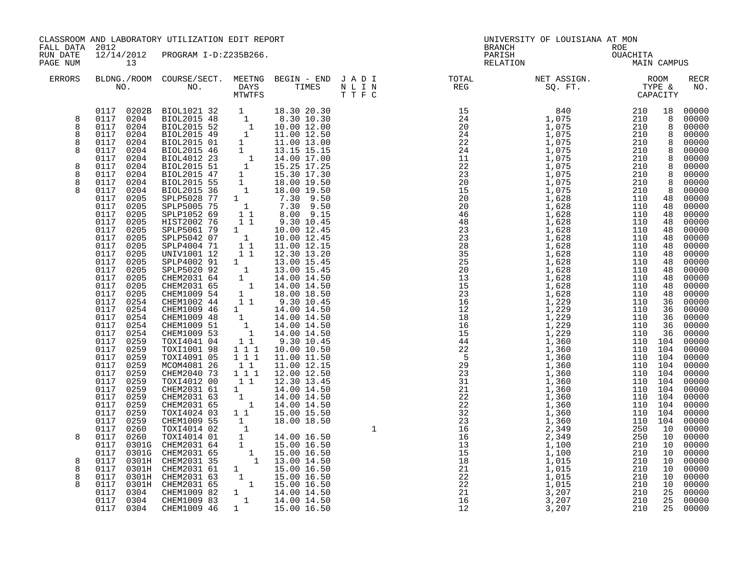| FALL DATA 2012        | CLASSROOM AND LABORATORY UTILIZATION EDIT REPORT                                                                                                                                                         |                                                                                                                                                                                                                                                                                                                                                                                                                                                                                                                                                 |                                                                                                |                                                                                                                                                                                                                                                                                                       | UNIVERSITY OF LOUISIANA AT MON<br>BRANCH |                                                                                                                                                                                                                                                                                                                                                                                                                                                |             |  |             |
|-----------------------|----------------------------------------------------------------------------------------------------------------------------------------------------------------------------------------------------------|-------------------------------------------------------------------------------------------------------------------------------------------------------------------------------------------------------------------------------------------------------------------------------------------------------------------------------------------------------------------------------------------------------------------------------------------------------------------------------------------------------------------------------------------------|------------------------------------------------------------------------------------------------|-------------------------------------------------------------------------------------------------------------------------------------------------------------------------------------------------------------------------------------------------------------------------------------------------------|------------------------------------------|------------------------------------------------------------------------------------------------------------------------------------------------------------------------------------------------------------------------------------------------------------------------------------------------------------------------------------------------------------------------------------------------------------------------------------------------|-------------|--|-------------|
| RUN DATE<br>PAGE NUM  |                                                                                                                                                                                                          |                                                                                                                                                                                                                                                                                                                                                                                                                                                                                                                                                 |                                                                                                |                                                                                                                                                                                                                                                                                                       |                                          | ROE<br>OUACHITA<br>MAIN<br>PARISH<br>RELATION                                                                                                                                                                                                                                                                                                                                                                                                  | MAIN CAMPUS |  |             |
| <b>ERRORS</b>         |                                                                                                                                                                                                          |                                                                                                                                                                                                                                                                                                                                                                                                                                                                                                                                                 |                                                                                                |                                                                                                                                                                                                                                                                                                       |                                          | $\begin{tabular}{lllllllllllllllllllll} \textsc{BLONG.} \textsc{F100M.} & \textsc{COURSE/SECT.} & \textsc{METNG.} & \textsc{BEGIN - END} & \textsc{J A D I} & \textsc{DTAT} & \textsc{NTGTL} & \textsc{NET ASSIGN.} & \textsc{ROOM} \\ \textsc{NO.} & \textsc{NO.} & \textsc{DAYS} & \textsc{TIMES} & \textsc{N L I N} & \textsc{REG} & \textsc{SEG.} & \textsc{ST.} & \textsc{CTPE & \& \\ \textsc{MO.} & \textsc{NO.} & \textsc{MTWTFS} & \$ |             |  | RECR<br>NO. |
|                       | 0117 0205<br>0117 0205<br>0117 0205<br>0117<br>0254                                                                                                                                                      | $\begin{tabular}{ccccc} & $A^f$.\quad & $A^f$.\quad & $A^f$.\quad & $A^f$.\quad & $A^f$.\quad & $A^f$.\quad & $A^f$.\quad & $A^f$.\quad & $A^f$.\quad & $A^f$.\quad & $A^f$.\quad & $A^f$.\quad & $A^f$.\quad & $A^f$.\quad & $A^f$.\quad & $A^f$.\quad & $A^f$.\quad & $A^f$.\quad & $A^f$.\quad & $A^f$.\quad & $A^f$.\quad & $A^f$.\quad & $A^f$.\quad & $A^f$.\quad & $A^f$.\quad & $A^f$.\quad & $A$<br>0NIV001 12<br>SPLP4002 91<br>CHEM2031 64<br>CHEM2031 64<br>CHEM2031 65<br>CHEM1009 54<br>CHEM1002 44<br>CHEM1002 44<br>CHEM1002 44 |                                                                                                | 14.00 14.50<br>14.00 14.50<br>18.00 18.50<br>9.30 10.45                                                                                                                                                                                                                                               |                                          |                                                                                                                                                                                                                                                                                                                                                                                                                                                |             |  |             |
| 8<br>8<br>8<br>8<br>8 | 0117 0254<br>0117 0254<br>0117 0254<br>0117<br>0254<br>0117 0259<br>0117<br>0259<br>0117 0259<br>0117<br>0259<br>0117 0259<br>0117 0259<br>0117 0259<br>0117 0259<br>0117 0259<br>0117 0259<br>0117 0304 | CHEM1009 46<br>CHEM1009 48<br>CHEM1009 51<br>CHEM1009 53<br>TOXI4041 04<br>TOXI1001 98<br>TOXI4091 05<br>MCOM4081 26<br>CHEM2040 73<br>TOXI4012 00<br>CHEM2031 61 1<br>CHEM2031 63 1<br>CHEM2031 63 1<br>TOXI4024 03 1 1<br>CHEM1009 46                                                                                                                                                                                                                                                                                                         | $1 1 1$<br>$\overline{1}$ $\overline{1}$ $\overline{1}$<br>11<br>$1$ $1$ $1$<br>$1\quad1$<br>1 | $1\ \ 1\ \ 14.00\ 14.50\ \ 1\ \ 14.00\ 14.50\ \ 1\ \ 14.00\ 14.50\ \ 1\ \ 14.00\ 14.50\ \ 1\ \ 14.00\ 14.50\ \ 1\ \ 1\ \ 2\ \ 3\ \ 0\ \ 10.45\$<br>10.00 10.50<br>11.00 11.50<br>11.00 12.15<br>12.00 12.50<br>12.30 13.45<br>14.00 14.50<br>14.00 14.50<br>14.00 14.50<br>15.00 15.50<br>15.00 16.50 |                                          |                                                                                                                                                                                                                                                                                                                                                                                                                                                |             |  |             |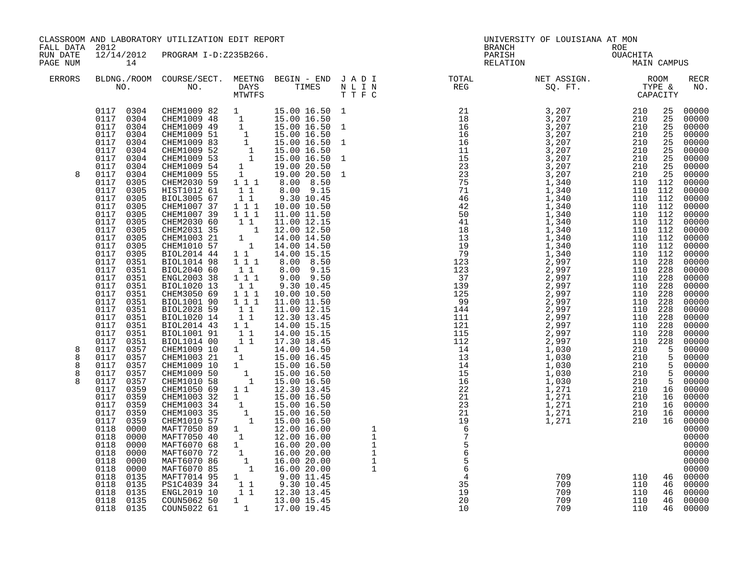| FALL DATA 2012        | CLASSROOM AND LABORATORY UTILIZATION EDIT REPORT                                                                                                                                                                                                                                                                                                                                                                                                         |                                                                                                                                                                                                                                                                                                                                                                                                                                                                                                                                                                                                                                                                                                                                                                                                                                                                                                                                        |                                                                                                                                                                                                                                                                                                                                                                                                    | BRANCH                                                                                                                                                                                                                                                                                                                                                                                                                                     | UNIVERSITY OF LOUISIANA AT MON |                                                                                                                                                                                                                                             |                                                                                                         |                                                                                                                                                                                                                                                                               |
|-----------------------|----------------------------------------------------------------------------------------------------------------------------------------------------------------------------------------------------------------------------------------------------------------------------------------------------------------------------------------------------------------------------------------------------------------------------------------------------------|----------------------------------------------------------------------------------------------------------------------------------------------------------------------------------------------------------------------------------------------------------------------------------------------------------------------------------------------------------------------------------------------------------------------------------------------------------------------------------------------------------------------------------------------------------------------------------------------------------------------------------------------------------------------------------------------------------------------------------------------------------------------------------------------------------------------------------------------------------------------------------------------------------------------------------------|----------------------------------------------------------------------------------------------------------------------------------------------------------------------------------------------------------------------------------------------------------------------------------------------------------------------------------------------------------------------------------------------------|--------------------------------------------------------------------------------------------------------------------------------------------------------------------------------------------------------------------------------------------------------------------------------------------------------------------------------------------------------------------------------------------------------------------------------------------|--------------------------------|---------------------------------------------------------------------------------------------------------------------------------------------------------------------------------------------------------------------------------------------|---------------------------------------------------------------------------------------------------------|-------------------------------------------------------------------------------------------------------------------------------------------------------------------------------------------------------------------------------------------------------------------------------|
| RUN DATE<br>PAGE NUM  | 12/14/2012<br>14                                                                                                                                                                                                                                                                                                                                                                                                                                         | PROGRAM I-D:Z235B266.                                                                                                                                                                                                                                                                                                                                                                                                                                                                                                                                                                                                                                                                                                                                                                                                                                                                                                                  |                                                                                                                                                                                                                                                                                                                                                                                                    | PARISH<br>RELATION                                                                                                                                                                                                                                                                                                                                                                                                                         | ROE<br>OUACHITA<br>MAIN        | MAIN CAMPUS                                                                                                                                                                                                                                 |                                                                                                         |                                                                                                                                                                                                                                                                               |
| <b>ERRORS</b>         |                                                                                                                                                                                                                                                                                                                                                                                                                                                          |                                                                                                                                                                                                                                                                                                                                                                                                                                                                                                                                                                                                                                                                                                                                                                                                                                                                                                                                        |                                                                                                                                                                                                                                                                                                                                                                                                    | $\begin{tabular}{lllllllllllllllllllll} \textsc{BLONG.} \textsc{F100M.} & \textsc{CUIRSE/SECT.} & \textsc{METING.} & \textsc{BEGIN - END.} & \textsc{J A D I} & \textsc{DTQTAL} & \textsc{NET ASSIGN.} & \textsc{ROOM} \\ \textsc{NO.} & \textsc{NO.} & \textsc{DAYS} & \textsc{TIMES} & \textsc{N L I N} & \textsc{REG} & \textsc{SQ. FT.} & \textsc{TTPE & \texttt{C} \\ \textsc{MTVFTS} & \textsc{DTT T F C} & \textsc{STG} & \textsc{$ |                                |                                                                                                                                                                                                                                             |                                                                                                         | RECR<br>NO.                                                                                                                                                                                                                                                                   |
| 8                     | 0117 0304<br>0117 0304<br>0117 0304<br>0117<br>0304<br>0117 0304<br>0117<br>0304<br>0117 0304<br>0117<br>0304<br>0117 0304<br>0117<br>0305<br>0117<br>0305<br>0117<br>0305<br>0117<br>0305<br>0117<br>0305<br>0117<br>0305<br>0117<br>0305<br>0117<br>0305<br>0117<br>0305<br>0117<br>0305<br>0117<br>0351<br>0117<br>0351<br>0117 0351<br>0117<br>0351<br>0117 0351<br>0117<br>0351<br>0117 0351<br>0117 0351<br>0117 0351<br>0117<br>0351<br>0117 0351 | CHEM1009 82 1<br>CHEMI009 82 1 15.00 16.50<br>CHEMI009 49 1 15.00 16.50<br>CHEMI009 49 1 15.00 16.50<br>CHEMI009 51 1 15.00 16.50<br>CHEMI009 83 1 15.00 16.50<br>CHEMI009 52 1 15.00 16.50<br>CHEMI009 53 1 15.00 16.50<br>CHEMI009 54 1 19.00 20.50<br>CHEMI0<br>CHEM2030 59<br>111<br>HIST1012 61<br>$\begin{array}{rr} & 1 & 1 \\ & 1 & 1 \end{array}$<br>BIOL3005 67<br>1 1 1<br>CHEM1007 37<br>$1\bar{1}1$<br>CHEM1007 39<br>CHEM2030 60<br>CHEM2031 35<br>CHEM1003 21<br>CHEM1010 57<br>BIOL2014 44<br><b>BIOL1014 98</b><br>$1\hspace{0.1cm} 1\hspace{0.1cm} 1$<br>BIOL2040 60<br>$1\quad1$<br>$1\hspace{0.1cm} 1\hspace{0.1cm} 1$<br>ENGL2003 38<br>$1\quad1$<br>BIOL1020 13<br>CHEM3050 69<br>$1 1 1$<br>$1\ 1\ 1$<br>BIOL1001 90<br>BIOL2028 59<br>$\begin{bmatrix} 1 & 1 \\ 1 & 1 \end{bmatrix}$<br>BIOL1020 14<br>BIOL2014 43<br>$\begin{smallmatrix}1&&1\\&1\\1&&1\end{smallmatrix}$<br>BIOL1001 91<br>11<br>BIOL1014 00 | 15.00 16.50 1<br>$15.00$ $16.50$ 1<br>8.00 8.50<br>$8.00$ $9.15$<br>9.30 10.45<br>10.00 10.50<br>11.00 11.50<br>$\begin{array}{rrrr} 1&1&11.00&12.15\ 1&12.00&12.50\ 1&14.00&14.50\ 1&14.00&14.50\ 1&1&14.00&15.15\ \end{array}$<br>8.00 8.50<br>8.00 9.15<br>$9.00$ $9.50$<br>9.30 10.45<br>10.00 10.50<br>11.00 11.50<br>11.00 12.15<br>12.30 13.45<br>14.00 15.15<br>14.00 15.15<br>17.30 18.45 |                                                                                                                                                                                                                                                                                                                                                                                                                                            |                                | 110 112<br>$110$ $112$<br>110 112<br>110 112<br>$110$ $112$<br>110 112<br>110 112<br>110 112<br>110 112<br>110 112<br>110 228<br>110 228<br>110 228<br>110 228<br>110 228<br>110 228<br>110 228<br>110 228<br>110 228<br>110 228<br>110 228 | 25<br>25<br>25<br>25<br>25<br>25<br>25<br>25<br>25                                                      | 00000<br>00000<br>00000<br>00000<br>00000<br>00000<br>00000<br>$00000$<br>$00000$<br>00000<br>00000<br>00000<br>$00000$<br>$00000$<br>00000<br>00000<br>00000<br>00000<br>00000<br>00000<br>00000<br>00000<br>00000<br>00000<br>$00000$<br>$00000$<br>00000<br>00000<br>00000 |
| 8<br>8<br>8<br>8<br>8 | 0117<br>0357<br>0117 0357<br>0117<br>0357<br>0117 0357<br>0117<br>0357<br>0117<br>0359<br>0117<br>0359<br>0117<br>0359<br>0117<br>0359<br>0117<br>0359<br>0118<br>0000<br>0118<br>0000<br>0118<br>0000<br>0118<br>0000<br>0118<br>0000<br>0118<br>0000<br>0118<br>0135<br>0118<br>0135<br>0118<br>0135<br>0118<br>0135<br>0118 0135                                                                                                                      | $\begin{bmatrix} 1 \\ 1 \\ 1 \\ 1 \\ 1 \end{bmatrix}$<br>CHEM1009 10<br>CHEM1003 21<br>CHEM1009 10<br>CHEM1009 50<br>CHEM1010 58<br>$1\quad1$<br>CHEM1050 69<br>CHEM1003 32<br>1<br>CHEM1003 34<br>CHEM1003 35<br>CHEM1010 57<br>MAFT7050 89<br>MAFT7050 40<br>MAFT6070 68<br>MAFT6070 72<br>$\begin{bmatrix} 1 \\ 1 \end{bmatrix}$<br>MAFT6070 86<br>MAFT6070 85<br>MAFT7014 95<br>PS1C4039 34<br>ENGL2019 10<br>COUN5062 50<br>$1 \quad \blacksquare$<br>COUN5022 61<br>1                                                                                                                                                                                                                                                                                                                                                                                                                                                            | 14.00 14.50<br>15.00 16.45<br>15.00 16.50<br>15.00 16.50<br>15.00 16.50<br>12.30 13.45<br>15.00 16.50<br>15.00 16.50<br>15.00 16.50<br>15.00 16.50<br>12.00 16.00<br>12.00 16.00<br>16.00 20.00<br>16.00 20.00<br>16.00 20.00<br>16.00 20.00<br>1 9.00 11.45<br>1 1 9.30 10.45<br>1 1 12.30 13.45<br>13.00 15.45<br>17.00 19.45                                                                    |                                                                                                                                                                                                                                                                                                                                                                                                                                            |                                |                                                                                                                                                                                                                                             | $\frac{1}{5}$<br>5<br>5<br>5<br>5<br>5<br>5<br>$\overline{5}$<br>16<br>16<br>16<br>16<br>16<br>46<br>46 | $00000$<br>00000<br>00000<br>00000<br>00000<br>00000<br>00000<br>00000<br>00000<br>00000<br>00000<br>00000<br>00000<br>00000<br>00000<br>00000<br>$\begin{matrix}00000\\46&00000\end{matrix}$<br>00000<br>46 00000<br>00000<br>46 00000                                       |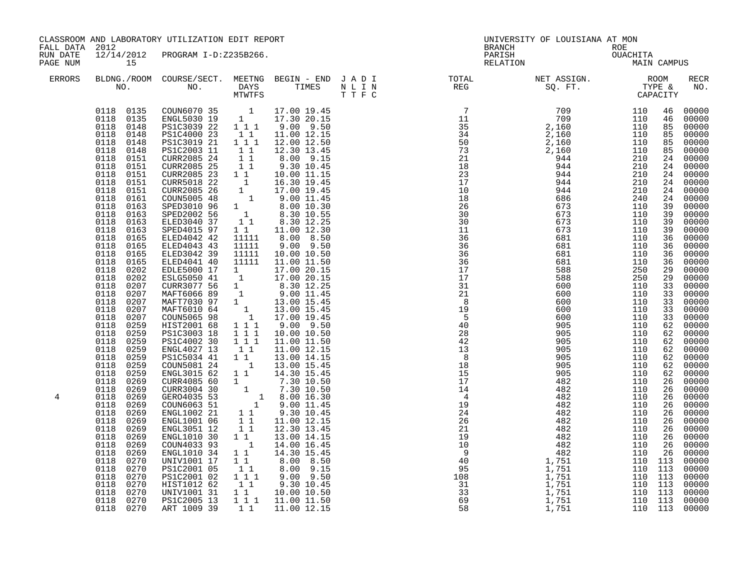| 15                                                                                                                                                                                                                                                                                                                                                                                                                                                                                                                                                                                                                                                                                            |                                                                                                                                                                                                                                                                                                                                                                                                                                                                                                                                                                                                                                     |                                                                                                                                                                                                                           |                                                                                                                                                                                                               |                                                                                                                                                                                                                                                                                                                                                                                                                                                                                                                                                                                                                                                                                                                                                                                                                                                                                                                                                                                                                                                                                                                                                                  |  |                              |                                |                                                                                                                                                                                                                                                                                                                                                                                                                                                                                                                                                                                                                                                                                                                                                                                                                                                                            |
|-----------------------------------------------------------------------------------------------------------------------------------------------------------------------------------------------------------------------------------------------------------------------------------------------------------------------------------------------------------------------------------------------------------------------------------------------------------------------------------------------------------------------------------------------------------------------------------------------------------------------------------------------------------------------------------------------|-------------------------------------------------------------------------------------------------------------------------------------------------------------------------------------------------------------------------------------------------------------------------------------------------------------------------------------------------------------------------------------------------------------------------------------------------------------------------------------------------------------------------------------------------------------------------------------------------------------------------------------|---------------------------------------------------------------------------------------------------------------------------------------------------------------------------------------------------------------------------|---------------------------------------------------------------------------------------------------------------------------------------------------------------------------------------------------------------|------------------------------------------------------------------------------------------------------------------------------------------------------------------------------------------------------------------------------------------------------------------------------------------------------------------------------------------------------------------------------------------------------------------------------------------------------------------------------------------------------------------------------------------------------------------------------------------------------------------------------------------------------------------------------------------------------------------------------------------------------------------------------------------------------------------------------------------------------------------------------------------------------------------------------------------------------------------------------------------------------------------------------------------------------------------------------------------------------------------------------------------------------------------|--|------------------------------|--------------------------------|----------------------------------------------------------------------------------------------------------------------------------------------------------------------------------------------------------------------------------------------------------------------------------------------------------------------------------------------------------------------------------------------------------------------------------------------------------------------------------------------------------------------------------------------------------------------------------------------------------------------------------------------------------------------------------------------------------------------------------------------------------------------------------------------------------------------------------------------------------------------------|
|                                                                                                                                                                                                                                                                                                                                                                                                                                                                                                                                                                                                                                                                                               |                                                                                                                                                                                                                                                                                                                                                                                                                                                                                                                                                                                                                                     |                                                                                                                                                                                                                           |                                                                                                                                                                                                               |                                                                                                                                                                                                                                                                                                                                                                                                                                                                                                                                                                                                                                                                                                                                                                                                                                                                                                                                                                                                                                                                                                                                                                  |  |                              |                                | <b>RECR</b><br>NO.                                                                                                                                                                                                                                                                                                                                                                                                                                                                                                                                                                                                                                                                                                                                                                                                                                                         |
| 0118 0148<br>0118 0148<br>0118<br>0151<br>0118<br>0151<br>0118<br>0151<br>0118<br>0151<br>0118<br>0151<br>0118<br>0161<br>0118<br>0163<br>0118<br>0163<br>0118<br>0163<br>0118<br>0163<br>0118<br>0165<br>0118 0165<br>0118 0165<br>0118 0165<br>0118<br>0202<br>0118<br>0202<br>0118<br>0207<br>0118<br>0207<br>0118<br>0207<br>0118<br>0207<br>0118<br>0207<br>0118<br>0259<br>0118<br>0259<br>0118<br>0259<br>0118<br>0259<br>0118<br>0259<br>0118<br>0259<br>0118<br>0259<br>0118<br>0269<br>0118<br>0269<br>0118<br>0269<br>0118<br>0269<br>0118<br>0269<br>0118<br>0269<br>0118<br>0269<br>0118<br>0269<br>0118<br>0269<br>0118<br>0269<br>0118<br>0270<br>0118<br>0270<br>0118<br>0270 | PS1C3019 21<br>PS1C2003 11<br>CURR2085 24<br>CURR5018 22<br>CURR2085 26<br>COUN5005 48<br>SPED3010 96<br>SPED2002 56<br>ELED3040 37<br>SPED4015 97<br>ELED4042 42<br>ELED4043 43<br>ELED3042 39<br>ELED4041 40<br>EDLE5000 17<br>ESLG5050 41<br>CURR3077 56<br>MAFT6066 89<br>MAFT7030 97<br>MAFT6010 64<br>COUN5065 98<br>HIST2001 68<br>PS1C3003 18<br>PS1C4002 30<br>ENGL4027 13<br>PS1C5034 41<br>COUN5081 24<br>ENGL3015 62<br>CURR4085 60<br>CURR3004 30<br>GER04035 53<br>COUN6063 51<br>ENGL1002 21<br>ENGL1001 06<br>ENGL3051 12<br>ENGL1010 30<br>COUN4033 93<br>ENGL1010 34<br>UNIV1001 17<br>PS1C2001 05<br>PS1C2001 02 | $1 1 1$<br>$1\quad1$<br>1<br>11111<br>11111<br>11111<br>11111<br>$\overline{\phantom{a}}$<br>$\begin{array}{rr} & 1 & 1 \\ & 1 & 1 \end{array}$<br>$1\quad1$<br>$\overline{1}$<br>$1\quad1$<br>$1\quad1$<br>11<br>$1 1 1$ | 12.30 13.45<br>10.00 11.15<br>16.30 19.45<br>11.00 12.15<br>13.00 14.15<br>14.30 15.45<br>11.00 12.15<br>13.00 14.15<br>14.30 15.45                                                                           |                                                                                                                                                                                                                                                                                                                                                                                                                                                                                                                                                                                                                                                                                                                                                                                                                                                                                                                                                                                                                                                                                                                                                                  |  |                              |                                | 00000<br>00000<br>85 00000<br>00000<br>85 00000<br>85 00000<br>24 00000<br>24 00000<br>24 00000<br>24 00000<br>00000<br>24 00000<br>39 00000<br>00000<br>00000<br>00000<br>00000<br>00000<br>00000<br>00000<br>00000<br>00000<br>00000<br>00000<br>00000<br>00000<br>00000<br>00000<br>62 00000<br>62 00000<br>62 00000<br>00000<br>62 00000<br>00000<br>00000<br>00000<br>00000<br>00000<br>00000<br>00000<br>00000<br>00000<br>00000<br>00000<br>00000<br>00000<br>00000<br>00000                                                                                                                                                                                                                                                                                                                                                                                        |
| 0118 0270<br>0118 0270                                                                                                                                                                                                                                                                                                                                                                                                                                                                                                                                                                                                                                                                        | PS1C2005 13<br>ART 1009 39                                                                                                                                                                                                                                                                                                                                                                                                                                                                                                                                                                                                          | $1\;1$                                                                                                                                                                                                                    | 11.00 12.15                                                                                                                                                                                                   |                                                                                                                                                                                                                                                                                                                                                                                                                                                                                                                                                                                                                                                                                                                                                                                                                                                                                                                                                                                                                                                                                                                                                                  |  |                              |                                | 00000<br>00000<br>00000                                                                                                                                                                                                                                                                                                                                                                                                                                                                                                                                                                                                                                                                                                                                                                                                                                                    |
|                                                                                                                                                                                                                                                                                                                                                                                                                                                                                                                                                                                                                                                                                               | FALL DATA 2012<br>0118<br>0270<br>0118<br>0270                                                                                                                                                                                                                                                                                                                                                                                                                                                                                                                                                                                      | HIST1012 62<br>UNIV1001 31                                                                                                                                                                                                | $\frac{1}{1}$ $\frac{1}{1}$<br>CURR2085 25 1 1<br>CURR2085 23 1 1<br>1 1 1<br>$\frac{1}{1}$ $\frac{1}{1}$ $\frac{1}{1}$<br>$1 1 1$<br>$\begin{bmatrix} 1 & 1 \\ 1 & 1 \end{bmatrix}$<br>11<br>11<br>$1\quad1$ | CLASSROOM AND LABORATORY UTILIZATION EDIT REPORT<br>12/14/2012 PROGRAM I-D:Z235B266.<br>$\begin{array}{cccccc} 0118 & 0135 & \text{COUN6070} & 35 & 1 & 17.00 & 19.45 \\ 0118 & 0135 & \text{ENGL5030} & 19 & 1 & 17.30 & 20.15 \\ 0118 & 0148 & \text{PS1C3039} & 22 & 1 & 1 & 9.00 & 9.50 \\ 0118 & 0148 & \text{PS1C4000} & 23 & 1 & 1 & 11.00 & 12.15 \end{array}$<br>12.00 12.50<br>8.00 9.15<br>9.30 10.45<br>$\begin{array}{rrrr} 1 & 17.00 & 19.45 \ 1 & 9.00 & 11.45 \ 1 & 8.00 & 10.30 \ 1 & 8.30 & 10.55 \ 1 & 1 & 8.30 & 12.25 \end{array}$<br>$\begin{array}{cccc} 1 & 1 & & 8.30 & 12.25 \\ 1 & 1 & & 11.00 & 12.30 \end{array}$<br>8.00 8.50<br>9.00 9.50<br>10.00 10.50<br>11.00 11.50<br>11111 11.00 11.50<br>1 17.00 20.15<br>1 3.30 12.25<br>1 9.00 11.45<br>1 13.00 15.45<br>1 13.00 15.45<br>1 17.00 19.45<br>$9.00$ $9.50$<br>10.00 10.50<br>11.00 11.50<br>13.00 15.45<br>$\begin{array}{rrrr} 1 & 1.30 & 10.50 \ 1 & 7.30 & 10.50 \ 1 & 8.00 & 16.30 \ 1 & 9.00 & 11.45 \ 1 & 1 & 9.30 & 10.45 \end{array}$<br>12.30 13.45<br>14.00 16.45<br>8.00 8.50<br>8.00 9.15<br>$9.00$ $9.50$<br>9.30 10.45<br>10.00 10.50<br>1 1 1 1 11.00 11.50 |  | BRANCH<br>PARISH<br>RELATION | UNIVERSITY OF LOUISIANA AT MON | ROE<br>OUACHITA<br>MAIN<br>MAIN CAMPUS<br>$\begin{tabular}{lllllllllllllllllllll} \textsc{BLONG.} \textsc{F100M.} & \textsc{CUIRSE/SECT.} & \textsc{METING.} & \textsc{BEGIN - END.} & \textsc{J A D I} & \textsc{DTQTAL} & \textsc{NET ASSIGN.} & \textsc{ROOM} \\ \textsc{NO.} & \textsc{NO.} & \textsc{DAYS} & \textsc{TIMES} & \textsc{N L I N} & \textsc{REG} & \textsc{SEG} & \textsc{ST.} & \textsc{STQ.} & \textsc{TTP E} & \textsc{CAPACITY} \\ & \textsc{MTVTFS} & \textsc$<br>$\begin{array}{l} \textbf{1.1.8} \\ \textbf{1.2.9} \\ \textbf{1.3.1} \\ \textbf{1.4.1} \\ \textbf{1.5.2} \\ \textbf{1.6.3} \\ \textbf{1.7.4} \\ \textbf{1.8.5} \\ \textbf{1.8.6} \\ \textbf{1.8.7} \\ \textbf{1.8.8} \\ \textbf{1.8.8} \\ \textbf{1.8.8} \\ \textbf{1.8.8} \\ \textbf{1.8.8} \\ \textbf{1.8.8} \\ \textbf{1.8.8} \\ \textbf{1.8.8} \\ \textbf{1.8.8} \\ \textbf{$ |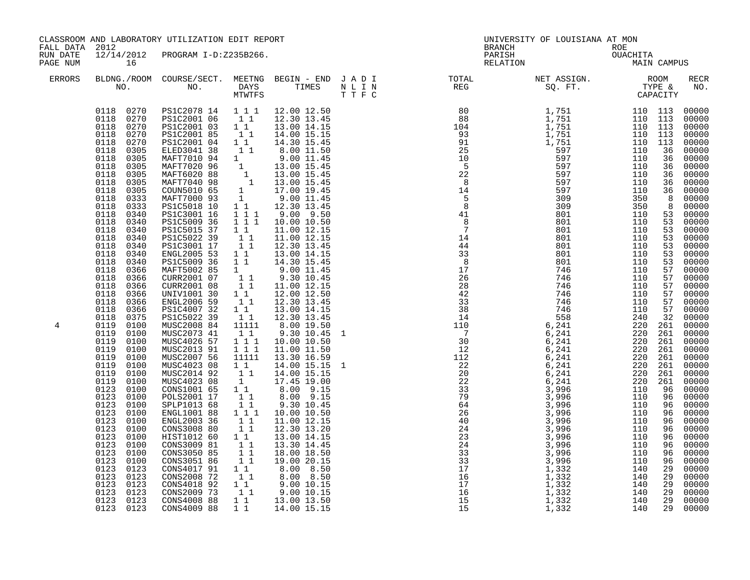| FALL DATA 2012       |                                                                                                                                                                                                                                                                                                                                                                                                                                                                                                                                                                                                                                                                                                                                                                                                     | CLASSROOM AND LABORATORY UTILIZATION EDIT REPORT                                                                                                                                                                                                                                                                                                                                                                                                                                                                                                                                                                                                                                                                                                                                                                                                                                                                            |                                                                                                                                                                                                                                                                                                                                                                                                                                                                                                                                                                                                                                   |                                                                                                                                                                                                                                                                                                                                                                                                                                                                                                                                                                                                                                                                                                                                                                                                                                              |  | UNIVERSITY OF LOUISIANA AT MON                        |  |                                                                                                                                                                                                                                                                                                                                                                                                                                                                                                                     |
|----------------------|-----------------------------------------------------------------------------------------------------------------------------------------------------------------------------------------------------------------------------------------------------------------------------------------------------------------------------------------------------------------------------------------------------------------------------------------------------------------------------------------------------------------------------------------------------------------------------------------------------------------------------------------------------------------------------------------------------------------------------------------------------------------------------------------------------|-----------------------------------------------------------------------------------------------------------------------------------------------------------------------------------------------------------------------------------------------------------------------------------------------------------------------------------------------------------------------------------------------------------------------------------------------------------------------------------------------------------------------------------------------------------------------------------------------------------------------------------------------------------------------------------------------------------------------------------------------------------------------------------------------------------------------------------------------------------------------------------------------------------------------------|-----------------------------------------------------------------------------------------------------------------------------------------------------------------------------------------------------------------------------------------------------------------------------------------------------------------------------------------------------------------------------------------------------------------------------------------------------------------------------------------------------------------------------------------------------------------------------------------------------------------------------------|----------------------------------------------------------------------------------------------------------------------------------------------------------------------------------------------------------------------------------------------------------------------------------------------------------------------------------------------------------------------------------------------------------------------------------------------------------------------------------------------------------------------------------------------------------------------------------------------------------------------------------------------------------------------------------------------------------------------------------------------------------------------------------------------------------------------------------------------|--|-------------------------------------------------------|--|---------------------------------------------------------------------------------------------------------------------------------------------------------------------------------------------------------------------------------------------------------------------------------------------------------------------------------------------------------------------------------------------------------------------------------------------------------------------------------------------------------------------|
| RUN DATE<br>PAGE NUM | 16                                                                                                                                                                                                                                                                                                                                                                                                                                                                                                                                                                                                                                                                                                                                                                                                  | 12/14/2012 PROGRAM I-D:Z235B266.                                                                                                                                                                                                                                                                                                                                                                                                                                                                                                                                                                                                                                                                                                                                                                                                                                                                                            |                                                                                                                                                                                                                                                                                                                                                                                                                                                                                                                                                                                                                                   |                                                                                                                                                                                                                                                                                                                                                                                                                                                                                                                                                                                                                                                                                                                                                                                                                                              |  | BRANCH ROE<br>PARISH OUACHITA<br>RELATION MAIN CAMPUS |  |                                                                                                                                                                                                                                                                                                                                                                                                                                                                                                                     |
| <b>ERRORS</b>        |                                                                                                                                                                                                                                                                                                                                                                                                                                                                                                                                                                                                                                                                                                                                                                                                     |                                                                                                                                                                                                                                                                                                                                                                                                                                                                                                                                                                                                                                                                                                                                                                                                                                                                                                                             |                                                                                                                                                                                                                                                                                                                                                                                                                                                                                                                                                                                                                                   |                                                                                                                                                                                                                                                                                                                                                                                                                                                                                                                                                                                                                                                                                                                                                                                                                                              |  |                                                       |  | RECR<br>NO.                                                                                                                                                                                                                                                                                                                                                                                                                                                                                                         |
| 4                    | 0118 0270<br>0118<br>0270<br>0118<br>0270<br>0118<br>0305<br>0118<br>0305<br>0118<br>0305<br>0118<br>0305<br>0118<br>0305<br>0118<br>0305<br>0118<br>0333<br>0333<br>0118<br>0118<br>0340<br>0118<br>0340<br>0118<br>0340<br>0118<br>0340<br>0118<br>0340<br>0118<br>0340<br>0118<br>0340<br>0118<br>0366<br>0118<br>0366<br>0118<br>0366<br>0118<br>0366<br>0118<br>0366<br>0118<br>0366<br>0118<br>0375<br>0119<br>0100<br>0119<br>0100<br>0119<br>0100<br>0119<br>0100<br>0119<br>0100<br>0119<br>0100<br>0119<br>0100<br>0119<br>0100<br>0123<br>0100<br>0123<br>0100<br>0123<br>0100<br>0123<br>0100<br>0123<br>0100<br>0123<br>0100<br>0123<br>0100<br>0123<br>0100<br>0123<br>0100<br>0123<br>0100<br>0123<br>0123<br>0123<br>0123<br>0123<br>0123<br>0123<br>0123<br>0123 0123<br>0123 0123 | $\begin{array}{cccccccc} 0118 & 0270 & PSLC2078 & 14 & 1 & 1 & 1 & 12.00 & 12.50 \\ 0118 & 0270 & PSLC2001 & 06 & 1 & 1 & 12.30 & 13.45 \end{array}$<br>PS1C2001 03 1 1<br>PS1C2001 85 1 1<br>PS1C2001 04<br>ELED3041 38<br>MAFT7010 94<br>MAFT7020 96<br>MAFT6020 88<br>MAFT7040 98<br>COUN5010 65<br>MAFT7000 93<br>PS1C5018 10<br>PS1C3001 16<br>PS1C5009 36<br>PS1C5015 37<br>PS1C5022 39<br>PS1C3001 17<br>ENGL2005 53<br>PS1C5009 36<br>MAFT5002 85<br>CURR2001 07<br>CURR2001 08<br>UNIV1001 30<br>ENGL2006 59<br>PS1C4007 32<br>PS1C5022 39<br>MUSC2008 84<br>MUSC2073 41<br>MUSC4026 57<br>MUSC2013 91<br>MUSC2007 56<br>MUSC4023 08<br>MUSC2014 92<br>MUSC4023 08<br>CONS1001 65<br>POLS2001 17<br>SPLP1013 68<br>ENGL1001 88<br>ENGL2003 36<br>CONS3008 80<br>HIST1012 60<br>CONS3009 81<br>CONS3050 85<br>CONS3051 86<br>CONS4017 91<br>CONS2008 72<br>CONS4018 92<br>CONS2009 73<br>CONS4008 88<br>CONS4009 88 | 11<br>$\begin{bmatrix} 1 \\ 1 \end{bmatrix}$<br>$\begin{smallmatrix} 1 & 1 \\ 1 & 1 \end{smallmatrix}$<br>$1\quad1$<br>$1\quad1$<br>11<br>$\begin{bmatrix} 1 \\ 1 \\ 1 \\ 1 \end{bmatrix}$<br>$1\quad1$<br>$\begin{bmatrix} 1 \\ 1 \end{bmatrix}$<br>11<br>$\begin{bmatrix} 1 \\ 1 \end{bmatrix}$<br>11111<br>11<br>$1 1 1$<br>$1\ 1\ 1$<br>11111<br>$\begin{smallmatrix}1&&1\\&1\\1&&1\end{smallmatrix}$<br>$\begin{smallmatrix} &\overline{1}\\ &1\\ 1&\end{smallmatrix}$<br>$1\quad1$<br>11<br>$1 1 1$<br>$\begin{bmatrix} 1 \\ 1 \\ 1 \end{bmatrix}$<br>11<br>$\begin{smallmatrix}1&1\1&1\end{smallmatrix}$<br>11<br>11<br>11 | 13.00 14.15<br>14.00 15.15<br>14.30 15.45<br>8.00 11.50<br>9.00 11.45<br>$\begin{array}{rrrr} 1&1&8.00&11.50\ 1&9.00&11.45\ 1&13.00&15.45\ 1&13.00&15.45\ 1&13.00&15.45\ 1&17.00&19.45\ 1&9.00&11.45\ 1&1&12.30&13.45\ 1&1&1&9.00&9.50\ \end{array}$<br>1 1 1 1 10.00 10.50<br>11.00 12.15<br>11.00 12.15<br>12.30 13.45<br>13.00 14.15<br>14.30 15.45<br>9.00 11.45<br>9.30 10.45<br>11.00 12.15<br>12.00 12.50<br>12.30 13.45<br>13.00 14.15<br>12.30 13.45<br>8.00 19.50<br>9.30 10.45 1<br>10.00 10.50<br>11.00 11.50<br>13.30 16.59<br>14.00 15.15 1<br>14.00 15.15<br>17.45 19.00<br>8.00 9.15<br>8.00 9.15<br>9.30 10.45<br>10.00 10.50<br>11.00 12.15<br>12.30 13.20<br>13.00 14.15<br>13.30 14.45<br>18.00 18.50<br>19.00 20.15<br>8.00 8.50<br>8.00 8.50<br>1 1 9.00 10.15<br>1 1 9.00 10.15<br>1 1 13.00 13.50<br>1 1 14.00 15.15 |  |                                                       |  | 00000<br>00000<br>00000<br>00000<br>$00000$<br>$00000$<br>00000<br>00000<br>00000<br>00000<br>00000<br>00000<br>8 00000<br>53 00000<br>00000<br>53 00000<br>53 00000<br>53 00000<br>53 00000<br>$00000$<br>$00000$<br>$00000$<br>00000<br>00000<br>00000<br>$00000$<br>00000<br>00000<br>00000<br>$00000$<br>00000<br>00000<br>$00000$<br>00000<br>00000<br>00000<br>$960000$<br>$9600000$<br>$9600000$<br>00000<br>00000<br>00000<br>00000<br>00000<br>00000<br>00000<br>00000<br>00000<br>00000<br>00000<br>00000 |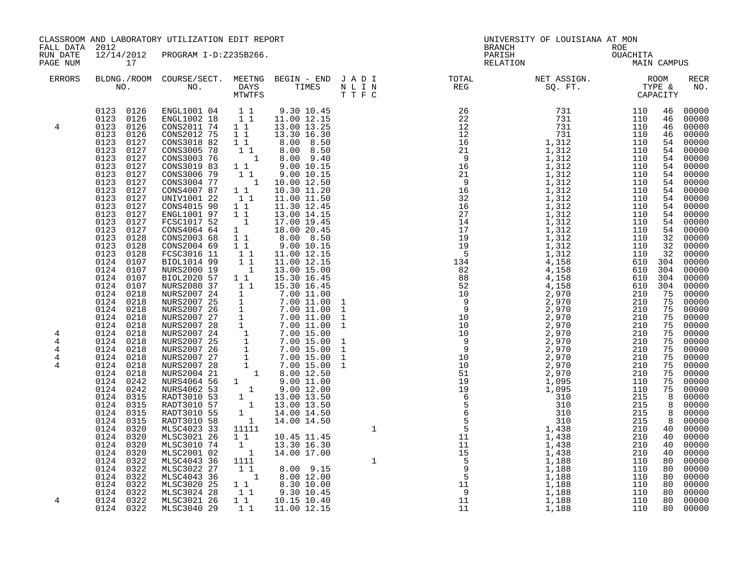|                                    | CLASSROOM AND LABORATORY UTILIZATION EDIT REPORT<br>FALL DATA 2012                                                                                                                                                                                                                                                                                                                                                                                       |                                                                                                                                                                                                                                                                                                                                                                                                                                                                                                                                                                                                                                                                        |                                                                                                                                                                                               |                                                                                                                                                                                                                                                                                                                                                                                                                                                                                 | UNIVERSITY OF LOUISIANA AT MON |                                                         |             |  |             |
|------------------------------------|----------------------------------------------------------------------------------------------------------------------------------------------------------------------------------------------------------------------------------------------------------------------------------------------------------------------------------------------------------------------------------------------------------------------------------------------------------|------------------------------------------------------------------------------------------------------------------------------------------------------------------------------------------------------------------------------------------------------------------------------------------------------------------------------------------------------------------------------------------------------------------------------------------------------------------------------------------------------------------------------------------------------------------------------------------------------------------------------------------------------------------------|-----------------------------------------------------------------------------------------------------------------------------------------------------------------------------------------------|---------------------------------------------------------------------------------------------------------------------------------------------------------------------------------------------------------------------------------------------------------------------------------------------------------------------------------------------------------------------------------------------------------------------------------------------------------------------------------|--------------------------------|---------------------------------------------------------|-------------|--|-------------|
| RUN DATE<br>PAGE NUM               | 17                                                                                                                                                                                                                                                                                                                                                                                                                                                       | 12/14/2012 PROGRAM I-D:Z235B266.                                                                                                                                                                                                                                                                                                                                                                                                                                                                                                                                                                                                                                       |                                                                                                                                                                                               |                                                                                                                                                                                                                                                                                                                                                                                                                                                                                 |                                | BRANCH<br>ROE<br>OUACHITA<br>MAIN<br>PARISH<br>RELATION | MAIN CAMPUS |  |             |
| ERRORS                             |                                                                                                                                                                                                                                                                                                                                                                                                                                                          |                                                                                                                                                                                                                                                                                                                                                                                                                                                                                                                                                                                                                                                                        |                                                                                                                                                                                               |                                                                                                                                                                                                                                                                                                                                                                                                                                                                                 |                                |                                                         |             |  | RECR<br>NO. |
| 4<br>4<br>4<br>$\overline{4}$<br>4 | 0123 0126<br>0123 0126<br>0123 0126<br>0123 0126<br>0123 0127<br>0123<br>0127<br>0123<br>0127<br>0123<br>0127<br>0123<br>0127<br>0123 0127<br>0123 0127<br>0123 0127<br>0123 0127<br>0123 0127<br>0123 0127<br>0123<br>0127<br>0123<br>0128<br>0123 0128<br>$0123$ $0128$<br>0124 0107<br>0124<br>0107<br>0124<br>0107<br>0124 0107<br>0124 0218<br>0124 0218<br>0124 0218<br>0124 0218<br>0124 0218<br>0124 0218<br>0124 0218<br>0124 0218<br>0124 0218 | ENGL1001 04   1   1   9.30 10.45<br>ENGL1002 18   1   11.00 12.15<br>CONS2011 74 1 1 13.00 13.25<br>CONS2012 75<br>CONS3018 82<br>CONS3018 82<br>CONS3003 76<br>CONS3019 83<br>CONS3006 79<br>CONS3004 77<br>CONS4007 87<br>UNIV1001 22<br>CONS4015 90<br>ENGL1001 97<br>FCSC1017 52<br>CONS4064 64<br>CONS2003 68<br>CONS2004 69<br>FCSC3016 11<br>BIOL1014 99<br>NURS2000 19<br>BIOL2020 57<br>NURS2080 37<br>NURS2007 24 1 7.00 11.00<br>NURS2007 25 1 7.00 11.00<br>NURS2007 25 1 7.00 11.00<br>NURS2007 26 1 7.00 11.00<br>NURS2007 26 1 7.00 11.00<br>NURS2007 28 1 7.00 11.00<br>NURS2007 28 1 7.00 11.00<br>NURS2007 24 1 7.00 15.00<br>NURS2007 25 1 7.00 15. | $1\quad1$<br>11<br>$\begin{bmatrix} 1 \\ 1 \end{bmatrix}$<br>$1\quad1$<br>$\begin{array}{c} 1 \\ 1 \\ 1 \end{array}$<br>$\begin{array}{c} 1 \\ 1 \\ 1 \\ 1 \\ 1 \\ 1 \end{array}$<br>11<br>11 | 13.30 16.30<br>$\begin{array}{rrrr} 1 & 1 & 1.3 & 0.0 & 0.50 \ 1 & 1 & 8 & 0.0 & 8 & 50 \ 1 & 1 & 8 & 0.0 & 9 & 40 \ 1 & 1 & 9 & 0.0 & 10 & 15 \ 1 & 1 & 9 & 0.0 & 10 & 15 \ 1 & 1 & 10 & 0.0 & 12 & 50 \ \end{array}$<br>10.30 11.20<br>11.00 11.50<br>11.30 12.45<br>13.00 14.15<br>17.00 19.45<br>$\begin{array}{ccc} 1 & 18.00 & 20.45 \ 1 & 1 & 8.00 & 8.50 \ 1 & 1 & 9.00 & 10.15 \end{array}$<br>11.00 12.15<br>11.00 12.15<br>13.00 15.00<br>15.30 16.45<br>15.30 16.45 |                                |                                                         |             |  |             |
| 4<br>4                             | 0124 0218<br>0124 0218<br>0124 0242<br>0124 0242<br>0124 0315<br>0124 0315<br>0124 0315<br>0124 0315<br>0124 0320<br>0124 0320<br>0124 0320<br>0124<br>0320<br>0124 0322<br>0124 0322<br>0124 0322<br>0124 0322<br>0124 0322<br>0124 0322<br>0124 0322                                                                                                                                                                                                   | MLSC4023 33<br>MLSC3021 26<br>MLSC3010 74<br>MLSC2001 02<br>MLSC4043 36<br>MLSC3022 27<br>MLSC4043 36<br>MLSC3020 25<br>MLSC3024 28<br>MLSC3021 26<br>MLSC3040 29                                                                                                                                                                                                                                                                                                                                                                                                                                                                                                      | 11111<br>$1\quad1$<br>1<br>$\overline{1}$<br>1111<br>11<br>$1\quad1$<br>$1\quad1$                                                                                                             | 10.45 11.45<br>13.30 16.30<br>14.00 17.00<br>8.00 9.15<br>1 8.00 12.00<br>8.30 10.00<br>9.30 10.45<br>$1\overline{1}$ 10.15 10.40<br>1 1 11.00 12.15                                                                                                                                                                                                                                                                                                                            |                                |                                                         |             |  |             |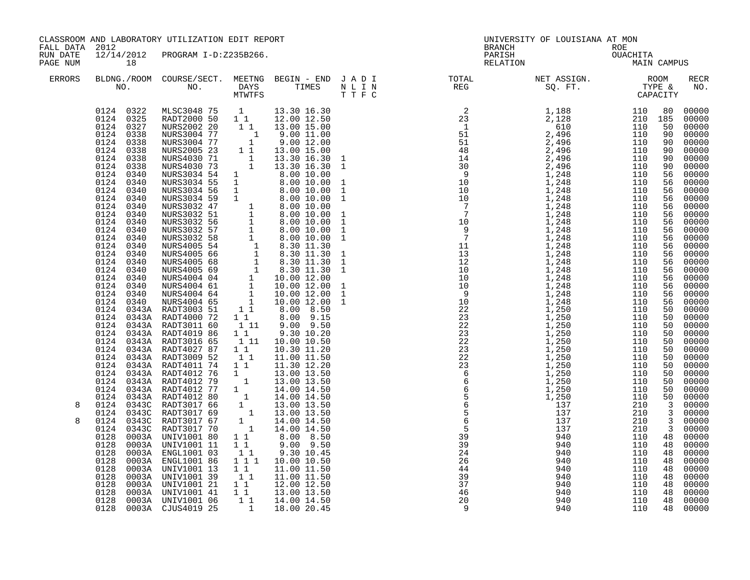| 18                                                                                                                                                                                                                                                                                                                                               |                        |                                        |                                                                                                                                                                                                                   |                                                                                                                                                                                                                                                                                                                                                                                                                                                                                                                                                                                                                                                                    |                                                                                                                                                                                                                                                                                                                                                                                                                                                                                                                                        |                                     |                                |                                                                                                                                                                                                                                                                                                                                                                                                                                                                                                                                                                                                                                                                                                                                                                                                                                                                                                                                                                                                                        |
|--------------------------------------------------------------------------------------------------------------------------------------------------------------------------------------------------------------------------------------------------------------------------------------------------------------------------------------------------|------------------------|----------------------------------------|-------------------------------------------------------------------------------------------------------------------------------------------------------------------------------------------------------------------|--------------------------------------------------------------------------------------------------------------------------------------------------------------------------------------------------------------------------------------------------------------------------------------------------------------------------------------------------------------------------------------------------------------------------------------------------------------------------------------------------------------------------------------------------------------------------------------------------------------------------------------------------------------------|----------------------------------------------------------------------------------------------------------------------------------------------------------------------------------------------------------------------------------------------------------------------------------------------------------------------------------------------------------------------------------------------------------------------------------------------------------------------------------------------------------------------------------------|-------------------------------------|--------------------------------|------------------------------------------------------------------------------------------------------------------------------------------------------------------------------------------------------------------------------------------------------------------------------------------------------------------------------------------------------------------------------------------------------------------------------------------------------------------------------------------------------------------------------------------------------------------------------------------------------------------------------------------------------------------------------------------------------------------------------------------------------------------------------------------------------------------------------------------------------------------------------------------------------------------------------------------------------------------------------------------------------------------------|
|                                                                                                                                                                                                                                                                                                                                                  |                        |                                        |                                                                                                                                                                                                                   |                                                                                                                                                                                                                                                                                                                                                                                                                                                                                                                                                                                                                                                                    |                                                                                                                                                                                                                                                                                                                                                                                                                                                                                                                                        |                                     |                                | RECR<br>NO.                                                                                                                                                                                                                                                                                                                                                                                                                                                                                                                                                                                                                                                                                                                                                                                                                                                                                                                                                                                                            |
| 0124 0327<br>0124 0338<br>0124 0338<br>0124 0338<br>0124 0338<br>0124 0338<br>0124 0340<br>0124 0340<br>0124 0340<br>0124<br>0124<br>0124 0340<br>0124 0340<br>0124 0340<br>0124 0340<br>0124 0340<br>0124 0340<br>0124 0340<br>0124 0340<br>0124 0340<br>0124 0340<br>0124 0340<br>0124<br>0124<br>0124<br>0128<br>0128<br>0128<br>0128<br>0128 |                        |                                        |                                                                                                                                                                                                                   |                                                                                                                                                                                                                                                                                                                                                                                                                                                                                                                                                                                                                                                                    |                                                                                                                                                                                                                                                                                                                                                                                                                                                                                                                                        |                                     |                                | 00000<br>00000<br>00000<br>$00000$<br>00000<br>$00000$<br>00000<br>00000<br>56 00000<br>00000<br>00000<br>00000<br>56 00000<br>56 00000<br>00000<br>00000<br>56 00000<br>56 00000<br>00000<br>56 00000<br>56 00000<br>56 00000<br>00000<br>00000<br>00000<br>00000<br>50 00000<br>00000<br>00000<br>$00000$<br>00000<br>00000<br>$\begin{bmatrix} 50 & 00000 \\ 50 & 00000 \\ 50 & 00000 \\ 50 & 00000 \\ \end{bmatrix}$<br>50 00000<br>3 00000<br>3 00000<br>00000<br>00000<br>00000<br>00000<br>00000<br>00000                                                                                                                                                                                                                                                                                                                                                                                                                                                                                                       |
|                                                                                                                                                                                                                                                                                                                                                  |                        |                                        |                                                                                                                                                                                                                   |                                                                                                                                                                                                                                                                                                                                                                                                                                                                                                                                                                                                                                                                    |                                                                                                                                                                                                                                                                                                                                                                                                                                                                                                                                        |                                     |                                | 48 00000<br>48 00000                                                                                                                                                                                                                                                                                                                                                                                                                                                                                                                                                                                                                                                                                                                                                                                                                                                                                                                                                                                                   |
|                                                                                                                                                                                                                                                                                                                                                  | FALL DATA 2012<br>0128 | 0003A UNIV1001 11<br>0003A UNIV1001 11 | 111<br>$\begin{array}{cccc} 0124 & 0343A & \text{RADT3011} & 60 & 1 & 11 \\ 0124 & 0343A & \text{RADT4019} & 86 & 1 & 1 \end{array}$<br>0003A ENGL1001 86 1 1 1<br>0003A UNIV1001 13 1 1<br>0003A UNIV1001 39 1 1 | CLASSROOM AND LABORATORY UTILIZATION EDIT REPORT<br>12/14/2012 PROGRAM I-D:Z235B266.<br>$\begin{array}{cccccc} 0124 & 0322 & \text{MLSC3048} & 75 & 1 & 13.30 & 16.30 \\ 0124 & 0325 & \text{RADT2000} & 50 & 1 & 1 & 12.00 & 12.50 \end{array}$<br>NURS2002 20 1 1 13.00 15.00<br>NURS3004 77 1 9.00 11.00<br>NURS3004 77 1 9.00 12.00<br>NURS2005 23 1 1 13.00 15.00<br>$9.00$ $9.50$<br>9.30 10.20<br>11.00 11.50<br>0003A UNIVI001 21 11 12.00 12.50<br>0003A UNIVI001 41 11 13.00 13.50<br>$\begin{array}{cccccccc} 0128 & 0003A & \text{UNIV}1001 & 06 & & 1 & 1 & 14.00 & 14.50 \\ 0128 & 0003A & \text{CJUS}4019 & 25 & & 1 & & 18.00 & 20.45 \end{array}$ | $\begin{array}{cccccccc} 0.338 & \text{NURS3004} & 7 & 1 & 1 & 3.00 & 12.00 \\ 0.338 & \text{NURS4030 71} & 1 & 13.30 & 16.30 \\ 0.338 & \text{NURS4030 73} & 1 & 13.30 & 16.30 \\ 0.338 & \text{NURS4030 73} & 1 & 13.30 & 16.30 \\ 0.340 & \text{NURS3034 55} & 1 & 8.00 & 10.00 \\ 0.340 & \text{NURS303$<br>13.30 16.30 1<br>13.30 16.30 1<br>$\begin{bmatrix} 1 & 1 \\ 1 & 1 \\ 1 & 1 \end{bmatrix} \quad \begin{array}{c} 9.30 & 10.11 \\ 10.00 & 10.50 \\ 11 & 11.00 & 11.50 \\ 11 & 00 & 11.50 \\ 11 & 00 & 11.50 \end{array}$ | <b>BRANCH</b><br>PARISH<br>RELATION | UNIVERSITY OF LOUISIANA AT MON | ROE<br>OUACHITA<br>MAIN CAMPUS<br>$\begin{tabular}{lllllllllllllllllllll} \textsc{BLDNG.} \textsc{ROOM} & \textsc{CUIRSE/SECT.} & \textsc{METNG} & \textsc{BEGIN} & - & \textsc{END} & \textsc{J} & \textsc{A} & \textsc{D} & \textsc{I} & & & \textsc{TCTAL} & & \textsc{NET} & \textsc{ASIGN.} & & \textsc{ROOM} \\ \textsc{NO.} & \textsc{NO.} & \textsc{DAYS} & \textsc{TIMES} & \textsc{N} & \textsc{L} & \textsc{I} & \textsc{N} & & \textsc{TEG} & & \textsc{SQ. FT$<br>$\begin{small} \textbf{1} & \textbf{1} & \textbf{1} & \textbf{1} & \textbf{1} & \textbf{1} & \textbf{1} & \textbf{1} & \textbf{1} & \textbf{1} & \textbf{1} & \textbf{1} & \textbf{1} & \textbf{1} & \textbf{1} & \textbf{1} & \textbf{1} & \textbf{1} & \textbf{1} & \textbf{1} & \textbf{1} & \textbf{1} & \textbf{1} & \textbf{1} & \textbf{1} & \textbf{1} & \textbf{1} & \textbf{1} & \textbf{1} & \textbf{1} & \textbf{1$<br>$\begin{array}{rrrr} 48 & 00000 \\ 48 & 00000 \\ 48 & 00000 \\ 48 & 00000 \\ 48 & 00000 \end{array}$ |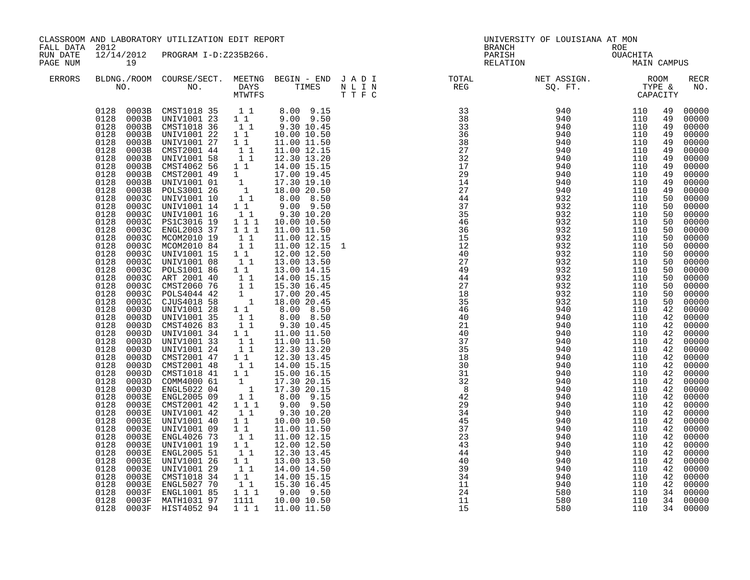|                      | CLASSROOM AND LABORATORY UTILIZATION EDIT REPORT<br>FALL DATA 2012                                                                                                                                                                                                                                                       |                                                                                                                                                                                                                                                                                                                                                                                                                                                                                                                                                                                                                                                                                                                                                                                                                                                                                                                                                                            |                                                                                                                                                                                                                                                                                                                                                                                                                                                                                                                                  | BRANCH                                                                                                                                                                                                                                                                                                                                                                                                                                                                   | UNIVERSITY OF LOUISIANA AT MON<br>ROE |                    |                         |                                                                                                                                                                                                                |                                                                                                                                                                                                                                                                                                                                                                                                                 |
|----------------------|--------------------------------------------------------------------------------------------------------------------------------------------------------------------------------------------------------------------------------------------------------------------------------------------------------------------------|----------------------------------------------------------------------------------------------------------------------------------------------------------------------------------------------------------------------------------------------------------------------------------------------------------------------------------------------------------------------------------------------------------------------------------------------------------------------------------------------------------------------------------------------------------------------------------------------------------------------------------------------------------------------------------------------------------------------------------------------------------------------------------------------------------------------------------------------------------------------------------------------------------------------------------------------------------------------------|----------------------------------------------------------------------------------------------------------------------------------------------------------------------------------------------------------------------------------------------------------------------------------------------------------------------------------------------------------------------------------------------------------------------------------------------------------------------------------------------------------------------------------|--------------------------------------------------------------------------------------------------------------------------------------------------------------------------------------------------------------------------------------------------------------------------------------------------------------------------------------------------------------------------------------------------------------------------------------------------------------------------|---------------------------------------|--------------------|-------------------------|----------------------------------------------------------------------------------------------------------------------------------------------------------------------------------------------------------------|-----------------------------------------------------------------------------------------------------------------------------------------------------------------------------------------------------------------------------------------------------------------------------------------------------------------------------------------------------------------------------------------------------------------|
| RUN DATE<br>PAGE NUM | 19                                                                                                                                                                                                                                                                                                                       | 12/14/2012 PROGRAM I-D:Z235B266.                                                                                                                                                                                                                                                                                                                                                                                                                                                                                                                                                                                                                                                                                                                                                                                                                                                                                                                                           |                                                                                                                                                                                                                                                                                                                                                                                                                                                                                                                                  |                                                                                                                                                                                                                                                                                                                                                                                                                                                                          |                                       | PARISH<br>RELATION | OUACHITA<br>MAIN CAMPUS |                                                                                                                                                                                                                |                                                                                                                                                                                                                                                                                                                                                                                                                 |
| <b>ERRORS</b>        |                                                                                                                                                                                                                                                                                                                          |                                                                                                                                                                                                                                                                                                                                                                                                                                                                                                                                                                                                                                                                                                                                                                                                                                                                                                                                                                            |                                                                                                                                                                                                                                                                                                                                                                                                                                                                                                                                  |                                                                                                                                                                                                                                                                                                                                                                                                                                                                          |                                       |                    |                         |                                                                                                                                                                                                                | <b>RECR</b><br>NO.                                                                                                                                                                                                                                                                                                                                                                                              |
|                      | 0128<br>0128<br>0128<br>0128<br>0003B<br>0128<br>0128<br>0128<br>0128<br>0128<br>0128<br>0128<br>0128<br>0128<br>0128<br>0128<br>0128<br>0128<br>0128<br>0128<br>0128<br>0128<br>0128<br>0128<br>0003D<br>0128<br>0128<br>0128<br>0128<br>0128<br>0128<br>0128<br>0128<br>0128<br>0128<br>0128<br>0003E<br>0128<br>0003E | $\begin{array}{cccccccc} 0128 & 0003B & CMT1018 & 35 & 1 & 1 & 8.00 & 9.15 \\ 0128 & 0003B & UNIV1001 & 23 & 1 & 1 & 9.00 & 9.50 \\ \end{array}$<br>0128 0003B CMSTI018 36 1 1 9.30 10.45<br>0128 0003B UNIV1001 22 1 1 10.00 10.50<br>0003B UNIV1001 22<br>0003B UNIV1001 27<br>0003B CMST2001 44<br>CMST4062 56<br>0003B CMST2001 49<br>0003B UNIV1001 01<br>0003B POLS3001 26<br>0003C UNIV1001 10<br>0003C UNIV1001 14<br>0003C UNIV1001 16<br>0003C PS1C3016 19<br>0003C ENGL2003 37<br>0003C MCOM2010 19<br>0003C MCOM2010 84<br>0003C UNIV1001 15<br>0003C UNIV1001 08<br>0003C POLS1001 86<br>0003C ART 2001 40<br>0003C CMST2060 76<br>0003C POLS4044 42<br>0003C CJUS4018 58<br>0003D UNIV1001 28<br>UNIV1001 35<br>0003D CMST4026 83<br>0003D UNIV1001 34<br>0003D UNIV1001 33<br>0003D UNIV1001 24<br>0003D CMST2001 47<br>0003D CMST2001 48<br>0003D CMST1018 41<br>0003D COMM4000 61<br>0003D ENGL5022 04<br>0003E ENGL2005 09<br>CMST2001 42<br>UNIV1001 42 | $\begin{array}{c} \mathbf{1} \\ \mathbf{1} \\ \mathbf{1} \\ \mathbf{1} \end{array}$<br>11<br>$1\quad1$<br>$\begin{bmatrix} 1 \\ 1 \end{bmatrix}$<br>$1 1 1$<br>$1\bar{1}1$<br>$\begin{bmatrix} 1 & 1 \\ 1 & 1 \end{bmatrix}$<br>11<br>11<br>$\begin{array}{c} 1\\ 1\\ 1\\ 1\\ 1 \end{array}$<br>$\begin{bmatrix} 1 \\ 1 \end{bmatrix}$<br>$\begin{bmatrix} 1 \\ 1 \\ 1 \end{bmatrix}$<br>$1\quad1$<br>$\begin{bmatrix} 1 \\ 1 \end{bmatrix}$<br>$1\quad1$<br>$\begin{bmatrix} 1 \\ 1 \\ 1 \end{bmatrix}$<br>$1 1 1$<br>$1\quad1$ | 11.00 11.50<br>11.00 12.15<br>12.30 13.20<br>14.00 15.15<br>$9.00$ $9.50$<br>$9.30$ 10.20<br>10.00 10.50<br>11.00 11.50<br>11.00 12.15<br>11.00 12.15 1<br>12.00 12.50<br>13.00 13.50<br>13.00 14.15<br>14.00 15.15<br>15.30 16.45<br>17.00 20.45<br>18.00 20.45<br>8.00 8.50<br>8.00 8.50<br>9.30 10.45<br>11.00 11.50<br>11.00 11.50<br>12.30 13.20<br>12.30 13.45<br>14.00 15.15<br>15.00 16.15<br>17.30 20.15<br>17.30 20.15<br>8.00 9.15<br>9.00 9.50<br>9.30 10.20 |                                       |                    |                         | 49<br>49<br>49<br>49<br>49<br>49<br>49<br>49<br>49<br>49<br>49<br>50<br>50<br>50<br>50<br>50<br>50<br>50<br>50<br>50<br>50<br>50<br>50<br>50<br>42<br>42<br>42<br>42<br>42<br>42<br>42<br>42<br>42<br>42<br>42 | 00000<br>00000<br>00000<br>00000<br>00000<br>00000<br>00000<br>00000<br>00000<br>00000<br>00000<br>00000<br>00000<br>00000<br>00000<br>00000<br>00000<br>00000<br>00000<br>00000<br>$00000$<br>00000<br>00000<br>00000<br>$\begin{bmatrix} 50 & 00000 \\ 42 & 00000 \\ 42 & 00000 \end{bmatrix}$<br>00000<br>00000<br>00000<br>00000<br>00000<br>00000<br>42 00000<br>00000<br>00000<br>00000<br>00000<br>00000 |
|                      | 0128<br>0003E<br>0128<br>0003E<br>0128<br>0003E<br>0128<br>0003E<br>0128<br>0003E<br>0128<br>0003E<br>0128<br>0003E<br>0128                                                                                                                                                                                              | UNIV1001 40<br>UNIV1001 09<br>ENGL4026 73<br>UNIV1001 19<br>ENGL2005 51<br>UNIV1001 26<br>UNIV1001 29                                                                                                                                                                                                                                                                                                                                                                                                                                                                                                                                                                                                                                                                                                                                                                                                                                                                      | 11<br>$\begin{smallmatrix} 1 & 1 \\ 1 & 1 \end{smallmatrix}$<br>$\begin{smallmatrix}1\end{smallmatrix}$ $\begin{smallmatrix}1\end{smallmatrix}$ $\begin{smallmatrix}1\end{smallmatrix}$<br>$\begin{smallmatrix}1\end{smallmatrix}$ $\begin{smallmatrix}1\end{smallmatrix}$ $\begin{smallmatrix}1\end{smallmatrix}$                                                                                                                                                                                                               | 10.00 10.50<br>11.00 11.50<br>11.00 12.15<br>12.00 12.50<br>12.30 13.45<br>13.00 13.50<br>14.00 14.50                                                                                                                                                                                                                                                                                                                                                                    |                                       |                    |                         | 42<br>42<br>42                                                                                                                                                                                                 | 00000<br>42 00000<br>00000<br>42 00000<br>00000<br>42 00000<br>42 00000<br>42 00000                                                                                                                                                                                                                                                                                                                             |
|                      | 0128<br>0128<br>0128                                                                                                                                                                                                                                                                                                     | 0003E CMST1018 34<br>0003E ENGL5027 70<br>0003F ENGL1001 85<br>0003F MATH1031 97<br>0128 0003F HIST4052 94                                                                                                                                                                                                                                                                                                                                                                                                                                                                                                                                                                                                                                                                                                                                                                                                                                                                 | 1111                                                                                                                                                                                                                                                                                                                                                                                                                                                                                                                             | 1 1 14.00 15.15<br>1 1 15.30 16.45<br>1 1 1 9.00 9.50<br>10.00 10.50<br>1 1 1 1 11.00 11.50                                                                                                                                                                                                                                                                                                                                                                              | 24<br>11<br>15                        | 580<br>580<br>580  | 110<br>110<br>110       | 42                                                                                                                                                                                                             | 00000<br>34 00000<br>34 00000<br>34 00000                                                                                                                                                                                                                                                                                                                                                                       |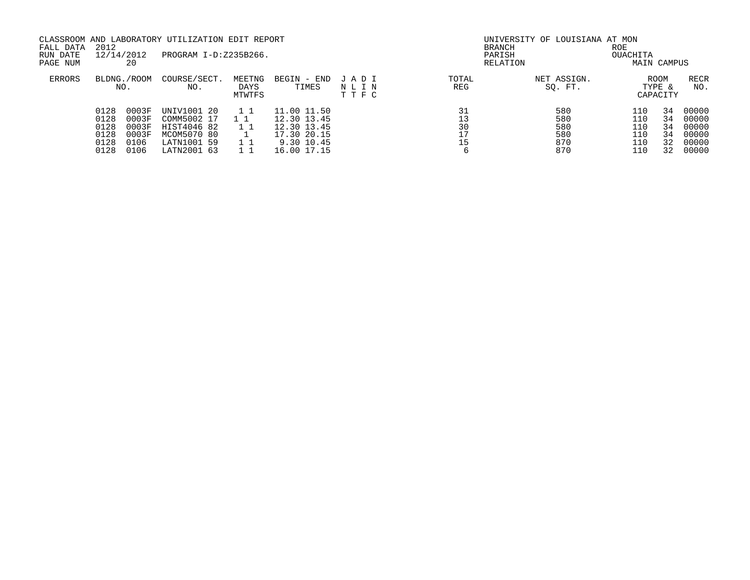|                                      | 20                                       |                                                                              |                          |                                                                        |                                                                 |                |                                 | OUACHITA                                   |                                                     |                                                        |
|--------------------------------------|------------------------------------------|------------------------------------------------------------------------------|--------------------------|------------------------------------------------------------------------|-----------------------------------------------------------------|----------------|---------------------------------|--------------------------------------------|-----------------------------------------------------|--------------------------------------------------------|
|                                      |                                          | COURSE/SECT.<br>NO.                                                          | MEETNG<br>DAYS<br>MTWTFS | BEGIN - END<br>TIMES                                                   | JADI<br>NLIN<br>TTFC                                            | TOTAL<br>REG   | NET ASSIGN.<br>SQ. FT.          |                                            |                                                     | RECR<br>NO.                                            |
| 0128<br>0128<br>0128<br>0128<br>0128 | 0003F<br>0003F<br>0003F<br>0003F<br>0106 | UNIV1001<br>- 20<br>COMM5002 17<br>HIST4046 82<br>MCOM5070 80<br>LATN1001 59 | 1 1<br>11<br>11          | 11.00 11.50<br>12.30 13.45<br>12.30 13.45<br>17.30 20.15<br>9.30 10.45 |                                                                 | 13<br>30<br>17 | 580<br>580<br>580<br>580<br>870 | 110<br>110<br>110<br>110<br>110            | 34<br>34<br>34<br>34<br>32                          | 00000<br>00000<br>00000<br>00000<br>00000<br>00000     |
|                                      | 2012<br>0128                             | 12/14/2012<br>BLDNG./ROOM<br>NO.<br>0106                                     | LATN2001 63              | PROGRAM I-D:Z235B266.                                                  | CLASSROOM AND LABORATORY UTILIZATION EDIT REPORT<br>16.00 17.15 |                |                                 | <b>BRANCH</b><br>PARISH<br>RELATION<br>870 | UNIVERSITY OF LOUISIANA AT MON<br><b>ROE</b><br>110 | MAIN CAMPUS<br><b>ROOM</b><br>TYPE &<br>CAPACITY<br>32 |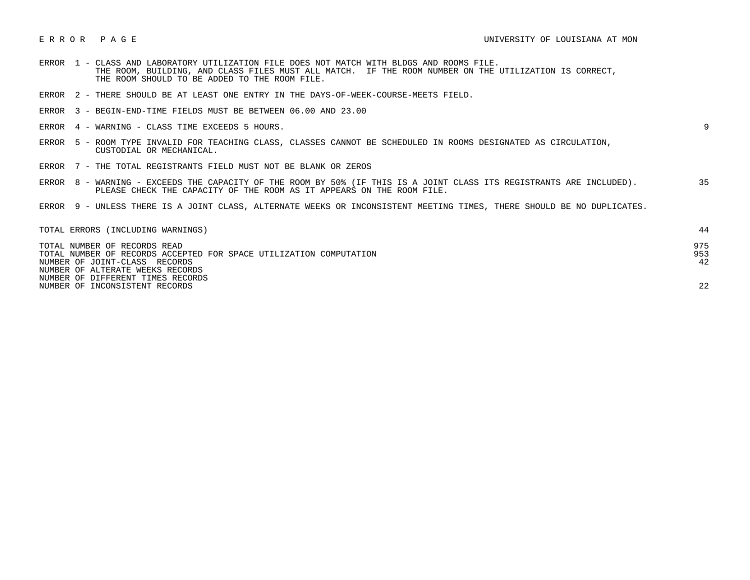- ERROR 1 CLASS AND LABORATORY UTILIZATION FILE DOES NOT MATCH WITH BLDGS AND ROOMS FILE. THE ROOM, BUILDING, AND CLASS FILES MUST ALL MATCH. IF THE ROOM NUMBER ON THE UTILIZATION IS CORRECT, THE ROOM SHOULD TO BE ADDED TO THE ROOM FILE.
- ERROR 2 THERE SHOULD BE AT LEAST ONE ENTRY IN THE DAYS-OF-WEEK-COURSE-MEETS FIELD.
- ERROR 3 BEGIN-END-TIME FIELDS MUST BE BETWEEN 06.00 AND 23.00
- ERROR 4 WARNING CLASS TIME EXCEEDS 5 HOURS. 9

- ERROR 5 ROOM TYPE INVALID FOR TEACHING CLASS, CLASSES CANNOT BE SCHEDULED IN ROOMS DESIGNATED AS CIRCULATION, CUSTODIAL OR MECHANICAL.
- ERROR 7 THE TOTAL REGISTRANTS FIELD MUST NOT BE BLANK OR ZEROS
- ERROR 8 WARNING EXCEEDS THE CAPACITY OF THE ROOM BY 50% (IF THIS IS A JOINT CLASS ITS REGISTRANTS ARE INCLUDED). 35 PLEASE CHECK THE CAPACITY OF THE ROOM AS IT APPEARS ON THE ROOM FILE.
- ERROR 9 UNLESS THERE IS A JOINT CLASS, ALTERNATE WEEKS OR INCONSISTENT MEETING TIMES, THERE SHOULD BE NO DUPLICATES.

| TOTAL ERRORS (INCLUDING WARNINGS)                                  |     |
|--------------------------------------------------------------------|-----|
| TOTAL NUMBER OF RECORDS READ                                       | 975 |
| TOTAL NUMBER OF RECORDS ACCEPTED FOR SPACE UTILIZATION COMPUTATION | 953 |
| NUMBER OF JOINT-CLASS RECORDS                                      | 42  |
| NUMBER OF ALTERATE WEEKS RECORDS                                   |     |
| NUMBER OF DIFFERENT TIMES RECORDS                                  |     |
| NUMBER OF INCONSISTENT RECORDS                                     | 22  |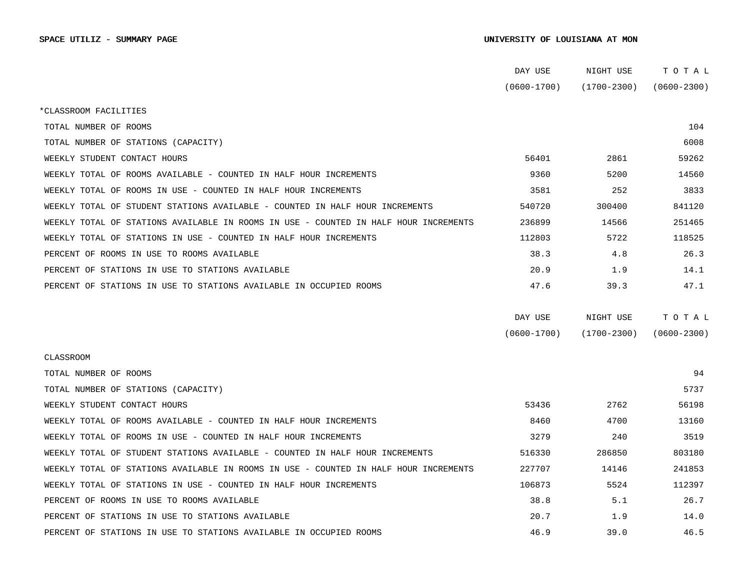## SPACE UTILIZ - SUMMARY PAGE SALL SOM AND SUMMARY PAGE SUMMARY PAGE SUMMARY PAGE SUMMARY PAGE SUMMARY PAGE SUMMARY PAGE

|                                                                                      | DAY USE         | NIGHT USE       | TOTAL           |
|--------------------------------------------------------------------------------------|-----------------|-----------------|-----------------|
|                                                                                      | $(0600 - 1700)$ | $(1700 - 2300)$ | $(0600 - 2300)$ |
| *CLASSROOM FACILITIES                                                                |                 |                 |                 |
| TOTAL NUMBER OF ROOMS                                                                |                 |                 | 104             |
| TOTAL NUMBER OF STATIONS (CAPACITY)                                                  |                 |                 | 6008            |
| WEEKLY STUDENT CONTACT HOURS                                                         | 56401           | 2861            | 59262           |
| WEEKLY TOTAL OF ROOMS AVAILABLE - COUNTED IN HALF HOUR INCREMENTS                    | 9360            | 5200            | 14560           |
| WEEKLY TOTAL OF ROOMS IN USE - COUNTED IN HALF HOUR INCREMENTS                       | 3581            | 252             | 3833            |
| WEEKLY TOTAL OF STUDENT STATIONS AVAILABLE - COUNTED IN HALF HOUR INCREMENTS         | 540720          | 300400          | 841120          |
| WEEKLY TOTAL OF STATIONS AVAILABLE IN ROOMS IN USE - COUNTED IN HALF HOUR INCREMENTS | 236899          | 14566           | 251465          |
| WEEKLY TOTAL OF STATIONS IN USE - COUNTED IN HALF HOUR INCREMENTS                    | 112803          | 5722            | 118525          |
| PERCENT OF ROOMS IN USE TO ROOMS AVAILABLE                                           | 38.3            | 4.8             | 26.3            |
| PERCENT OF STATIONS IN USE TO STATIONS AVAILABLE                                     | 20.9            | 1.9             | 14.1            |
| PERCENT OF STATIONS IN USE TO STATIONS AVAILABLE IN OCCUPIED ROOMS                   | 47.6            | 39.3            | 47.1            |
|                                                                                      |                 |                 |                 |
|                                                                                      | DAY USE         | NIGHT USE       | TOTAL           |
|                                                                                      | $(0600 - 1700)$ | $(1700 - 2300)$ | $(0600 - 2300)$ |
| CLASSROOM                                                                            |                 |                 |                 |
| TOTAL NUMBER OF ROOMS                                                                |                 |                 | 94              |
| TOTAL NUMBER OF STATIONS (CAPACITY)                                                  |                 |                 | 5737            |
| WEEKLY STUDENT CONTACT HOURS                                                         | 53436           | 2762            | 56198           |
| WEEKLY TOTAL OF ROOMS AVAILABLE - COUNTED IN HALF HOUR INCREMENTS                    | 8460            | 4700            | 13160           |
| WEEKLY TOTAL OF ROOMS IN USE - COUNTED IN HALF HOUR INCREMENTS                       | 3279            | 240             | 3519            |
| WEEKLY TOTAL OF STUDENT STATIONS AVAILABLE - COUNTED IN HALF HOUR INCREMENTS         | 516330          | 286850          | 803180          |
| WEEKLY TOTAL OF STATIONS AVAILABLE IN ROOMS IN USE - COUNTED IN HALF HOUR INCREMENTS | 227707          | 14146           | 241853          |
| WEEKLY TOTAL OF STATIONS IN USE - COUNTED IN HALF HOUR INCREMENTS                    | 106873          | 5524            | 112397          |
| PERCENT OF ROOMS IN USE TO ROOMS AVAILABLE                                           | 38.8            | 5.1             | 26.7            |
| PERCENT OF STATIONS IN USE TO STATIONS AVAILABLE                                     | 20.7            | 1.9             | 14.0            |
| PERCENT OF STATIONS IN USE TO STATIONS AVAILABLE IN OCCUPIED ROOMS                   | 46.9            | 39.0            | 46.5            |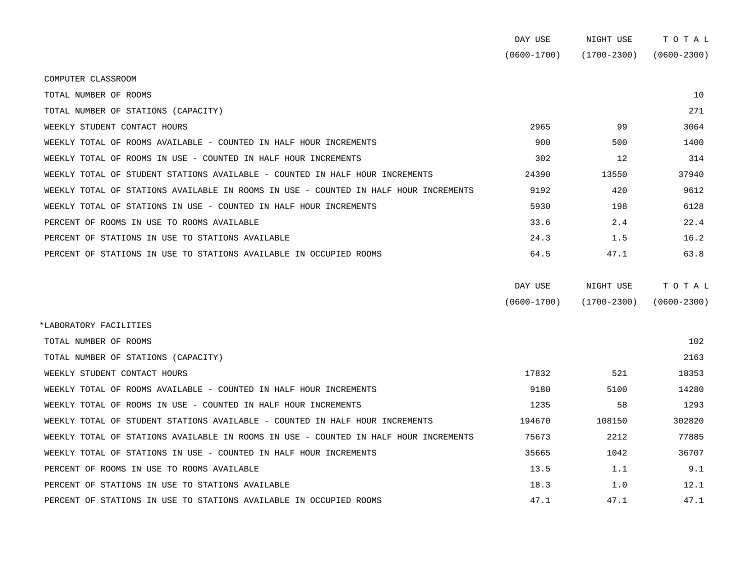|                                                                                      | DAY USE         | NIGHT USE   | TOTAL           |
|--------------------------------------------------------------------------------------|-----------------|-------------|-----------------|
|                                                                                      | $(0600 - 1700)$ | (1700-2300) | $(0600 - 2300)$ |
| COMPUTER CLASSROOM                                                                   |                 |             |                 |
| TOTAL NUMBER OF ROOMS                                                                |                 |             | 10              |
| TOTAL NUMBER OF STATIONS (CAPACITY)                                                  |                 |             | 271             |
| WEEKLY STUDENT CONTACT HOURS                                                         | 2965            | 99          | 3064            |
| WEEKLY TOTAL OF ROOMS AVAILABLE - COUNTED IN HALF HOUR INCREMENTS                    | 900             | 500         | 1400            |
| WEEKLY TOTAL OF ROOMS IN USE - COUNTED IN HALF HOUR INCREMENTS                       | 302             | 12          | 314             |
| WEEKLY TOTAL OF STUDENT STATIONS AVAILABLE - COUNTED IN HALF HOUR INCREMENTS         | 24390           | 13550       | 37940           |
| WEEKLY TOTAL OF STATIONS AVAILABLE IN ROOMS IN USE - COUNTED IN HALF HOUR INCREMENTS | 9192            | 420         | 9612            |
| WEEKLY TOTAL OF STATIONS IN USE - COUNTED IN HALF HOUR INCREMENTS                    | 5930            | 198         | 6128            |
| PERCENT OF ROOMS IN USE TO ROOMS AVAILABLE                                           | 33.6            | 2.4         | 22.4            |
| PERCENT OF STATIONS IN USE TO STATIONS AVAILABLE                                     | 24.3            | 1.5         | 16.2            |
| PERCENT OF STATIONS IN USE TO STATIONS AVAILABLE IN OCCUPIED ROOMS                   | 64.5            | 47.1        | 63.8            |
|                                                                                      |                 |             |                 |

| DAY USE         | NIGHT USE       | тотаь           |
|-----------------|-----------------|-----------------|
| $(0600 - 1700)$ | $(1700 - 2300)$ | $(0600 - 2300)$ |

| *LABORATORY FACILITIES                                                               |        |        |        |  |
|--------------------------------------------------------------------------------------|--------|--------|--------|--|
| TOTAL NUMBER OF ROOMS                                                                |        |        | 102    |  |
| TOTAL NUMBER OF STATIONS (CAPACITY)                                                  |        |        | 2163   |  |
| WEEKLY STUDENT CONTACT HOURS                                                         | 17832  | 521    | 18353  |  |
| WEEKLY TOTAL OF ROOMS AVAILABLE - COUNTED IN HALF HOUR INCREMENTS                    | 9180   | 5100   | 14280  |  |
| WEEKLY TOTAL OF ROOMS IN USE - COUNTED IN HALF HOUR INCREMENTS                       | 1235   | 58     | 1293   |  |
| WEEKLY TOTAL OF STUDENT STATIONS AVAILABLE - COUNTED IN HALF HOUR INCREMENTS         | 194670 | 108150 | 302820 |  |
| WEEKLY TOTAL OF STATIONS AVAILABLE IN ROOMS IN USE - COUNTED IN HALF HOUR INCREMENTS | 75673  | 2212   | 77885  |  |
| WEEKLY TOTAL OF STATIONS IN USE - COUNTED IN HALF HOUR INCREMENTS                    | 35665  | 1042   | 36707  |  |
| PERCENT OF ROOMS IN USE TO ROOMS AVAILABLE                                           | 13.5   | 1.1    | 9.1    |  |
| PERCENT OF STATIONS IN USE TO STATIONS AVAILABLE                                     | 18.3   | 1.0    | 12.1   |  |
| PERCENT OF STATIONS IN USE TO STATIONS AVAILABLE IN OCCUPIED ROOMS                   | 47.1   | 47.1   | 47.1   |  |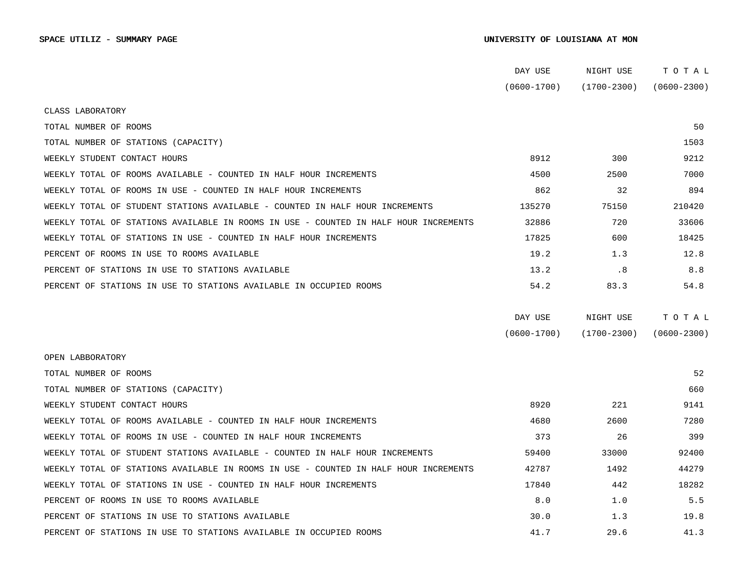## SPACE UTILIZ - SUMMARY PAGE SALL SOM AND SUMMARY PAGE SUMMARY PAGE SUMMARY PAGE SUMMARY PAGE SUMMARY PAGE SUMMARY PAGE

|                                                                                      | DAY USE         | NIGHT USE       | TOTAL           |
|--------------------------------------------------------------------------------------|-----------------|-----------------|-----------------|
|                                                                                      | $(0600 - 1700)$ | $(1700 - 2300)$ | $(0600 - 2300)$ |
| CLASS LABORATORY                                                                     |                 |                 |                 |
| TOTAL NUMBER OF ROOMS                                                                |                 |                 | 50              |
| TOTAL NUMBER OF STATIONS (CAPACITY)                                                  |                 |                 | 1503            |
| WEEKLY STUDENT CONTACT HOURS                                                         | 8912            | 300             | 9212            |
| WEEKLY TOTAL OF ROOMS AVAILABLE - COUNTED IN HALF HOUR INCREMENTS                    | 4500            | 2500            | 7000            |
| WEEKLY TOTAL OF ROOMS IN USE - COUNTED IN HALF HOUR INCREMENTS                       | 862             | 32              | 894             |
| WEEKLY TOTAL OF STUDENT STATIONS AVAILABLE - COUNTED IN HALF HOUR INCREMENTS         | 135270          | 75150           | 210420          |
| WEEKLY TOTAL OF STATIONS AVAILABLE IN ROOMS IN USE - COUNTED IN HALF HOUR INCREMENTS | 32886           | 720             | 33606           |
| WEEKLY TOTAL OF STATIONS IN USE - COUNTED IN HALF HOUR INCREMENTS                    | 17825           | 600             | 18425           |
| PERCENT OF ROOMS IN USE TO ROOMS AVAILABLE                                           | 19.2            | 1.3             | 12.8            |
| PERCENT OF STATIONS IN USE TO STATIONS AVAILABLE                                     | 13.2            | .8              | 8.8             |
| PERCENT OF STATIONS IN USE TO STATIONS AVAILABLE IN OCCUPIED ROOMS                   | 54.2            | 83.3            | 54.8            |
|                                                                                      |                 |                 |                 |
|                                                                                      | DAY USE         | NIGHT USE       | TOTAL           |
|                                                                                      | $(0600 - 1700)$ | $(1700 - 2300)$ | $(0600 - 2300)$ |
| OPEN LABBORATORY                                                                     |                 |                 |                 |
| TOTAL NUMBER OF ROOMS                                                                |                 |                 | 52              |
| TOTAL NUMBER OF STATIONS (CAPACITY)                                                  |                 |                 | 660             |
| WEEKLY STUDENT CONTACT HOURS                                                         | 8920            | 221             | 9141            |
| WEEKLY TOTAL OF ROOMS AVAILABLE - COUNTED IN HALF HOUR INCREMENTS                    | 4680            | 2600            | 7280            |
| WEEKLY TOTAL OF ROOMS IN USE - COUNTED IN HALF HOUR INCREMENTS                       | 373             | 26              | 399             |
| WEEKLY TOTAL OF STUDENT STATIONS AVAILABLE - COUNTED IN HALF HOUR INCREMENTS         | 59400           | 33000           | 92400           |
| WEEKLY TOTAL OF STATIONS AVAILABLE IN ROOMS IN USE - COUNTED IN HALF HOUR INCREMENTS | 42787           | 1492            | 44279           |
| WEEKLY TOTAL OF STATIONS IN USE - COUNTED IN HALF HOUR INCREMENTS                    | 17840           | 442             | 18282           |
| PERCENT OF ROOMS IN USE TO ROOMS AVAILABLE                                           | 8.0             | 1.0             | 5.5             |
| PERCENT OF STATIONS IN USE TO STATIONS AVAILABLE                                     | 30.0            | 1.3             | 19.8            |
| PERCENT OF STATIONS IN USE TO STATIONS AVAILABLE IN OCCUPIED ROOMS                   | 41.7            | 29.6            | 41.3            |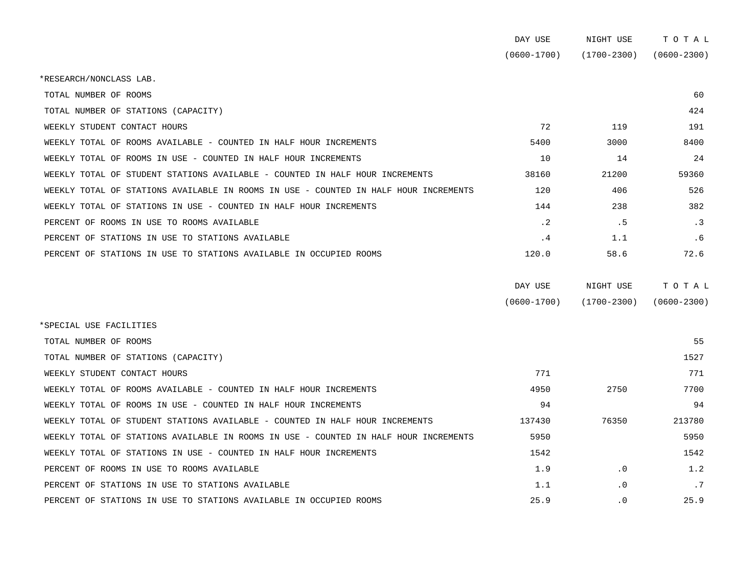|                                                                                      | DAY USE         | NIGHT USE       | TOTAL           |
|--------------------------------------------------------------------------------------|-----------------|-----------------|-----------------|
|                                                                                      | $(0600 - 1700)$ | $(1700 - 2300)$ | $(0600 - 2300)$ |
| *RESEARCH/NONCLASS LAB.                                                              |                 |                 |                 |
| TOTAL NUMBER OF ROOMS                                                                |                 |                 | 60              |
| TOTAL NUMBER OF STATIONS (CAPACITY)                                                  |                 |                 | 424             |
| WEEKLY STUDENT CONTACT HOURS                                                         | 72              | 119             | 191             |
| WEEKLY TOTAL OF ROOMS AVAILABLE - COUNTED IN HALF HOUR INCREMENTS                    | 5400            | 3000            | 8400            |
| WEEKLY TOTAL OF ROOMS IN USE - COUNTED IN HALF HOUR INCREMENTS                       | 10              | 14              | 24              |
| WEEKLY TOTAL OF STUDENT STATIONS AVAILABLE - COUNTED IN HALF HOUR INCREMENTS         | 38160           | 21200           | 59360           |
| WEEKLY TOTAL OF STATIONS AVAILABLE IN ROOMS IN USE - COUNTED IN HALF HOUR INCREMENTS | 120             | 406             | 526             |
| WEEKLY TOTAL OF STATIONS IN USE - COUNTED IN HALF HOUR INCREMENTS                    | 144             | 238             | 382             |
| PERCENT OF ROOMS IN USE TO ROOMS AVAILABLE                                           | $\cdot$ 2       | .5              | $\cdot$ 3       |
| PERCENT OF STATIONS IN USE TO STATIONS AVAILABLE                                     | $\cdot$ 4       | 1.1             | .6              |
| PERCENT OF STATIONS IN USE TO STATIONS AVAILABLE IN OCCUPIED ROOMS                   | 120.0           | 58.6            | 72.6            |
|                                                                                      |                 |                 |                 |

| DAY USE         | NIGHT USE       | тотаь           |
|-----------------|-----------------|-----------------|
| $(0600 - 1700)$ | $(1700 - 2300)$ | $(0600 - 2300)$ |

| *SPECIAL USE FACILITIES                                                              |        |           |        |
|--------------------------------------------------------------------------------------|--------|-----------|--------|
| TOTAL NUMBER OF ROOMS                                                                |        |           | 55     |
| TOTAL NUMBER OF STATIONS (CAPACITY)                                                  |        |           | 1527   |
| WEEKLY STUDENT CONTACT HOURS                                                         | 771    |           | 771    |
| WEEKLY TOTAL OF ROOMS AVAILABLE - COUNTED IN HALF HOUR INCREMENTS                    | 4950   | 2750      | 7700   |
| WEEKLY TOTAL OF ROOMS IN USE - COUNTED IN HALF HOUR INCREMENTS                       | 94     |           | 94     |
| WEEKLY TOTAL OF STUDENT STATIONS AVAILABLE - COUNTED IN HALF HOUR INCREMENTS         | 137430 | 76350     | 213780 |
| WEEKLY TOTAL OF STATIONS AVAILABLE IN ROOMS IN USE - COUNTED IN HALF HOUR INCREMENTS | 5950   |           | 5950   |
| WEEKLY TOTAL OF STATIONS IN USE - COUNTED IN HALF HOUR INCREMENTS                    | 1542   |           | 1542   |
| PERCENT OF ROOMS IN USE TO ROOMS AVAILABLE                                           | 1.9    | $\cdot$ 0 | 1.2    |
| PERCENT OF STATIONS IN USE TO STATIONS AVAILABLE                                     | 1.1    | $\cdot$ 0 | .7     |
| PERCENT OF STATIONS IN USE TO STATIONS AVAILABLE IN OCCUPIED ROOMS                   | 25.9   | $\cdot$ 0 | 25.9   |